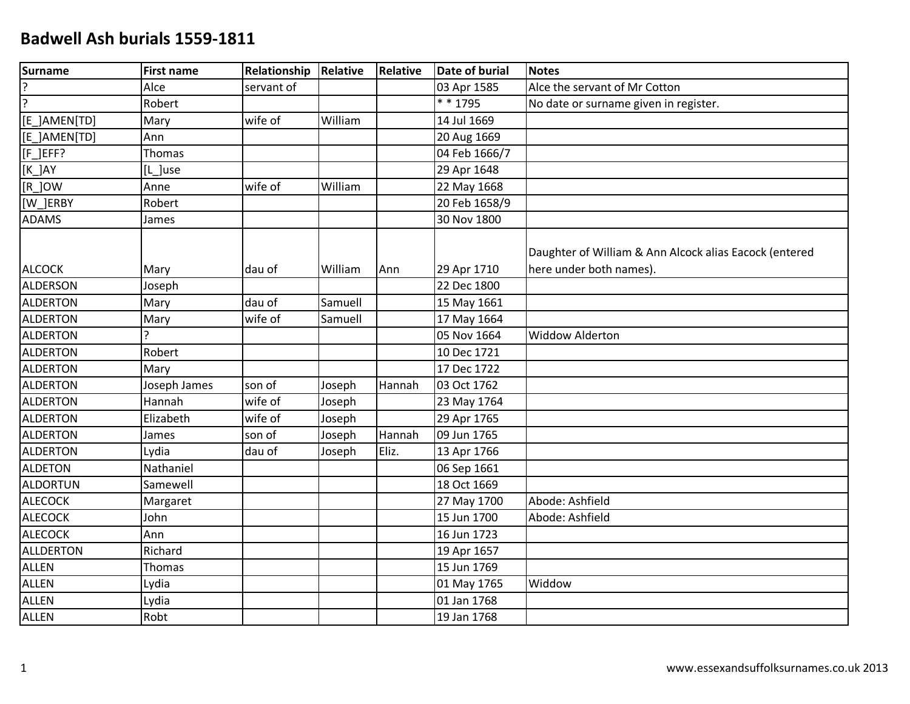| Surname          | <b>First name</b> | Relationship | Relative | <b>Relative</b> | <b>Date of burial</b> | <b>Notes</b>                                                                      |
|------------------|-------------------|--------------|----------|-----------------|-----------------------|-----------------------------------------------------------------------------------|
| ?                | Alce              | servant of   |          |                 | 03 Apr 1585           | Alce the servant of Mr Cotton                                                     |
| <u>لۍ</u>        | Robert            |              |          |                 | * * 1795              | No date or surname given in register.                                             |
| [E_]AMEN[TD]     | Mary              | wife of      | William  |                 | 14 Jul 1669           |                                                                                   |
| [E_]AMEN[TD]     | Ann               |              |          |                 | 20 Aug 1669           |                                                                                   |
| [F_]EFF?         | Thomas            |              |          |                 | 04 Feb 1666/7         |                                                                                   |
| $[K_$ $]$ AY     | [L_]use           |              |          |                 | 29 Apr 1648           |                                                                                   |
| $[R_$ JOW        | Anne              | wife of      | William  |                 | 22 May 1668           |                                                                                   |
| [W_]ERBY         | Robert            |              |          |                 | 20 Feb 1658/9         |                                                                                   |
| <b>ADAMS</b>     | James             |              |          |                 | 30 Nov 1800           |                                                                                   |
| <b>ALCOCK</b>    | Mary              | dau of       | William  | Ann             | 29 Apr 1710           | Daughter of William & Ann Alcock alias Eacock (entered<br>here under both names). |
| <b>ALDERSON</b>  | Joseph            |              |          |                 | 22 Dec 1800           |                                                                                   |
| <b>ALDERTON</b>  | Mary              | dau of       | Samuell  |                 | 15 May 1661           |                                                                                   |
| <b>ALDERTON</b>  | Mary              | wife of      | Samuell  |                 | 17 May 1664           |                                                                                   |
| <b>ALDERTON</b>  | 5                 |              |          |                 | 05 Nov 1664           | <b>Widdow Alderton</b>                                                            |
| <b>ALDERTON</b>  | Robert            |              |          |                 | 10 Dec 1721           |                                                                                   |
| <b>ALDERTON</b>  | Mary              |              |          |                 | 17 Dec 1722           |                                                                                   |
| <b>ALDERTON</b>  | Joseph James      | son of       | Joseph   | Hannah          | 03 Oct 1762           |                                                                                   |
| <b>ALDERTON</b>  | Hannah            | wife of      | Joseph   |                 | 23 May 1764           |                                                                                   |
| <b>ALDERTON</b>  | Elizabeth         | wife of      | Joseph   |                 | 29 Apr 1765           |                                                                                   |
| <b>ALDERTON</b>  | James             | son of       | Joseph   | Hannah          | 09 Jun 1765           |                                                                                   |
| <b>ALDERTON</b>  | Lydia             | dau of       | Joseph   | Eliz.           | 13 Apr 1766           |                                                                                   |
| ALDETON          | Nathaniel         |              |          |                 | 06 Sep 1661           |                                                                                   |
| ALDORTUN         | Samewell          |              |          |                 | 18 Oct 1669           |                                                                                   |
| <b>ALECOCK</b>   | Margaret          |              |          |                 | 27 May 1700           | Abode: Ashfield                                                                   |
| <b>ALECOCK</b>   | John              |              |          |                 | 15 Jun 1700           | Abode: Ashfield                                                                   |
| <b>ALECOCK</b>   | Ann               |              |          |                 | 16 Jun 1723           |                                                                                   |
| <b>ALLDERTON</b> | Richard           |              |          |                 | 19 Apr 1657           |                                                                                   |
| ALLEN            | Thomas            |              |          |                 | 15 Jun 1769           |                                                                                   |
| <b>ALLEN</b>     | Lydia             |              |          |                 | 01 May 1765           | Widdow                                                                            |
| <b>ALLEN</b>     | Lydia             |              |          |                 | 01 Jan 1768           |                                                                                   |
| <b>ALLEN</b>     | Robt              |              |          |                 | 19 Jan 1768           |                                                                                   |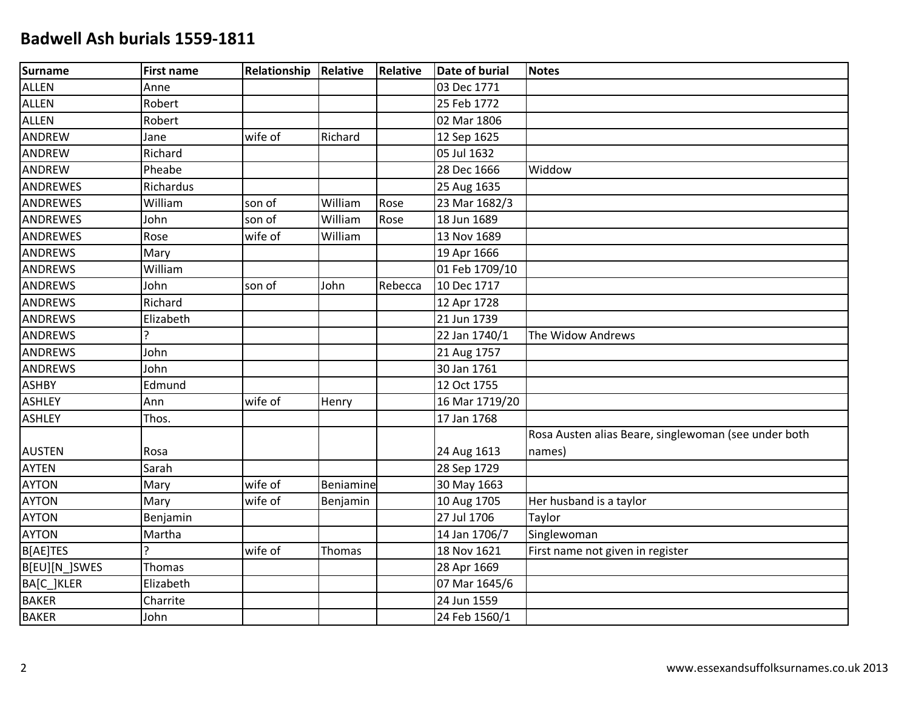| Surname         | <b>First name</b> | <b>Relationship</b> | Relative  | Relative | <b>Date of burial</b> | <b>Notes</b>                                         |
|-----------------|-------------------|---------------------|-----------|----------|-----------------------|------------------------------------------------------|
| <b>ALLEN</b>    | Anne              |                     |           |          | 03 Dec 1771           |                                                      |
| <b>ALLEN</b>    | Robert            |                     |           |          | 25 Feb 1772           |                                                      |
| <b>ALLEN</b>    | Robert            |                     |           |          | 02 Mar 1806           |                                                      |
| ANDREW          | Jane              | wife of             | Richard   |          | 12 Sep 1625           |                                                      |
| ANDREW          | Richard           |                     |           |          | 05 Jul 1632           |                                                      |
| ANDREW          | Pheabe            |                     |           |          | 28 Dec 1666           | Widdow                                               |
| <b>ANDREWES</b> | Richardus         |                     |           |          | 25 Aug 1635           |                                                      |
| <b>ANDREWES</b> | William           | son of              | William   | Rose     | 23 Mar 1682/3         |                                                      |
| <b>ANDREWES</b> | John              | son of              | William   | Rose     | 18 Jun 1689           |                                                      |
| <b>ANDREWES</b> | Rose              | wife of             | William   |          | 13 Nov 1689           |                                                      |
| <b>ANDREWS</b>  | Mary              |                     |           |          | 19 Apr 1666           |                                                      |
| <b>ANDREWS</b>  | William           |                     |           |          | 01 Feb 1709/10        |                                                      |
| <b>ANDREWS</b>  | John              | son of              | John      | Rebecca  | 10 Dec 1717           |                                                      |
| <b>ANDREWS</b>  | Richard           |                     |           |          | 12 Apr 1728           |                                                      |
| <b>ANDREWS</b>  | Elizabeth         |                     |           |          | 21 Jun 1739           |                                                      |
| <b>ANDREWS</b>  | <sub>?</sub>      |                     |           |          | 22 Jan 1740/1         | The Widow Andrews                                    |
| <b>ANDREWS</b>  | John              |                     |           |          | 21 Aug 1757           |                                                      |
| <b>ANDREWS</b>  | John              |                     |           |          | 30 Jan 1761           |                                                      |
| <b>ASHBY</b>    | Edmund            |                     |           |          | 12 Oct 1755           |                                                      |
| <b>ASHLEY</b>   | Ann               | wife of             | Henry     |          | 16 Mar 1719/20        |                                                      |
| <b>ASHLEY</b>   | Thos.             |                     |           |          | 17 Jan 1768           |                                                      |
|                 |                   |                     |           |          |                       | Rosa Austen alias Beare, singlewoman (see under both |
| <b>AUSTEN</b>   | Rosa              |                     |           |          | 24 Aug 1613           | names)                                               |
| <b>AYTEN</b>    | Sarah             |                     |           |          | 28 Sep 1729           |                                                      |
| <b>AYTON</b>    | Mary              | wife of             | Beniamine |          | 30 May 1663           |                                                      |
| <b>AYTON</b>    | Mary              | wife of             | Benjamin  |          | 10 Aug 1705           | Her husband is a taylor                              |
| <b>AYTON</b>    | Benjamin          |                     |           |          | 27 Jul 1706           | Taylor                                               |
| <b>AYTON</b>    | Martha            |                     |           |          | 14 Jan 1706/7         | Singlewoman                                          |
| B[AE]TES        | ς                 | wife of             | Thomas    |          | 18 Nov 1621           | First name not given in register                     |
| B[EU][N_]SWES   | Thomas            |                     |           |          | 28 Apr 1669           |                                                      |
| BA[C_]KLER      | Elizabeth         |                     |           |          | 07 Mar 1645/6         |                                                      |
| <b>BAKER</b>    | Charrite          |                     |           |          | 24 Jun 1559           |                                                      |
| <b>BAKER</b>    | John              |                     |           |          | 24 Feb 1560/1         |                                                      |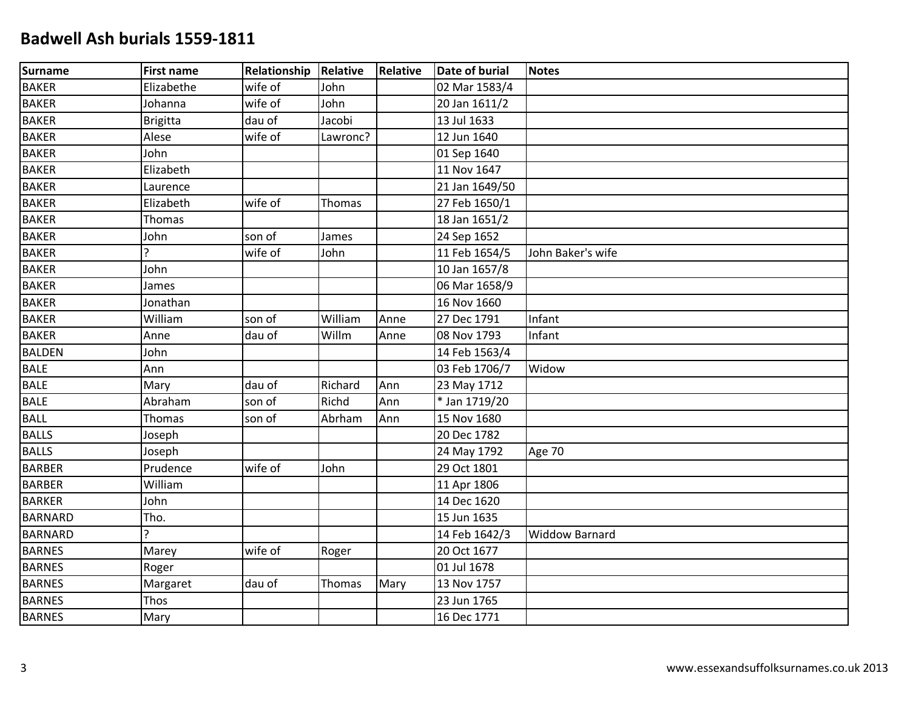| <b>Surname</b> | <b>First name</b> | <b>Relationship</b> | Relative | Relative | <b>Date of burial</b>         | Notes                 |
|----------------|-------------------|---------------------|----------|----------|-------------------------------|-----------------------|
| <b>BAKER</b>   | Elizabethe        | wife of             | John     |          | 02 Mar 1583/4                 |                       |
| <b>BAKER</b>   | Johanna           | wife of             | John     |          | 20 Jan 1611/2                 |                       |
| <b>BAKER</b>   | <b>Brigitta</b>   | dau of              | Jacobi   |          | 13 Jul 1633                   |                       |
| <b>BAKER</b>   | Alese             | wife of             | Lawronc? |          | 12 Jun 1640                   |                       |
| <b>BAKER</b>   | John              |                     |          |          | 01 Sep 1640                   |                       |
| <b>BAKER</b>   | Elizabeth         |                     |          |          | 11 Nov 1647                   |                       |
| <b>BAKER</b>   | Laurence          |                     |          |          | 21 Jan 1649/50                |                       |
| <b>BAKER</b>   | Elizabeth         | wife of             | Thomas   |          | 27 Feb 1650/1                 |                       |
| <b>BAKER</b>   | Thomas            |                     |          |          | 18 Jan 1651/2                 |                       |
| <b>BAKER</b>   | John              | son of              | James    |          | 24 Sep 1652                   |                       |
| <b>BAKER</b>   | ς                 | wife of             | John     |          | 11 Feb 1654/5                 | John Baker's wife     |
| <b>BAKER</b>   | John              |                     |          |          | 10 Jan 1657/8                 |                       |
| <b>BAKER</b>   | James             |                     |          |          | 06 Mar 1658/9                 |                       |
| <b>BAKER</b>   | Jonathan          |                     |          |          | 16 Nov 1660                   |                       |
| <b>BAKER</b>   | William           | son of              | William  | Anne     | 27 Dec 1791                   | Infant                |
| <b>BAKER</b>   | Anne              | dau of              | Willm    | Anne     | 08 Nov 1793                   | Infant                |
| <b>BALDEN</b>  | John              |                     |          |          | 14 Feb 1563/4                 |                       |
| <b>BALE</b>    | Ann               |                     |          |          | 03 Feb 1706/7                 | Widow                 |
| <b>BALE</b>    | Mary              | dau of              | Richard  | Ann      | 23 May 1712                   |                       |
| <b>BALE</b>    | Abraham           | son of              | Richd    | Ann      | $\overline{\ast}$ Jan 1719/20 |                       |
| <b>BALL</b>    | Thomas            | son of              | Abrham   | Ann      | 15 Nov 1680                   |                       |
| <b>BALLS</b>   | Joseph            |                     |          |          | 20 Dec 1782                   |                       |
| <b>BALLS</b>   | Joseph            |                     |          |          | 24 May 1792                   | Age 70                |
| <b>BARBER</b>  | Prudence          | wife of             | John     |          | 29 Oct 1801                   |                       |
| <b>BARBER</b>  | William           |                     |          |          | 11 Apr 1806                   |                       |
| <b>BARKER</b>  | John              |                     |          |          | 14 Dec 1620                   |                       |
| <b>BARNARD</b> | Tho.              |                     |          |          | 15 Jun 1635                   |                       |
| <b>BARNARD</b> | ς                 |                     |          |          | 14 Feb 1642/3                 | <b>Widdow Barnard</b> |
| <b>BARNES</b>  | Marey             | wife of             | Roger    |          | 20 Oct 1677                   |                       |
| <b>BARNES</b>  | Roger             |                     |          |          | 01 Jul 1678                   |                       |
| <b>BARNES</b>  | Margaret          | dau of              | Thomas   | Mary     | 13 Nov 1757                   |                       |
| <b>BARNES</b>  | Thos              |                     |          |          | 23 Jun 1765                   |                       |
| <b>BARNES</b>  | Mary              |                     |          |          | 16 Dec 1771                   |                       |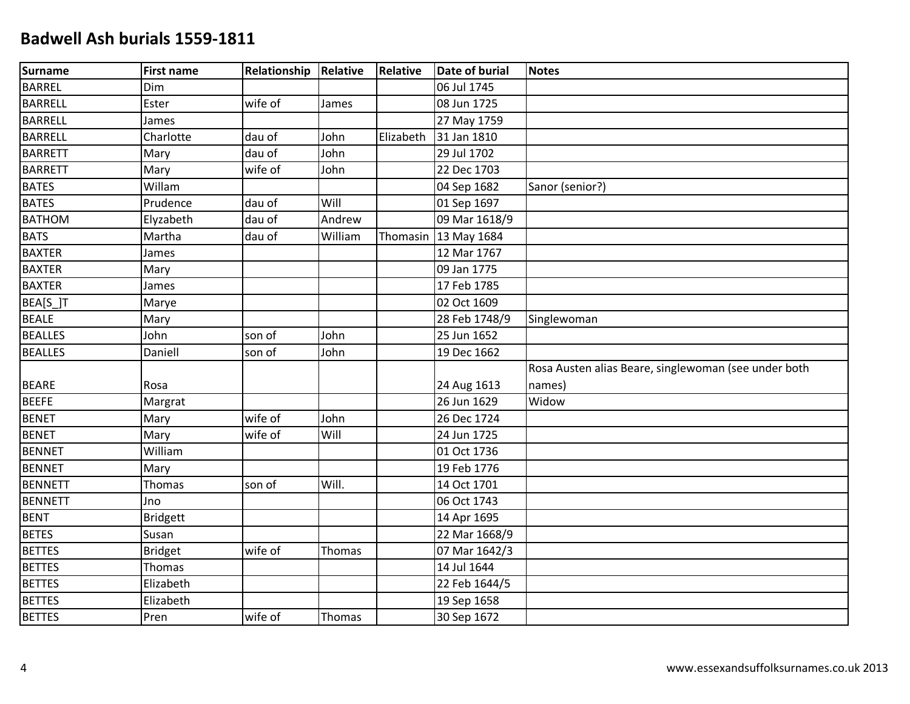| <b>Surname</b> | <b>First name</b> | <b>Relationship</b> | Relative | Relative  | <b>Date of burial</b> | <b>Notes</b>                                         |
|----------------|-------------------|---------------------|----------|-----------|-----------------------|------------------------------------------------------|
| <b>BARREL</b>  | Dim               |                     |          |           | 06 Jul 1745           |                                                      |
| <b>BARRELL</b> | Ester             | wife of             | James    |           | 08 Jun 1725           |                                                      |
| <b>BARRELL</b> | James             |                     |          |           | 27 May 1759           |                                                      |
| <b>BARRELL</b> | Charlotte         | dau of              | John     | Elizabeth | 31 Jan 1810           |                                                      |
| <b>BARRETT</b> | Mary              | dau of              | John     |           | 29 Jul 1702           |                                                      |
| <b>BARRETT</b> | Mary              | wife of             | John     |           | 22 Dec 1703           |                                                      |
| <b>BATES</b>   | Willam            |                     |          |           | 04 Sep 1682           | Sanor (senior?)                                      |
| <b>BATES</b>   | Prudence          | dau of              | Will     |           | 01 Sep 1697           |                                                      |
| <b>BATHOM</b>  | Elyzabeth         | dau of              | Andrew   |           | 09 Mar 1618/9         |                                                      |
| <b>BATS</b>    | Martha            | dau of              | William  |           | Thomasin 13 May 1684  |                                                      |
| <b>BAXTER</b>  | James             |                     |          |           | 12 Mar 1767           |                                                      |
| <b>BAXTER</b>  | Mary              |                     |          |           | 09 Jan 1775           |                                                      |
| <b>BAXTER</b>  | James             |                     |          |           | 17 Feb 1785           |                                                      |
| BEA[S_]T       | Marye             |                     |          |           | 02 Oct 1609           |                                                      |
| <b>BEALE</b>   | Mary              |                     |          |           | 28 Feb 1748/9         | Singlewoman                                          |
| <b>BEALLES</b> | John              | son of              | John     |           | 25 Jun 1652           |                                                      |
| <b>BEALLES</b> | Daniell           | son of              | John     |           | 19 Dec 1662           |                                                      |
|                |                   |                     |          |           |                       | Rosa Austen alias Beare, singlewoman (see under both |
| <b>BEARE</b>   | Rosa              |                     |          |           | 24 Aug 1613           | names)                                               |
| <b>BEEFE</b>   | Margrat           |                     |          |           | 26 Jun 1629           | Widow                                                |
| <b>BENET</b>   | Mary              | wife of             | John     |           | 26 Dec 1724           |                                                      |
| <b>BENET</b>   | Mary              | wife of             | Will     |           | 24 Jun 1725           |                                                      |
| <b>BENNET</b>  | William           |                     |          |           | 01 Oct 1736           |                                                      |
| <b>BENNET</b>  | Mary              |                     |          |           | 19 Feb 1776           |                                                      |
| <b>BENNETT</b> | Thomas            | son of              | Will.    |           | 14 Oct 1701           |                                                      |
| <b>BENNETT</b> | Jno               |                     |          |           | 06 Oct 1743           |                                                      |
| <b>BENT</b>    | <b>Bridgett</b>   |                     |          |           | 14 Apr 1695           |                                                      |
| <b>BETES</b>   | Susan             |                     |          |           | 22 Mar 1668/9         |                                                      |
| <b>BETTES</b>  | <b>Bridget</b>    | wife of             | Thomas   |           | 07 Mar 1642/3         |                                                      |
| <b>BETTES</b>  | Thomas            |                     |          |           | 14 Jul 1644           |                                                      |
| <b>BETTES</b>  | Elizabeth         |                     |          |           | 22 Feb 1644/5         |                                                      |
| <b>BETTES</b>  | Elizabeth         |                     |          |           | 19 Sep 1658           |                                                      |
| <b>BETTES</b>  | Pren              | wife of             | Thomas   |           | 30 Sep 1672           |                                                      |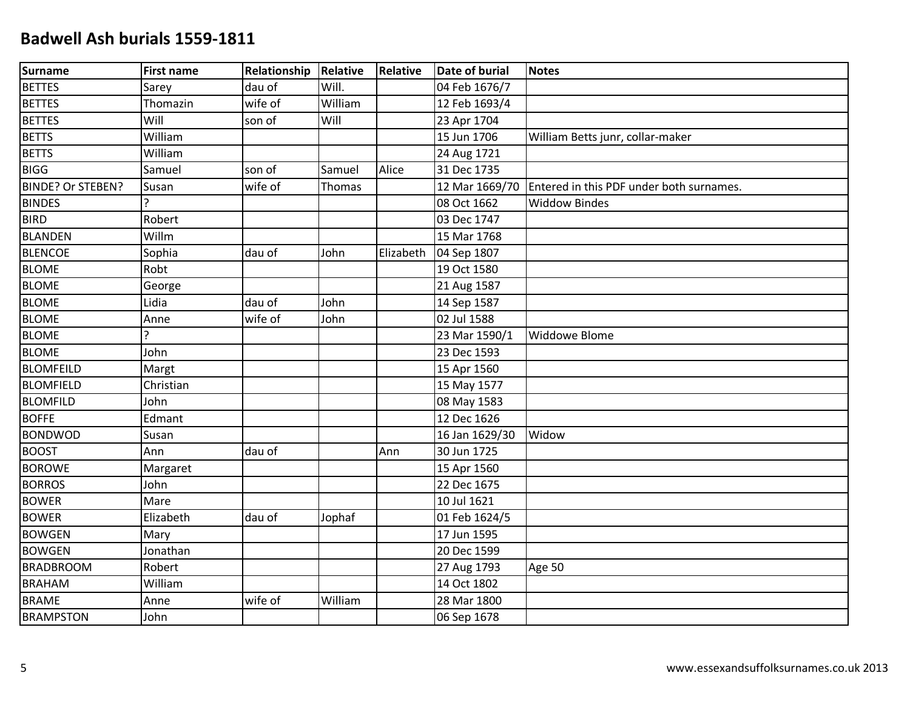| <b>Surname</b>           | <b>First name</b> | <b>Relationship</b> | Relative | Relative  | Date of burial | <b>Notes</b>                             |
|--------------------------|-------------------|---------------------|----------|-----------|----------------|------------------------------------------|
| <b>BETTES</b>            | Sarey             | dau of              | Will.    |           | 04 Feb 1676/7  |                                          |
| <b>BETTES</b>            | Thomazin          | wife of             | William  |           | 12 Feb 1693/4  |                                          |
| <b>BETTES</b>            | Will              | son of              | Will     |           | 23 Apr 1704    |                                          |
| <b>BETTS</b>             | William           |                     |          |           | 15 Jun 1706    | William Betts junr, collar-maker         |
| <b>BETTS</b>             | William           |                     |          |           | 24 Aug 1721    |                                          |
| <b>BIGG</b>              | Samuel            | son of              | Samuel   | Alice     | 31 Dec 1735    |                                          |
| <b>BINDE? Or STEBEN?</b> | Susan             | wife of             | Thomas   |           | 12 Mar 1669/70 | Entered in this PDF under both surnames. |
| <b>BINDES</b>            |                   |                     |          |           | 08 Oct 1662    | <b>Widdow Bindes</b>                     |
| <b>BIRD</b>              | Robert            |                     |          |           | 03 Dec 1747    |                                          |
| <b>BLANDEN</b>           | Willm             |                     |          |           | 15 Mar 1768    |                                          |
| <b>BLENCOE</b>           | Sophia            | dau of              | John     | Elizabeth | 04 Sep 1807    |                                          |
| <b>BLOME</b>             | Robt              |                     |          |           | 19 Oct 1580    |                                          |
| <b>BLOME</b>             | George            |                     |          |           | 21 Aug 1587    |                                          |
| <b>BLOME</b>             | Lidia             | dau of              | John     |           | 14 Sep 1587    |                                          |
| <b>BLOME</b>             | Anne              | wife of             | John     |           | 02 Jul 1588    |                                          |
| <b>BLOME</b>             | <sup>2</sup>      |                     |          |           | 23 Mar 1590/1  | Widdowe Blome                            |
| <b>BLOME</b>             | John              |                     |          |           | 23 Dec 1593    |                                          |
| <b>BLOMFEILD</b>         | Margt             |                     |          |           | 15 Apr 1560    |                                          |
| <b>BLOMFIELD</b>         | Christian         |                     |          |           | 15 May 1577    |                                          |
| <b>BLOMFILD</b>          | John              |                     |          |           | 08 May 1583    |                                          |
| <b>BOFFE</b>             | Edmant            |                     |          |           | 12 Dec 1626    |                                          |
| <b>BONDWOD</b>           | Susan             |                     |          |           | 16 Jan 1629/30 | Widow                                    |
| <b>BOOST</b>             | Ann               | dau of              |          | Ann       | 30 Jun 1725    |                                          |
| <b>BOROWE</b>            | Margaret          |                     |          |           | 15 Apr 1560    |                                          |
| <b>BORROS</b>            | John              |                     |          |           | 22 Dec 1675    |                                          |
| <b>BOWER</b>             | Mare              |                     |          |           | 10 Jul 1621    |                                          |
| <b>BOWER</b>             | Elizabeth         | dau of              | Jophaf   |           | 01 Feb 1624/5  |                                          |
| <b>BOWGEN</b>            | Mary              |                     |          |           | 17 Jun 1595    |                                          |
| <b>BOWGEN</b>            | Jonathan          |                     |          |           | 20 Dec 1599    |                                          |
| <b>BRADBROOM</b>         | Robert            |                     |          |           | 27 Aug 1793    | Age 50                                   |
| <b>BRAHAM</b>            | William           |                     |          |           | 14 Oct 1802    |                                          |
| <b>BRAME</b>             | Anne              | wife of             | William  |           | 28 Mar 1800    |                                          |
| <b>BRAMPSTON</b>         | John              |                     |          |           | 06 Sep 1678    |                                          |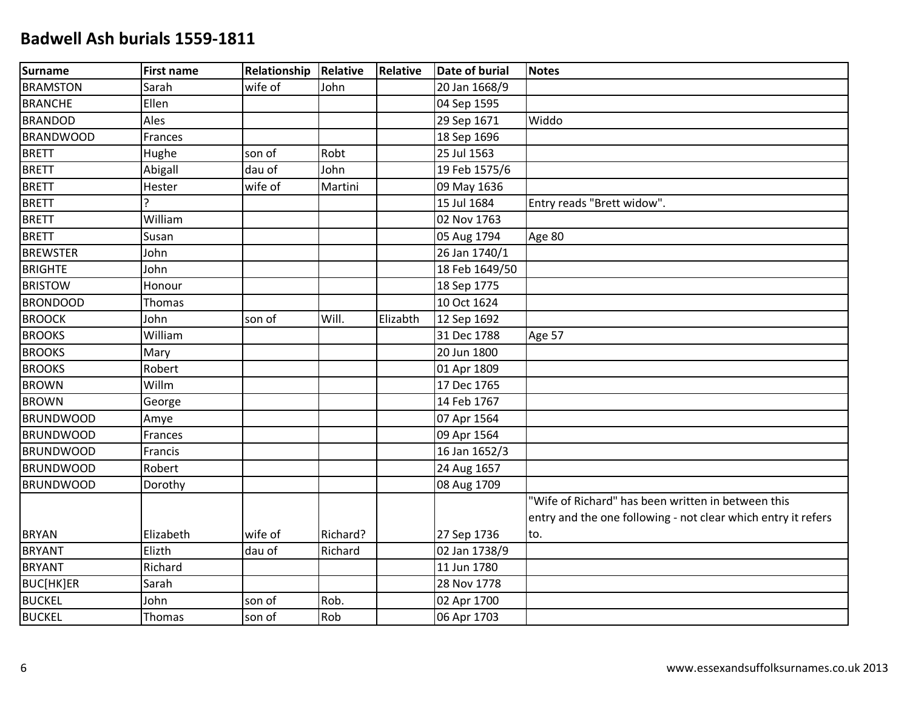| Surname          | <b>First name</b> | Relationship | Relative | Relative | <b>Date of burial</b> | <b>Notes</b>                                                  |
|------------------|-------------------|--------------|----------|----------|-----------------------|---------------------------------------------------------------|
| <b>BRAMSTON</b>  | Sarah             | wife of      | John     |          | 20 Jan 1668/9         |                                                               |
| BRANCHE          | Ellen             |              |          |          | 04 Sep 1595           |                                                               |
| <b>BRANDOD</b>   | Ales              |              |          |          | 29 Sep 1671           | Widdo                                                         |
| <b>BRANDWOOD</b> | Frances           |              |          |          | 18 Sep 1696           |                                                               |
| <b>BRETT</b>     | Hughe             | son of       | Robt     |          | 25 Jul 1563           |                                                               |
| <b>BRETT</b>     | Abigall           | dau of       | John     |          | 19 Feb 1575/6         |                                                               |
| <b>BRETT</b>     | Hester            | wife of      | Martini  |          | 09 May 1636           |                                                               |
| <b>BRETT</b>     | C                 |              |          |          | 15 Jul 1684           | Entry reads "Brett widow".                                    |
| <b>BRETT</b>     | William           |              |          |          | 02 Nov 1763           |                                                               |
| <b>BRETT</b>     | Susan             |              |          |          | 05 Aug 1794           | Age 80                                                        |
| <b>BREWSTER</b>  | John              |              |          |          | 26 Jan 1740/1         |                                                               |
| <b>BRIGHTE</b>   | John              |              |          |          | 18 Feb 1649/50        |                                                               |
| <b>BRISTOW</b>   | Honour            |              |          |          | 18 Sep 1775           |                                                               |
| <b>BRONDOOD</b>  | Thomas            |              |          |          | 10 Oct 1624           |                                                               |
| <b>BROOCK</b>    | John              | son of       | Will.    | Elizabth | 12 Sep 1692           |                                                               |
| <b>BROOKS</b>    | William           |              |          |          | 31 Dec 1788           | Age 57                                                        |
| <b>BROOKS</b>    | Mary              |              |          |          | 20 Jun 1800           |                                                               |
| <b>BROOKS</b>    | Robert            |              |          |          | 01 Apr 1809           |                                                               |
| <b>BROWN</b>     | Willm             |              |          |          | 17 Dec 1765           |                                                               |
| <b>BROWN</b>     | George            |              |          |          | 14 Feb 1767           |                                                               |
| <b>BRUNDWOOD</b> | Amye              |              |          |          | 07 Apr 1564           |                                                               |
| <b>BRUNDWOOD</b> | Frances           |              |          |          | 09 Apr 1564           |                                                               |
| <b>BRUNDWOOD</b> | Francis           |              |          |          | 16 Jan 1652/3         |                                                               |
| <b>BRUNDWOOD</b> | Robert            |              |          |          | 24 Aug 1657           |                                                               |
| <b>BRUNDWOOD</b> | Dorothy           |              |          |          | 08 Aug 1709           |                                                               |
|                  |                   |              |          |          |                       | "Wife of Richard" has been written in between this            |
|                  |                   |              |          |          |                       | entry and the one following - not clear which entry it refers |
| <b>BRYAN</b>     | Elizabeth         | wife of      | Richard? |          | 27 Sep 1736           | to.                                                           |
| <b>BRYANT</b>    | Elizth            | dau of       | Richard  |          | 02 Jan 1738/9         |                                                               |
| <b>BRYANT</b>    | Richard           |              |          |          | 11 Jun 1780           |                                                               |
| BUC[HK]ER        | Sarah             |              |          |          | 28 Nov 1778           |                                                               |
| <b>BUCKEL</b>    | John              | son of       | Rob.     |          | 02 Apr 1700           |                                                               |
| <b>BUCKEL</b>    | Thomas            | son of       | Rob      |          | 06 Apr 1703           |                                                               |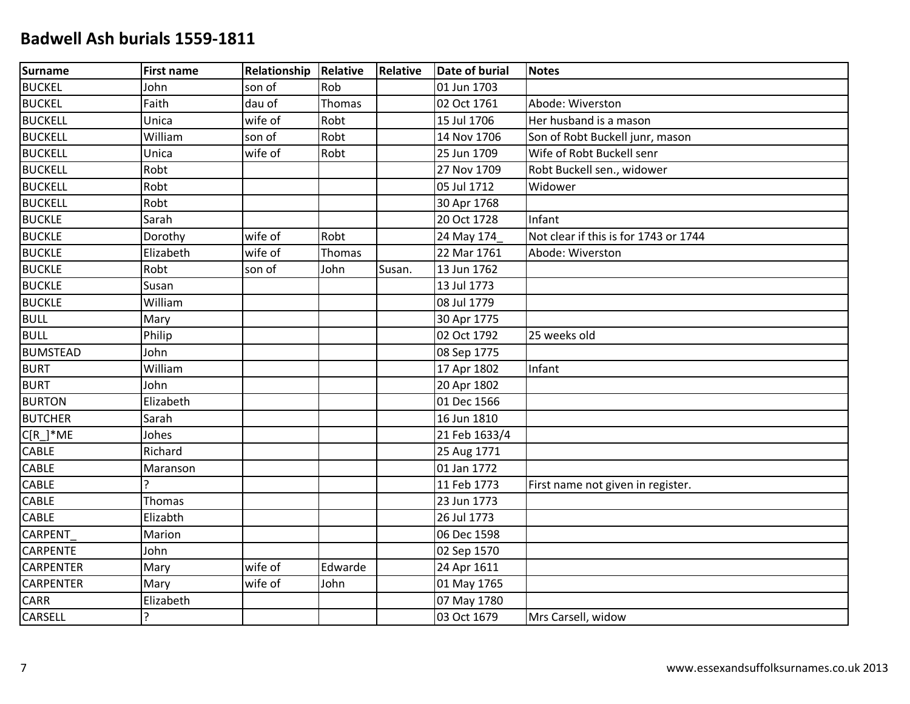| <b>Surname</b>   | <b>First name</b> | Relationship | Relative | Relative | <b>Date of burial</b> | <b>Notes</b>                          |
|------------------|-------------------|--------------|----------|----------|-----------------------|---------------------------------------|
| <b>BUCKEL</b>    | John              | son of       | Rob      |          | 01 Jun 1703           |                                       |
| <b>BUCKEL</b>    | Faith             | dau of       | Thomas   |          | 02 Oct 1761           | Abode: Wiverston                      |
| <b>BUCKELL</b>   | Unica             | wife of      | Robt     |          | 15 Jul 1706           | Her husband is a mason                |
| <b>BUCKELL</b>   | William           | son of       | Robt     |          | 14 Nov 1706           | Son of Robt Buckell junr, mason       |
| <b>BUCKELL</b>   | Unica             | wife of      | Robt     |          | 25 Jun 1709           | Wife of Robt Buckell senr             |
| <b>BUCKELL</b>   | Robt              |              |          |          | 27 Nov 1709           | Robt Buckell sen., widower            |
| <b>BUCKELL</b>   | Robt              |              |          |          | 05 Jul 1712           | Widower                               |
| <b>BUCKELL</b>   | Robt              |              |          |          | 30 Apr 1768           |                                       |
| <b>BUCKLE</b>    | Sarah             |              |          |          | 20 Oct 1728           | Infant                                |
| <b>BUCKLE</b>    | Dorothy           | wife of      | Robt     |          | 24 May 174            | Not clear if this is for 1743 or 1744 |
| <b>BUCKLE</b>    | Elizabeth         | wife of      | Thomas   |          | 22 Mar 1761           | Abode: Wiverston                      |
| <b>BUCKLE</b>    | Robt              | son of       | John     | Susan.   | 13 Jun 1762           |                                       |
| <b>BUCKLE</b>    | Susan             |              |          |          | 13 Jul 1773           |                                       |
| <b>BUCKLE</b>    | William           |              |          |          | 08 Jul 1779           |                                       |
| <b>BULL</b>      | Mary              |              |          |          | 30 Apr 1775           |                                       |
| <b>BULL</b>      | Philip            |              |          |          | 02 Oct 1792           | 25 weeks old                          |
| <b>BUMSTEAD</b>  | John              |              |          |          | 08 Sep 1775           |                                       |
| <b>BURT</b>      | William           |              |          |          | 17 Apr 1802           | Infant                                |
| <b>BURT</b>      | John              |              |          |          | 20 Apr 1802           |                                       |
| <b>BURTON</b>    | Elizabeth         |              |          |          | 01 Dec 1566           |                                       |
| <b>BUTCHER</b>   | Sarah             |              |          |          | 16 Jun 1810           |                                       |
| $C[R_$ *ME       | Johes             |              |          |          | 21 Feb 1633/4         |                                       |
| <b>CABLE</b>     | Richard           |              |          |          | 25 Aug 1771           |                                       |
| CABLE            | Maranson          |              |          |          | 01 Jan 1772           |                                       |
| CABLE            | ς                 |              |          |          | 11 Feb 1773           | First name not given in register.     |
| <b>CABLE</b>     | Thomas            |              |          |          | 23 Jun 1773           |                                       |
| CABLE            | Elizabth          |              |          |          | 26 Jul 1773           |                                       |
| <b>CARPENT</b>   | Marion            |              |          |          | 06 Dec 1598           |                                       |
| <b>CARPENTE</b>  | John              |              |          |          | 02 Sep 1570           |                                       |
| <b>CARPENTER</b> | Mary              | wife of      | Edwarde  |          | 24 Apr 1611           |                                       |
| <b>CARPENTER</b> | Mary              | wife of      | John     |          | 01 May 1765           |                                       |
| CARR             | Elizabeth         |              |          |          | 07 May 1780           |                                       |
| CARSELL          | <sup>2</sup>      |              |          |          | 03 Oct 1679           | Mrs Carsell, widow                    |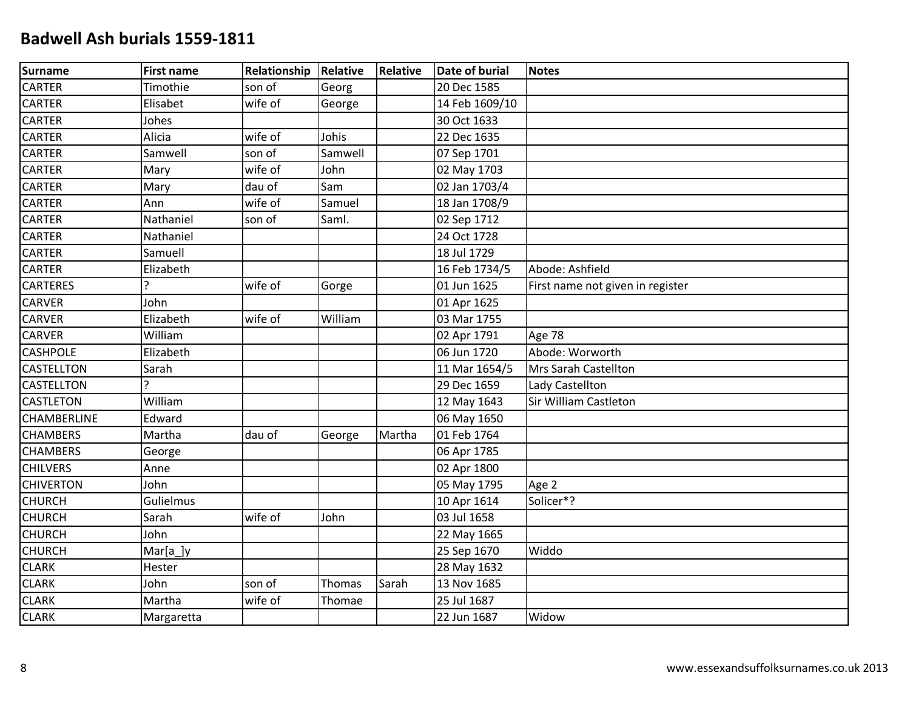| <b>Surname</b>    | <b>First name</b> | Relationship | Relative | Relative | <b>Date of burial</b> | <b>Notes</b>                     |
|-------------------|-------------------|--------------|----------|----------|-----------------------|----------------------------------|
| <b>CARTER</b>     | Timothie          | son of       | Georg    |          | 20 Dec 1585           |                                  |
| <b>CARTER</b>     | Elisabet          | wife of      | George   |          | 14 Feb 1609/10        |                                  |
| <b>CARTER</b>     | Johes             |              |          |          | 30 Oct 1633           |                                  |
| <b>CARTER</b>     | Alicia            | wife of      | Johis    |          | 22 Dec 1635           |                                  |
| <b>CARTER</b>     | Samwell           | son of       | Samwell  |          | 07 Sep 1701           |                                  |
| <b>CARTER</b>     | Mary              | wife of      | John     |          | 02 May 1703           |                                  |
| <b>CARTER</b>     | Mary              | dau of       | Sam      |          | 02 Jan 1703/4         |                                  |
| <b>CARTER</b>     | Ann               | wife of      | Samuel   |          | 18 Jan 1708/9         |                                  |
| <b>CARTER</b>     | Nathaniel         | son of       | Saml.    |          | 02 Sep 1712           |                                  |
| <b>CARTER</b>     | Nathaniel         |              |          |          | 24 Oct 1728           |                                  |
| <b>CARTER</b>     | Samuell           |              |          |          | 18 Jul 1729           |                                  |
| <b>CARTER</b>     | Elizabeth         |              |          |          | 16 Feb 1734/5         | Abode: Ashfield                  |
| <b>CARTERES</b>   | $\overline{a}$    | wife of      | Gorge    |          | 01 Jun 1625           | First name not given in register |
| <b>CARVER</b>     | John              |              |          |          | 01 Apr 1625           |                                  |
| <b>CARVER</b>     | Elizabeth         | wife of      | William  |          | 03 Mar 1755           |                                  |
| <b>CARVER</b>     | William           |              |          |          | 02 Apr 1791           | Age 78                           |
| <b>CASHPOLE</b>   | Elizabeth         |              |          |          | 06 Jun 1720           | Abode: Worworth                  |
| <b>CASTELLTON</b> | Sarah             |              |          |          | 11 Mar 1654/5         | <b>Mrs Sarah Castellton</b>      |
| CASTELLTON        | ς                 |              |          |          | 29 Dec 1659           | Lady Castellton                  |
| <b>CASTLETON</b>  | William           |              |          |          | 12 May 1643           | Sir William Castleton            |
| CHAMBERLINE       | Edward            |              |          |          | 06 May 1650           |                                  |
| <b>CHAMBERS</b>   | Martha            | dau of       | George   | Martha   | 01 Feb 1764           |                                  |
| <b>CHAMBERS</b>   | George            |              |          |          | 06 Apr 1785           |                                  |
| <b>CHILVERS</b>   | Anne              |              |          |          | 02 Apr 1800           |                                  |
| <b>CHIVERTON</b>  | John              |              |          |          | 05 May 1795           | Age 2                            |
| <b>CHURCH</b>     | Gulielmus         |              |          |          | 10 Apr 1614           | Solicer*?                        |
| <b>CHURCH</b>     | Sarah             | wife of      | John     |          | 03 Jul 1658           |                                  |
| <b>CHURCH</b>     | John              |              |          |          | 22 May 1665           |                                  |
| <b>CHURCH</b>     | $Mar[a_]y$        |              |          |          | 25 Sep 1670           | Widdo                            |
| <b>CLARK</b>      | Hester            |              |          |          | 28 May 1632           |                                  |
| <b>CLARK</b>      | John              | son of       | Thomas   | Sarah    | 13 Nov 1685           |                                  |
| <b>CLARK</b>      | Martha            | wife of      | Thomae   |          | 25 Jul 1687           |                                  |
| <b>CLARK</b>      | Margaretta        |              |          |          | 22 Jun 1687           | Widow                            |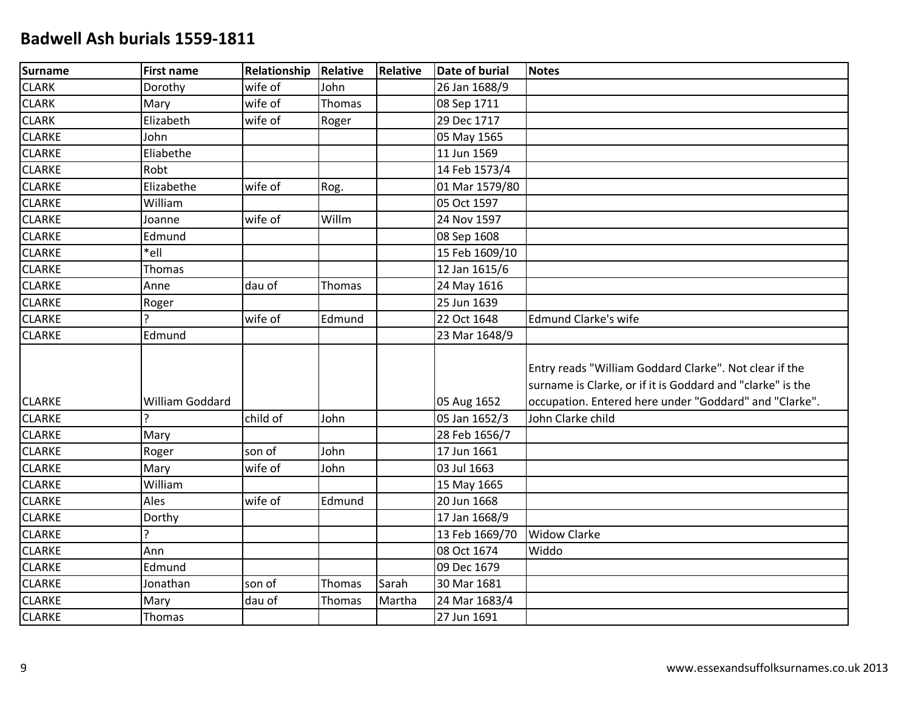| <b>Surname</b> | <b>First name</b> | Relationship | Relative      | Relative | <b>Date of burial</b> | <b>Notes</b>                                                                                                                                                                   |
|----------------|-------------------|--------------|---------------|----------|-----------------------|--------------------------------------------------------------------------------------------------------------------------------------------------------------------------------|
| <b>CLARK</b>   | Dorothy           | wife of      | John          |          | 26 Jan 1688/9         |                                                                                                                                                                                |
| <b>CLARK</b>   | Mary              | wife of      | Thomas        |          | 08 Sep 1711           |                                                                                                                                                                                |
| <b>CLARK</b>   | Elizabeth         | wife of      | Roger         |          | 29 Dec 1717           |                                                                                                                                                                                |
| <b>CLARKE</b>  | John              |              |               |          | 05 May 1565           |                                                                                                                                                                                |
| <b>CLARKE</b>  | Eliabethe         |              |               |          | 11 Jun 1569           |                                                                                                                                                                                |
| <b>CLARKE</b>  | Robt              |              |               |          | 14 Feb 1573/4         |                                                                                                                                                                                |
| <b>CLARKE</b>  | Elizabethe        | wife of      | Rog.          |          | 01 Mar 1579/80        |                                                                                                                                                                                |
| <b>CLARKE</b>  | William           |              |               |          | 05 Oct 1597           |                                                                                                                                                                                |
| <b>CLARKE</b>  | Joanne            | wife of      | Willm         |          | 24 Nov 1597           |                                                                                                                                                                                |
| <b>CLARKE</b>  | Edmund            |              |               |          | 08 Sep 1608           |                                                                                                                                                                                |
| <b>CLARKE</b>  | *ell              |              |               |          | 15 Feb 1609/10        |                                                                                                                                                                                |
| <b>CLARKE</b>  | Thomas            |              |               |          | 12 Jan 1615/6         |                                                                                                                                                                                |
| <b>CLARKE</b>  | Anne              | dau of       | Thomas        |          | 24 May 1616           |                                                                                                                                                                                |
| <b>CLARKE</b>  | Roger             |              |               |          | 25 Jun 1639           |                                                                                                                                                                                |
| <b>CLARKE</b>  | <sub>?</sub>      | wife of      | Edmund        |          | 22 Oct 1648           | <b>Edmund Clarke's wife</b>                                                                                                                                                    |
| <b>CLARKE</b>  | Edmund            |              |               |          | 23 Mar 1648/9         |                                                                                                                                                                                |
| <b>CLARKE</b>  | William Goddard   |              |               |          | 05 Aug 1652           | Entry reads "William Goddard Clarke". Not clear if the<br>surname is Clarke, or if it is Goddard and "clarke" is the<br>occupation. Entered here under "Goddard" and "Clarke". |
| <b>CLARKE</b>  | ς                 | child of     | John          |          | 05 Jan 1652/3         | John Clarke child                                                                                                                                                              |
| <b>CLARKE</b>  | Mary              |              |               |          | 28 Feb 1656/7         |                                                                                                                                                                                |
| <b>CLARKE</b>  | Roger             | son of       | John          |          | 17 Jun 1661           |                                                                                                                                                                                |
| <b>CLARKE</b>  | Mary              | wife of      | John          |          | 03 Jul 1663           |                                                                                                                                                                                |
| <b>CLARKE</b>  | William           |              |               |          | 15 May 1665           |                                                                                                                                                                                |
| <b>CLARKE</b>  | Ales              | wife of      | Edmund        |          | 20 Jun 1668           |                                                                                                                                                                                |
| <b>CLARKE</b>  | Dorthy            |              |               |          | 17 Jan 1668/9         |                                                                                                                                                                                |
| <b>CLARKE</b>  | $\overline{?}$    |              |               |          | 13 Feb 1669/70        | <b>Widow Clarke</b>                                                                                                                                                            |
| <b>CLARKE</b>  | Ann               |              |               |          | 08 Oct 1674           | Widdo                                                                                                                                                                          |
| <b>CLARKE</b>  | Edmund            |              |               |          | 09 Dec 1679           |                                                                                                                                                                                |
| <b>CLARKE</b>  | Jonathan          | son of       | Thomas        | Sarah    | 30 Mar 1681           |                                                                                                                                                                                |
| <b>CLARKE</b>  | Mary              | dau of       | <b>Thomas</b> | Martha   | 24 Mar 1683/4         |                                                                                                                                                                                |
| <b>CLARKE</b>  | Thomas            |              |               |          | 27 Jun 1691           |                                                                                                                                                                                |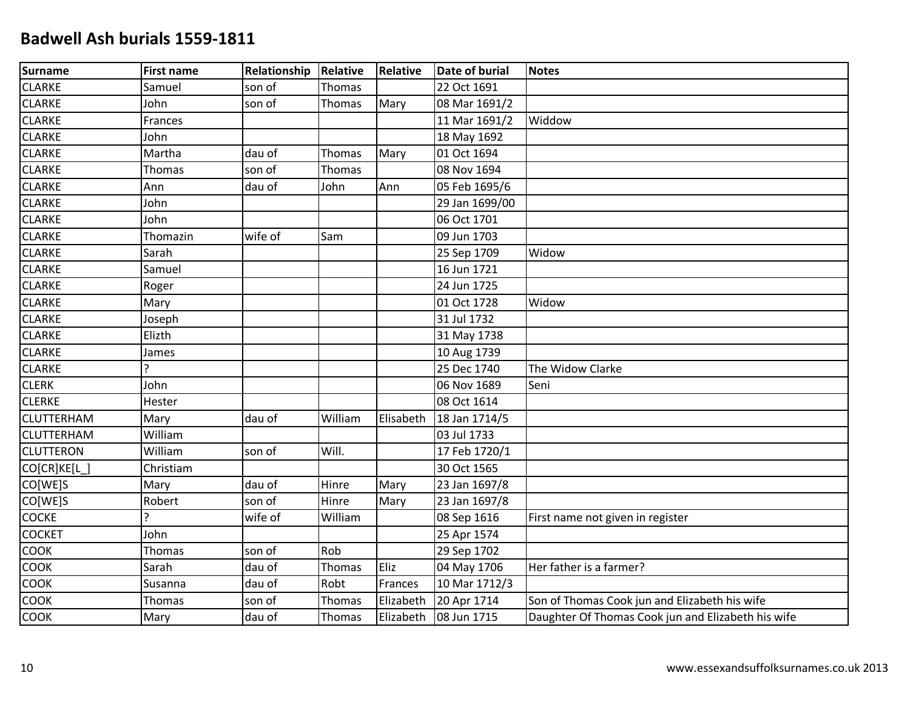| Surname           | <b>First name</b> | <b>Relationship</b> | <b>Relative</b> | Relative  | <b>Date of burial</b> | <b>Notes</b>                                       |
|-------------------|-------------------|---------------------|-----------------|-----------|-----------------------|----------------------------------------------------|
| <b>CLARKE</b>     | Samuel            | son of              | Thomas          |           | 22 Oct 1691           |                                                    |
| <b>CLARKE</b>     | John              | son of              | Thomas          | Mary      | 08 Mar 1691/2         |                                                    |
| <b>CLARKE</b>     | Frances           |                     |                 |           | 11 Mar 1691/2         | Widdow                                             |
| <b>CLARKE</b>     | John              |                     |                 |           | 18 May 1692           |                                                    |
| <b>CLARKE</b>     | Martha            | dau of              | Thomas          | Mary      | 01 Oct 1694           |                                                    |
| <b>CLARKE</b>     | Thomas            | son of              | Thomas          |           | 08 Nov 1694           |                                                    |
| <b>CLARKE</b>     | Ann               | dau of              | John            | Ann       | 05 Feb 1695/6         |                                                    |
| <b>CLARKE</b>     | John              |                     |                 |           | 29 Jan 1699/00        |                                                    |
| <b>CLARKE</b>     | John              |                     |                 |           | 06 Oct 1701           |                                                    |
| <b>CLARKE</b>     | Thomazin          | wife of             | Sam             |           | 09 Jun 1703           |                                                    |
| <b>CLARKE</b>     | Sarah             |                     |                 |           | 25 Sep 1709           | Widow                                              |
| <b>CLARKE</b>     | Samuel            |                     |                 |           | 16 Jun 1721           |                                                    |
| <b>CLARKE</b>     | Roger             |                     |                 |           | 24 Jun 1725           |                                                    |
| <b>CLARKE</b>     | Mary              |                     |                 |           | 01 Oct 1728           | Widow                                              |
| <b>CLARKE</b>     | Joseph            |                     |                 |           | 31 Jul 1732           |                                                    |
| <b>CLARKE</b>     | Elizth            |                     |                 |           | 31 May 1738           |                                                    |
| <b>CLARKE</b>     | James             |                     |                 |           | 10 Aug 1739           |                                                    |
| <b>CLARKE</b>     | C                 |                     |                 |           | 25 Dec 1740           | The Widow Clarke                                   |
| <b>CLERK</b>      | John              |                     |                 |           | 06 Nov 1689           | Seni                                               |
| <b>CLERKE</b>     | Hester            |                     |                 |           | 08 Oct 1614           |                                                    |
| <b>CLUTTERHAM</b> | Mary              | dau of              | William         | Elisabeth | 18 Jan 1714/5         |                                                    |
| <b>CLUTTERHAM</b> | William           |                     |                 |           | 03 Jul 1733           |                                                    |
| <b>CLUTTERON</b>  | William           | son of              | Will.           |           | 17 Feb 1720/1         |                                                    |
| CO[CR]KE[L        | Christiam         |                     |                 |           | 30 Oct 1565           |                                                    |
| CO[WE]S           | Mary              | dau of              | Hinre           | Mary      | 23 Jan 1697/8         |                                                    |
| CO[WE]S           | Robert            | son of              | Hinre           | Mary      | 23 Jan 1697/8         |                                                    |
| <b>COCKE</b>      | $\overline{?}$    | wife of             | William         |           | 08 Sep 1616           | First name not given in register                   |
| <b>COCKET</b>     | John              |                     |                 |           | 25 Apr 1574           |                                                    |
| <b>COOK</b>       | Thomas            | son of              | Rob             |           | 29 Sep 1702           |                                                    |
| <b>COOK</b>       | Sarah             | dau of              | Thomas          | Eliz      | 04 May 1706           | Her father is a farmer?                            |
| COOK              | Susanna           | dau of              | Robt            | Frances   | 10 Mar 1712/3         |                                                    |
| <b>COOK</b>       | Thomas            | son of              | Thomas          | Elizabeth | 20 Apr 1714           | Son of Thomas Cook jun and Elizabeth his wife      |
| <b>COOK</b>       | Mary              | dau of              | Thomas          | Elizabeth | 08 Jun 1715           | Daughter Of Thomas Cook jun and Elizabeth his wife |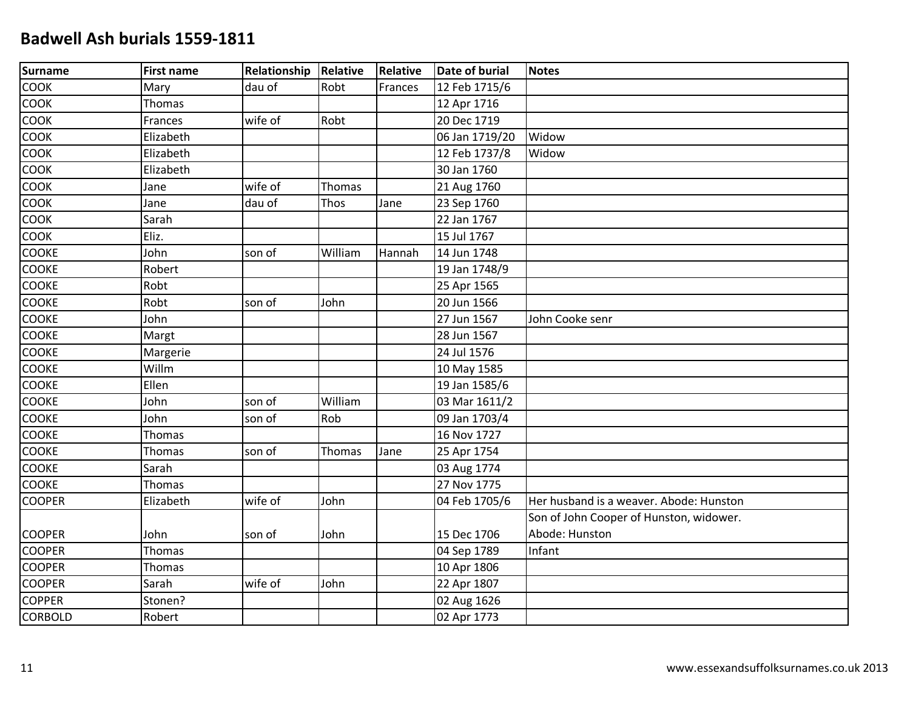| Surname        | <b>First name</b> | Relationship Relative |         | <b>Relative</b> | <b>Date of burial</b> | <b>Notes</b>                            |
|----------------|-------------------|-----------------------|---------|-----------------|-----------------------|-----------------------------------------|
| COOK           | Mary              | dau of                | Robt    | Frances         | 12 Feb 1715/6         |                                         |
| <b>COOK</b>    | Thomas            |                       |         |                 | 12 Apr 1716           |                                         |
| COOK           | Frances           | wife of               | Robt    |                 | 20 Dec 1719           |                                         |
| <b>COOK</b>    | Elizabeth         |                       |         |                 | 06 Jan 1719/20        | Widow                                   |
| <b>COOK</b>    | Elizabeth         |                       |         |                 | 12 Feb 1737/8         | Widow                                   |
| <b>COOK</b>    | Elizabeth         |                       |         |                 | 30 Jan 1760           |                                         |
| COOK           | Jane              | wife of               | Thomas  |                 | 21 Aug 1760           |                                         |
| <b>COOK</b>    | Jane              | dau of                | Thos    | Jane            | 23 Sep 1760           |                                         |
| <b>COOK</b>    | Sarah             |                       |         |                 | 22 Jan 1767           |                                         |
| <b>COOK</b>    | Eliz.             |                       |         |                 | 15 Jul 1767           |                                         |
| <b>COOKE</b>   | John              | son of                | William | Hannah          | 14 Jun 1748           |                                         |
| <b>COOKE</b>   | Robert            |                       |         |                 | 19 Jan 1748/9         |                                         |
| <b>COOKE</b>   | Robt              |                       |         |                 | 25 Apr 1565           |                                         |
| <b>COOKE</b>   | Robt              | son of                | John    |                 | 20 Jun 1566           |                                         |
| <b>COOKE</b>   | John              |                       |         |                 | 27 Jun 1567           | John Cooke senr                         |
| <b>COOKE</b>   | Margt             |                       |         |                 | 28 Jun 1567           |                                         |
| <b>COOKE</b>   | Margerie          |                       |         |                 | 24 Jul 1576           |                                         |
| <b>COOKE</b>   | Willm             |                       |         |                 | 10 May 1585           |                                         |
| <b>COOKE</b>   | Ellen             |                       |         |                 | 19 Jan 1585/6         |                                         |
| <b>COOKE</b>   | John              | son of                | William |                 | 03 Mar 1611/2         |                                         |
| <b>COOKE</b>   | John              | son of                | Rob     |                 | 09 Jan 1703/4         |                                         |
| <b>COOKE</b>   | Thomas            |                       |         |                 | 16 Nov 1727           |                                         |
| <b>COOKE</b>   | Thomas            | son of                | Thomas  | Jane            | 25 Apr 1754           |                                         |
| <b>COOKE</b>   | Sarah             |                       |         |                 | 03 Aug 1774           |                                         |
| <b>COOKE</b>   | Thomas            |                       |         |                 | 27 Nov 1775           |                                         |
| <b>COOPER</b>  | Elizabeth         | wife of               | John    |                 | 04 Feb 1705/6         | Her husband is a weaver. Abode: Hunston |
|                |                   |                       |         |                 |                       | Son of John Cooper of Hunston, widower. |
| <b>COOPER</b>  | John              | son of                | John    |                 | 15 Dec 1706           | Abode: Hunston                          |
| <b>COOPER</b>  | Thomas            |                       |         |                 | 04 Sep 1789           | Infant                                  |
| <b>COOPER</b>  | Thomas            |                       |         |                 | 10 Apr 1806           |                                         |
| <b>COOPER</b>  | Sarah             | wife of               | John    |                 | 22 Apr 1807           |                                         |
| <b>COPPER</b>  | Stonen?           |                       |         |                 | 02 Aug 1626           |                                         |
| <b>CORBOLD</b> | Robert            |                       |         |                 | 02 Apr 1773           |                                         |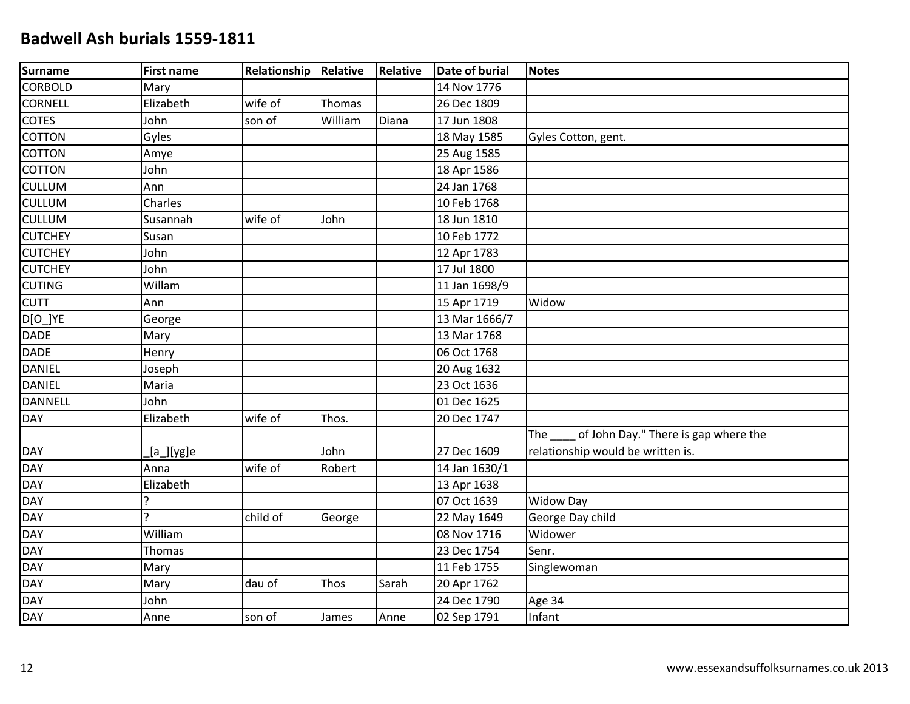| <b>Surname</b> | <b>First name</b> | Relationship Relative |         | <b>Relative</b> | <b>Date of burial</b> | <b>Notes</b>                                   |
|----------------|-------------------|-----------------------|---------|-----------------|-----------------------|------------------------------------------------|
| <b>CORBOLD</b> | Mary              |                       |         |                 | 14 Nov 1776           |                                                |
| <b>CORNELL</b> | Elizabeth         | wife of               | Thomas  |                 | 26 Dec 1809           |                                                |
| <b>COTES</b>   | John              | son of                | William | Diana           | 17 Jun 1808           |                                                |
| <b>COTTON</b>  | Gyles             |                       |         |                 | 18 May 1585           | Gyles Cotton, gent.                            |
| <b>COTTON</b>  | Amye              |                       |         |                 | 25 Aug 1585           |                                                |
| <b>COTTON</b>  | John              |                       |         |                 | 18 Apr 1586           |                                                |
| <b>CULLUM</b>  | Ann               |                       |         |                 | 24 Jan 1768           |                                                |
| <b>CULLUM</b>  | Charles           |                       |         |                 | 10 Feb 1768           |                                                |
| <b>CULLUM</b>  | Susannah          | wife of               | John    |                 | 18 Jun 1810           |                                                |
| <b>CUTCHEY</b> | Susan             |                       |         |                 | 10 Feb 1772           |                                                |
| <b>CUTCHEY</b> | John              |                       |         |                 | 12 Apr 1783           |                                                |
| <b>CUTCHEY</b> | John              |                       |         |                 | 17 Jul 1800           |                                                |
| <b>CUTING</b>  | Willam            |                       |         |                 | 11 Jan 1698/9         |                                                |
| <b>CUTT</b>    | Ann               |                       |         |                 | 15 Apr 1719           | Widow                                          |
| D[O_]YE        | George            |                       |         |                 | 13 Mar 1666/7         |                                                |
| DADE           | Mary              |                       |         |                 | 13 Mar 1768           |                                                |
| DADE           | Henry             |                       |         |                 | 06 Oct 1768           |                                                |
| DANIEL         | Joseph            |                       |         |                 | 20 Aug 1632           |                                                |
| DANIEL         | Maria             |                       |         |                 | 23 Oct 1636           |                                                |
| <b>DANNELL</b> | John              |                       |         |                 | 01 Dec 1625           |                                                |
| <b>DAY</b>     | Elizabeth         | wife of               | Thos.   |                 | 20 Dec 1747           |                                                |
|                |                   |                       |         |                 |                       | The _____ of John Day." There is gap where the |
| DAY            | [a_][yg]e         |                       | John    |                 | 27 Dec 1609           | relationship would be written is.              |
| <b>DAY</b>     | Anna              | wife of               | Robert  |                 | 14 Jan 1630/1         |                                                |
| DAY<br>DAY     | Elizabeth         |                       |         |                 | 13 Apr 1638           |                                                |
|                | ς                 |                       |         |                 | 07 Oct 1639           | <b>Widow Day</b>                               |
| <b>DAY</b>     | ς                 | child of              | George  |                 | 22 May 1649           | George Day child                               |
| <b>DAY</b>     | William           |                       |         |                 | 08 Nov 1716           | Widower                                        |
| DAY            | Thomas            |                       |         |                 | 23 Dec 1754           | Senr.                                          |
| DAY<br>DAY     | Mary              |                       |         |                 | 11 Feb 1755           | Singlewoman                                    |
|                | Mary              | dau of                | Thos    | Sarah           | 20 Apr 1762           |                                                |
| <b>DAY</b>     | John              |                       |         |                 | 24 Dec 1790           | Age 34                                         |
| <b>DAY</b>     | Anne              | son of                | James   | Anne            | 02 Sep 1791           | Infant                                         |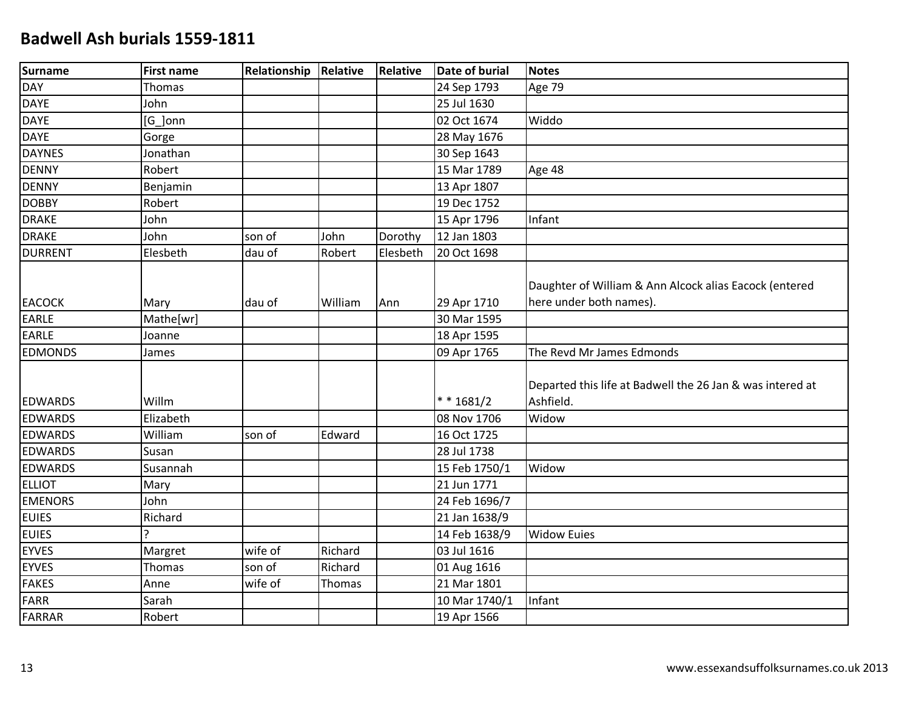| Surname        | <b>First name</b> | Relationship | Relative | <b>Relative</b> | <b>Date of burial</b> | <b>Notes</b>                                                                      |
|----------------|-------------------|--------------|----------|-----------------|-----------------------|-----------------------------------------------------------------------------------|
| <b>DAY</b>     | Thomas            |              |          |                 | 24 Sep 1793           | Age 79                                                                            |
| <b>DAYE</b>    | John              |              |          |                 | 25 Jul 1630           |                                                                                   |
| <b>DAYE</b>    | [G_]onn           |              |          |                 | 02 Oct 1674           | Widdo                                                                             |
| <b>DAYE</b>    | Gorge             |              |          |                 | 28 May 1676           |                                                                                   |
| <b>DAYNES</b>  | Jonathan          |              |          |                 | 30 Sep 1643           |                                                                                   |
| <b>DENNY</b>   | Robert            |              |          |                 | 15 Mar 1789           | Age 48                                                                            |
| <b>DENNY</b>   | Benjamin          |              |          |                 | 13 Apr 1807           |                                                                                   |
| <b>DOBBY</b>   | Robert            |              |          |                 | 19 Dec 1752           |                                                                                   |
| <b>DRAKE</b>   | John              |              |          |                 | 15 Apr 1796           | Infant                                                                            |
| <b>DRAKE</b>   | John              | son of       | John     | Dorothy         | 12 Jan 1803           |                                                                                   |
| <b>DURRENT</b> | Elesbeth          | dau of       | Robert   | Elesbeth        | 20 Oct 1698           |                                                                                   |
| <b>EACOCK</b>  | Mary              | dau of       | William  | Ann             | 29 Apr 1710           | Daughter of William & Ann Alcock alias Eacock (entered<br>here under both names). |
| <b>EARLE</b>   | Mathe[wr]         |              |          |                 | 30 Mar 1595           |                                                                                   |
| <b>EARLE</b>   | Joanne            |              |          |                 | 18 Apr 1595           |                                                                                   |
| <b>EDMONDS</b> | James             |              |          |                 | 09 Apr 1765           | The Revd Mr James Edmonds                                                         |
| <b>EDWARDS</b> | Willm             |              |          |                 | $* * 1681/2$          | Departed this life at Badwell the 26 Jan & was intered at<br>Ashfield.            |
| <b>EDWARDS</b> | Elizabeth         |              |          |                 | 08 Nov 1706           | Widow                                                                             |
| <b>EDWARDS</b> | William           | son of       | Edward   |                 | 16 Oct 1725           |                                                                                   |
| <b>EDWARDS</b> | Susan             |              |          |                 | 28 Jul 1738           |                                                                                   |
| <b>EDWARDS</b> | Susannah          |              |          |                 | 15 Feb 1750/1         | Widow                                                                             |
| <b>ELLIOT</b>  | Mary              |              |          |                 | 21 Jun 1771           |                                                                                   |
| <b>EMENORS</b> | John              |              |          |                 | 24 Feb 1696/7         |                                                                                   |
| <b>EUIES</b>   | Richard           |              |          |                 | 21 Jan 1638/9         |                                                                                   |
| <b>EUIES</b>   | ς                 |              |          |                 | 14 Feb 1638/9         | <b>Widow Euies</b>                                                                |
| <b>EYVES</b>   | Margret           | wife of      | Richard  |                 | 03 Jul 1616           |                                                                                   |
| <b>EYVES</b>   | Thomas            | son of       | Richard  |                 | 01 Aug 1616           |                                                                                   |
| <b>FAKES</b>   | Anne              | wife of      | Thomas   |                 | 21 Mar 1801           |                                                                                   |
| <b>FARR</b>    | Sarah             |              |          |                 | 10 Mar 1740/1         | Infant                                                                            |
| <b>FARRAR</b>  | Robert            |              |          |                 | 19 Apr 1566           |                                                                                   |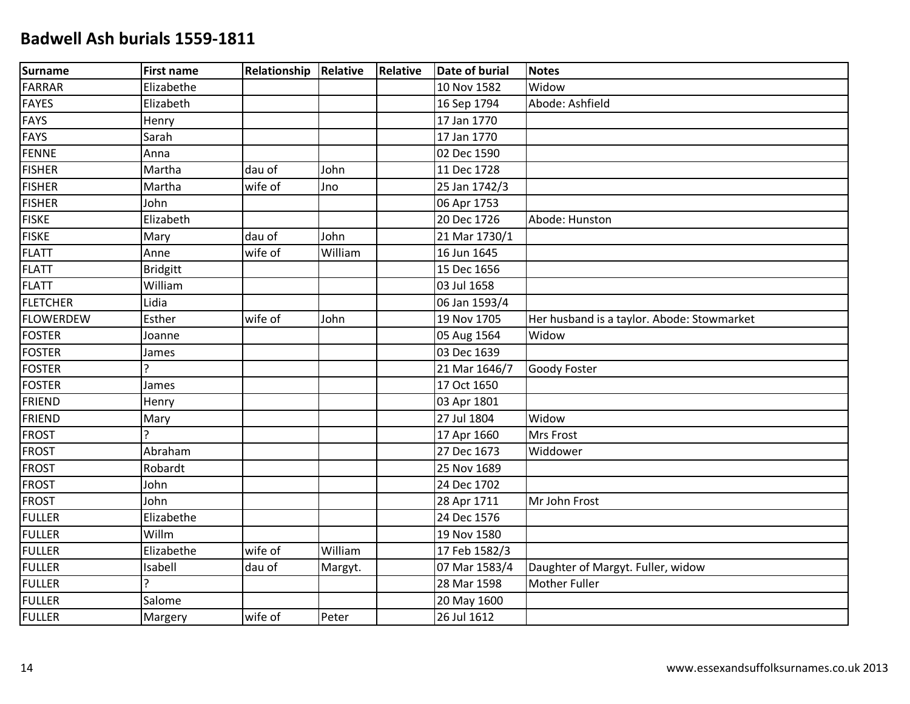| Surname          | <b>First name</b> | <b>Relationship Relative</b> |         | Relative | <b>Date of burial</b> | <b>Notes</b>                               |
|------------------|-------------------|------------------------------|---------|----------|-----------------------|--------------------------------------------|
| <b>FARRAR</b>    | Elizabethe        |                              |         |          | 10 Nov 1582           | Widow                                      |
| <b>FAYES</b>     | Elizabeth         |                              |         |          | 16 Sep 1794           | Abode: Ashfield                            |
| <b>FAYS</b>      | Henry             |                              |         |          | 17 Jan 1770           |                                            |
| <b>FAYS</b>      | Sarah             |                              |         |          | 17 Jan 1770           |                                            |
| <b>FENNE</b>     | Anna              |                              |         |          | 02 Dec 1590           |                                            |
| <b>FISHER</b>    | Martha            | dau of                       | John    |          | 11 Dec 1728           |                                            |
| <b>FISHER</b>    | Martha            | wife of                      | Jno     |          | 25 Jan 1742/3         |                                            |
| <b>FISHER</b>    | John              |                              |         |          | 06 Apr 1753           |                                            |
| <b>FISKE</b>     | Elizabeth         |                              |         |          | 20 Dec 1726           | Abode: Hunston                             |
| <b>FISKE</b>     | Mary              | dau of                       | John    |          | 21 Mar 1730/1         |                                            |
| <b>FLATT</b>     | Anne              | wife of                      | William |          | 16 Jun 1645           |                                            |
| <b>FLATT</b>     | Bridgitt          |                              |         |          | 15 Dec 1656           |                                            |
| <b>FLATT</b>     | William           |                              |         |          | 03 Jul 1658           |                                            |
| <b>FLETCHER</b>  | Lidia             |                              |         |          | 06 Jan 1593/4         |                                            |
| <b>FLOWERDEW</b> | Esther            | wife of                      | John    |          | 19 Nov 1705           | Her husband is a taylor. Abode: Stowmarket |
| <b>FOSTER</b>    | Joanne            |                              |         |          | 05 Aug 1564           | Widow                                      |
| <b>FOSTER</b>    | James             |                              |         |          | 03 Dec 1639           |                                            |
| <b>FOSTER</b>    | ς                 |                              |         |          | 21 Mar 1646/7         | <b>Goody Foster</b>                        |
| <b>FOSTER</b>    | James             |                              |         |          | 17 Oct 1650           |                                            |
| <b>FRIEND</b>    | Henry             |                              |         |          | 03 Apr 1801           |                                            |
| <b>FRIEND</b>    | Mary              |                              |         |          | 27 Jul 1804           | Widow                                      |
| <b>FROST</b>     | ς                 |                              |         |          | 17 Apr 1660           | <b>Mrs Frost</b>                           |
| <b>FROST</b>     | Abraham           |                              |         |          | 27 Dec 1673           | Widdower                                   |
| <b>FROST</b>     | Robardt           |                              |         |          | 25 Nov 1689           |                                            |
| <b>FROST</b>     | John              |                              |         |          | 24 Dec 1702           |                                            |
| <b>FROST</b>     | John              |                              |         |          | 28 Apr 1711           | Mr John Frost                              |
| <b>FULLER</b>    | Elizabethe        |                              |         |          | 24 Dec 1576           |                                            |
| <b>FULLER</b>    | Willm             |                              |         |          | 19 Nov 1580           |                                            |
| <b>FULLER</b>    | Elizabethe        | wife of                      | William |          | 17 Feb 1582/3         |                                            |
| <b>FULLER</b>    | Isabell           | dau of                       | Margyt. |          | 07 Mar 1583/4         | Daughter of Margyt. Fuller, widow          |
| <b>FULLER</b>    | ç.                |                              |         |          | 28 Mar 1598           | <b>Mother Fuller</b>                       |
| <b>FULLER</b>    | Salome            |                              |         |          | 20 May 1600           |                                            |
| <b>FULLER</b>    | Margery           | wife of                      | Peter   |          | 26 Jul 1612           |                                            |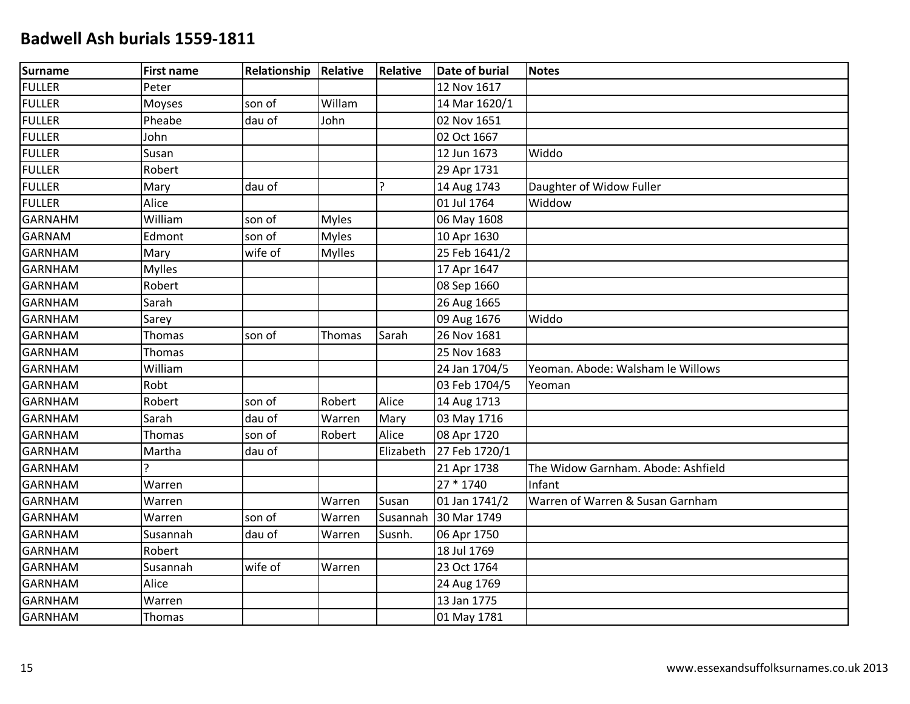| <b>Surname</b> | <b>First name</b> | Relationship Relative |               | Relative  | <b>Date of burial</b> | <b>Notes</b>                       |
|----------------|-------------------|-----------------------|---------------|-----------|-----------------------|------------------------------------|
| <b>FULLER</b>  | Peter             |                       |               |           | 12 Nov 1617           |                                    |
| <b>FULLER</b>  | Moyses            | son of                | Willam        |           | 14 Mar 1620/1         |                                    |
| <b>FULLER</b>  | Pheabe            | dau of                | John          |           | 02 Nov 1651           |                                    |
| <b>FULLER</b>  | John              |                       |               |           | 02 Oct 1667           |                                    |
| <b>FULLER</b>  | Susan             |                       |               |           | 12 Jun 1673           | Widdo                              |
| <b>FULLER</b>  | Robert            |                       |               |           | 29 Apr 1731           |                                    |
| <b>FULLER</b>  | Mary              | dau of                |               | ?         | 14 Aug 1743           | Daughter of Widow Fuller           |
| <b>FULLER</b>  | Alice             |                       |               |           | 01 Jul 1764           | Widdow                             |
| <b>GARNAHM</b> | William           | son of                | <b>Myles</b>  |           | 06 May 1608           |                                    |
| <b>GARNAM</b>  | Edmont            | son of                | <b>Myles</b>  |           | 10 Apr 1630           |                                    |
| <b>GARNHAM</b> | Mary              | wife of               | <b>Mylles</b> |           | 25 Feb 1641/2         |                                    |
| <b>GARNHAM</b> | <b>Mylles</b>     |                       |               |           | 17 Apr 1647           |                                    |
| <b>GARNHAM</b> | Robert            |                       |               |           | 08 Sep 1660           |                                    |
| <b>GARNHAM</b> | Sarah             |                       |               |           | 26 Aug 1665           |                                    |
| <b>GARNHAM</b> | Sarey             |                       |               |           | 09 Aug 1676           | Widdo                              |
| <b>GARNHAM</b> | Thomas            | son of                | Thomas        | Sarah     | 26 Nov 1681           |                                    |
| <b>GARNHAM</b> | Thomas            |                       |               |           | 25 Nov 1683           |                                    |
| <b>GARNHAM</b> | William           |                       |               |           | 24 Jan 1704/5         | Yeoman. Abode: Walsham le Willows  |
| <b>GARNHAM</b> | Robt              |                       |               |           | 03 Feb 1704/5         | Yeoman                             |
| <b>GARNHAM</b> | Robert            | son of                | Robert        | Alice     | 14 Aug 1713           |                                    |
| <b>GARNHAM</b> | Sarah             | dau of                | Warren        | Mary      | 03 May 1716           |                                    |
| <b>GARNHAM</b> | Thomas            | son of                | Robert        | Alice     | 08 Apr 1720           |                                    |
| <b>GARNHAM</b> | Martha            | dau of                |               | Elizabeth | 27 Feb 1720/1         |                                    |
| <b>GARNHAM</b> | ς                 |                       |               |           | 21 Apr 1738           | The Widow Garnham. Abode: Ashfield |
| <b>GARNHAM</b> | Warren            |                       |               |           | 27 * 1740             | Infant                             |
| <b>GARNHAM</b> | Warren            |                       | Warren        | Susan     | 01 Jan 1741/2         | Warren of Warren & Susan Garnham   |
| <b>GARNHAM</b> | Warren            | son of                | Warren        | Susannah  | 30 Mar 1749           |                                    |
| <b>GARNHAM</b> | Susannah          | dau of                | Warren        | Susnh.    | 06 Apr 1750           |                                    |
| <b>GARNHAM</b> | Robert            |                       |               |           | 18 Jul 1769           |                                    |
| <b>GARNHAM</b> | Susannah          | wife of               | Warren        |           | 23 Oct 1764           |                                    |
| <b>GARNHAM</b> | Alice             |                       |               |           | 24 Aug 1769           |                                    |
| <b>GARNHAM</b> | Warren            |                       |               |           | 13 Jan 1775           |                                    |
| <b>GARNHAM</b> | Thomas            |                       |               |           | 01 May 1781           |                                    |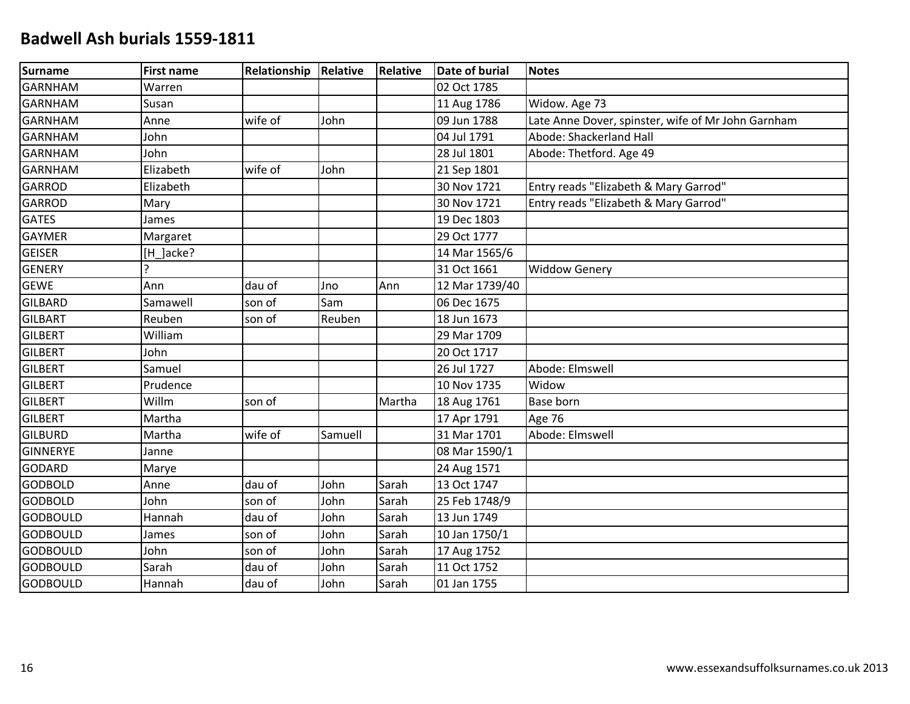| Surname         | <b>First name</b> | Relationship | Relative | Relative | <b>Date of burial</b> | <b>Notes</b>                                       |
|-----------------|-------------------|--------------|----------|----------|-----------------------|----------------------------------------------------|
| <b>GARNHAM</b>  | Warren            |              |          |          | 02 Oct 1785           |                                                    |
| <b>GARNHAM</b>  | Susan             |              |          |          | 11 Aug 1786           | Widow. Age 73                                      |
| <b>GARNHAM</b>  | Anne              | wife of      | John     |          | 09 Jun 1788           | Late Anne Dover, spinster, wife of Mr John Garnham |
| <b>GARNHAM</b>  | John              |              |          |          | 04 Jul 1791           | Abode: Shackerland Hall                            |
| <b>GARNHAM</b>  | John              |              |          |          | 28 Jul 1801           | Abode: Thetford. Age 49                            |
| <b>GARNHAM</b>  | Elizabeth         | wife of      | John     |          | 21 Sep 1801           |                                                    |
| <b>GARROD</b>   | Elizabeth         |              |          |          | 30 Nov 1721           | Entry reads "Elizabeth & Mary Garrod"              |
| <b>GARROD</b>   | Mary              |              |          |          | 30 Nov 1721           | Entry reads "Elizabeth & Mary Garrod"              |
| <b>GATES</b>    | James             |              |          |          | 19 Dec 1803           |                                                    |
| <b>GAYMER</b>   | Margaret          |              |          |          | 29 Oct 1777           |                                                    |
| <b>GEISER</b>   | [H_]acke?         |              |          |          | 14 Mar 1565/6         |                                                    |
| <b>GENERY</b>   | $\mathcal{L}$     |              |          |          | 31 Oct 1661           | <b>Widdow Genery</b>                               |
| <b>GEWE</b>     | Ann               | dau of       | Jno      | Ann      | 12 Mar 1739/40        |                                                    |
| <b>GILBARD</b>  | Samawell          | son of       | Sam      |          | 06 Dec 1675           |                                                    |
| <b>GILBART</b>  | Reuben            | son of       | Reuben   |          | 18 Jun 1673           |                                                    |
| <b>GILBERT</b>  | William           |              |          |          | 29 Mar 1709           |                                                    |
| <b>GILBERT</b>  | John              |              |          |          | 20 Oct 1717           |                                                    |
| <b>GILBERT</b>  | Samuel            |              |          |          | 26 Jul 1727           | Abode: Elmswell                                    |
| <b>GILBERT</b>  | Prudence          |              |          |          | 10 Nov 1735           | Widow                                              |
| <b>GILBERT</b>  | Willm             | son of       |          | Martha   | 18 Aug 1761           | <b>Base born</b>                                   |
| <b>GILBERT</b>  | Martha            |              |          |          | 17 Apr 1791           | <b>Age 76</b>                                      |
| <b>GILBURD</b>  | Martha            | wife of      | Samuell  |          | 31 Mar 1701           | Abode: Elmswell                                    |
| <b>GINNERYE</b> | Janne             |              |          |          | 08 Mar 1590/1         |                                                    |
| <b>GODARD</b>   | Marye             |              |          |          | 24 Aug 1571           |                                                    |
| <b>GODBOLD</b>  | Anne              | dau of       | John     | Sarah    | 13 Oct 1747           |                                                    |
| <b>GODBOLD</b>  | John              | son of       | John     | Sarah    | 25 Feb 1748/9         |                                                    |
| <b>GODBOULD</b> | Hannah            | dau of       | John     | Sarah    | 13 Jun 1749           |                                                    |
| <b>GODBOULD</b> | James             | son of       | John     | Sarah    | 10 Jan 1750/1         |                                                    |
| <b>GODBOULD</b> | John              | son of       | John     | Sarah    | 17 Aug 1752           |                                                    |
| <b>GODBOULD</b> | Sarah             | dau of       | John     | Sarah    | 11 Oct 1752           |                                                    |
| <b>GODBOULD</b> | Hannah            | dau of       | John     | Sarah    | 01 Jan 1755           |                                                    |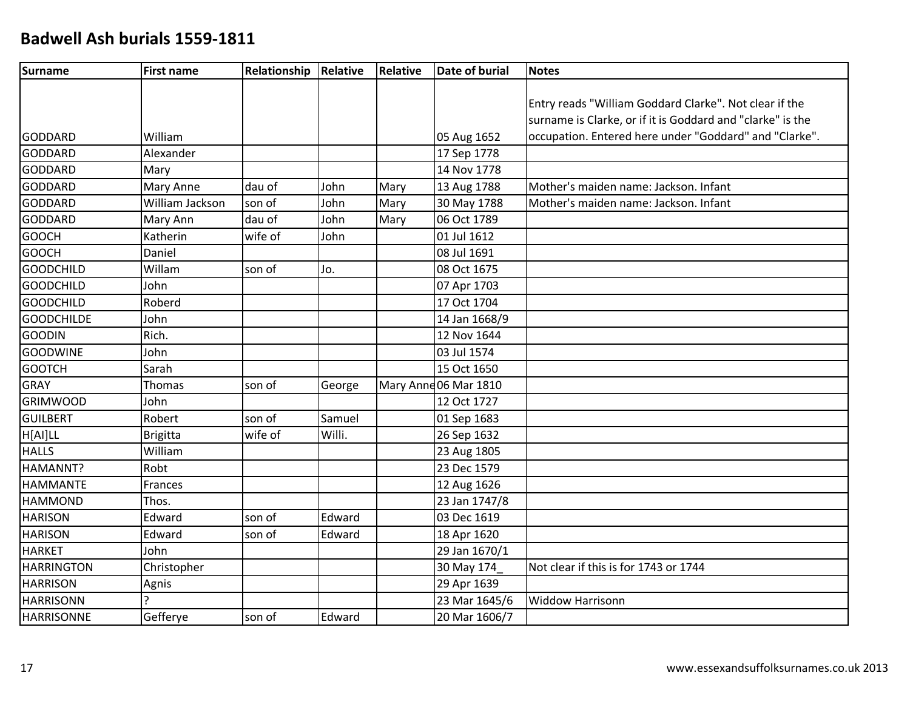| Surname           | <b>First name</b> | Relationship | Relative | Relative | <b>Date of burial</b> | <b>Notes</b>                                               |
|-------------------|-------------------|--------------|----------|----------|-----------------------|------------------------------------------------------------|
|                   |                   |              |          |          |                       |                                                            |
|                   |                   |              |          |          |                       | Entry reads "William Goddard Clarke". Not clear if the     |
|                   |                   |              |          |          |                       | surname is Clarke, or if it is Goddard and "clarke" is the |
| <b>GODDARD</b>    | William           |              |          |          | 05 Aug 1652           | occupation. Entered here under "Goddard" and "Clarke".     |
| <b>GODDARD</b>    | Alexander         |              |          |          | 17 Sep 1778           |                                                            |
| GODDARD           | Mary              |              |          |          | 14 Nov 1778           |                                                            |
| GODDARD           | Mary Anne         | dau of       | John     | Mary     | 13 Aug 1788           | Mother's maiden name: Jackson. Infant                      |
| GODDARD           | William Jackson   | son of       | John     | Mary     | 30 May 1788           | Mother's maiden name: Jackson. Infant                      |
| <b>GODDARD</b>    | Mary Ann          | dau of       | John     | Mary     | 06 Oct 1789           |                                                            |
| <b>GOOCH</b>      | Katherin          | wife of      | John     |          | 01 Jul 1612           |                                                            |
| <b>GOOCH</b>      | Daniel            |              |          |          | 08 Jul 1691           |                                                            |
| <b>GOODCHILD</b>  | Willam            | son of       | Jo.      |          | 08 Oct 1675           |                                                            |
| <b>GOODCHILD</b>  | John              |              |          |          | 07 Apr 1703           |                                                            |
| <b>GOODCHILD</b>  | Roberd            |              |          |          | 17 Oct 1704           |                                                            |
| <b>GOODCHILDE</b> | John              |              |          |          | 14 Jan 1668/9         |                                                            |
| <b>GOODIN</b>     | Rich.             |              |          |          | 12 Nov 1644           |                                                            |
| <b>GOODWINE</b>   | John              |              |          |          | 03 Jul 1574           |                                                            |
| <b>GOOTCH</b>     | Sarah             |              |          |          | 15 Oct 1650           |                                                            |
| GRAY              | Thomas            | son of       | George   |          | Mary Anne 06 Mar 1810 |                                                            |
| <b>GRIMWOOD</b>   | John              |              |          |          | 12 Oct 1727           |                                                            |
| GUILBERT          | Robert            | son of       | Samuel   |          | 01 Sep 1683           |                                                            |
| H[AI]LL           | <b>Brigitta</b>   | wife of      | Willi.   |          | 26 Sep 1632           |                                                            |
| <b>HALLS</b>      | William           |              |          |          | 23 Aug 1805           |                                                            |
| HAMANNT?          | Robt              |              |          |          | 23 Dec 1579           |                                                            |
| <b>HAMMANTE</b>   | Frances           |              |          |          | 12 Aug 1626           |                                                            |
| <b>HAMMOND</b>    | Thos.             |              |          |          | 23 Jan 1747/8         |                                                            |
| <b>HARISON</b>    | Edward            | son of       | Edward   |          | 03 Dec 1619           |                                                            |
| <b>HARISON</b>    | Edward            | son of       | Edward   |          | 18 Apr 1620           |                                                            |
| <b>HARKET</b>     | John              |              |          |          | 29 Jan 1670/1         |                                                            |
| <b>HARRINGTON</b> | Christopher       |              |          |          | 30 May 174            | Not clear if this is for 1743 or 1744                      |
| <b>HARRISON</b>   | Agnis             |              |          |          | 29 Apr 1639           |                                                            |
| <b>HARRISONN</b>  |                   |              |          |          | 23 Mar 1645/6         | <b>Widdow Harrisonn</b>                                    |
| <b>HARRISONNE</b> | Gefferye          | son of       | Edward   |          | 20 Mar 1606/7         |                                                            |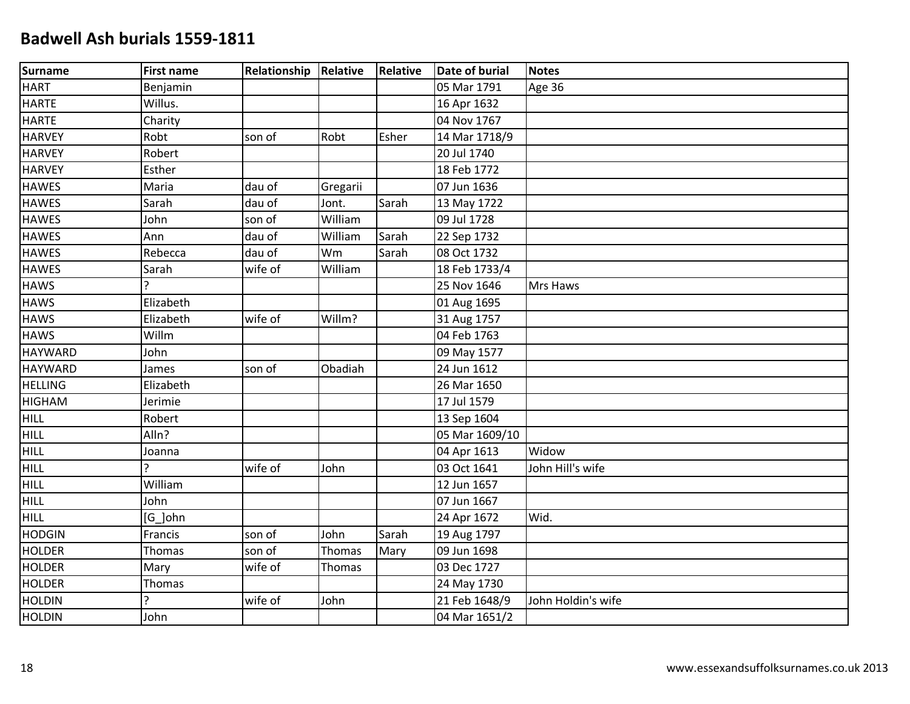| <b>Surname</b> | <b>First name</b> | Relationship | Relative | Relative | <b>Date of burial</b> | <b>Notes</b>       |
|----------------|-------------------|--------------|----------|----------|-----------------------|--------------------|
| <b>HART</b>    | Benjamin          |              |          |          | 05 Mar 1791           | Age 36             |
| <b>HARTE</b>   | Willus.           |              |          |          | 16 Apr 1632           |                    |
| <b>HARTE</b>   | Charity           |              |          |          | 04 Nov 1767           |                    |
| <b>HARVEY</b>  | Robt              | son of       | Robt     | Esher    | 14 Mar 1718/9         |                    |
| <b>HARVEY</b>  | Robert            |              |          |          | 20 Jul 1740           |                    |
| <b>HARVEY</b>  | Esther            |              |          |          | 18 Feb 1772           |                    |
| <b>HAWES</b>   | Maria             | dau of       | Gregarii |          | 07 Jun 1636           |                    |
| <b>HAWES</b>   | Sarah             | dau of       | Jont.    | Sarah    | 13 May 1722           |                    |
| <b>HAWES</b>   | John              | son of       | William  |          | 09 Jul 1728           |                    |
| <b>HAWES</b>   | Ann               | dau of       | William  | Sarah    | 22 Sep 1732           |                    |
| <b>HAWES</b>   | Rebecca           | dau of       | Wm       | Sarah    | 08 Oct 1732           |                    |
| <b>HAWES</b>   | Sarah             | wife of      | William  |          | 18 Feb 1733/4         |                    |
| <b>HAWS</b>    | $\mathbf{r}$      |              |          |          | 25 Nov 1646           | Mrs Haws           |
| <b>HAWS</b>    | Elizabeth         |              |          |          | 01 Aug 1695           |                    |
| <b>HAWS</b>    | Elizabeth         | wife of      | Willm?   |          | 31 Aug 1757           |                    |
| <b>HAWS</b>    | Willm             |              |          |          | 04 Feb 1763           |                    |
| <b>HAYWARD</b> | John              |              |          |          | 09 May 1577           |                    |
| <b>HAYWARD</b> | James             | son of       | Obadiah  |          | 24 Jun 1612           |                    |
| <b>HELLING</b> | Elizabeth         |              |          |          | 26 Mar 1650           |                    |
| <b>HIGHAM</b>  | Jerimie           |              |          |          | 17 Jul 1579           |                    |
| <b>HILL</b>    | Robert            |              |          |          | 13 Sep 1604           |                    |
| <b>HILL</b>    | Alln?             |              |          |          | 05 Mar 1609/10        |                    |
| <b>HILL</b>    | Joanna            |              |          |          | 04 Apr 1613           | Widow              |
| <b>HILL</b>    | ς                 | wife of      | John     |          | 03 Oct 1641           | John Hill's wife   |
| <b>HILL</b>    | William           |              |          |          | 12 Jun 1657           |                    |
| <b>HILL</b>    | John              |              |          |          | 07 Jun 1667           |                    |
| <b>HILL</b>    | [G_]ohn           |              |          |          | 24 Apr 1672           | Wid.               |
| <b>HODGIN</b>  | Francis           | son of       | John     | Sarah    | 19 Aug 1797           |                    |
| <b>HOLDER</b>  | Thomas            | son of       | Thomas   | Mary     | 09 Jun 1698           |                    |
| <b>HOLDER</b>  | Mary              | wife of      | Thomas   |          | 03 Dec 1727           |                    |
| <b>HOLDER</b>  | Thomas            |              |          |          | 24 May 1730           |                    |
| <b>HOLDIN</b>  | <b>C</b>          | wife of      | John     |          | 21 Feb 1648/9         | John Holdin's wife |
| <b>HOLDIN</b>  | John              |              |          |          | 04 Mar 1651/2         |                    |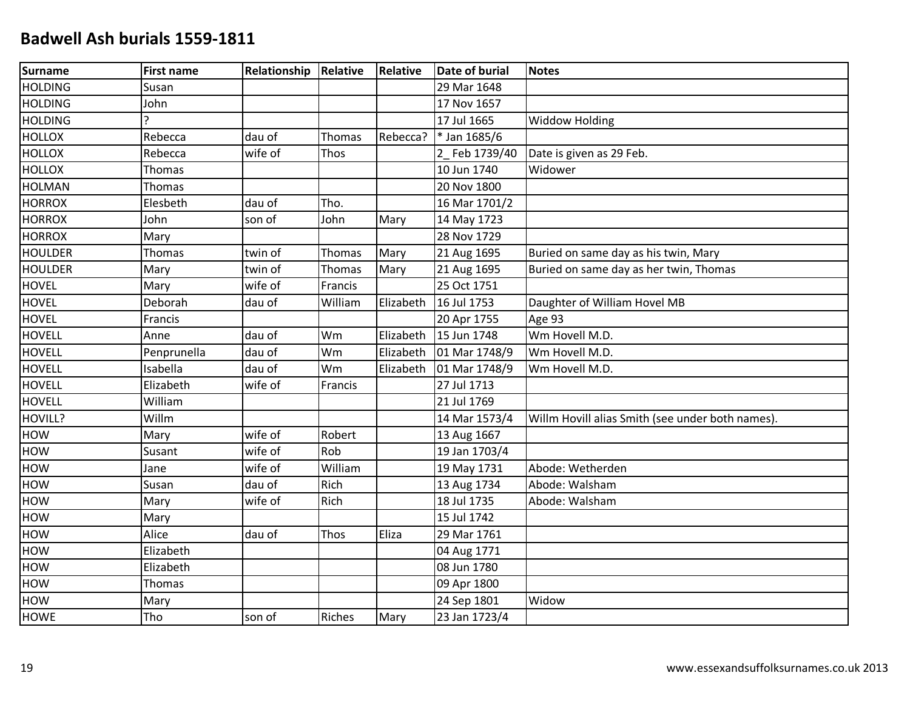| <b>Surname</b> | <b>First name</b> | Relationship | Relative      | Relative  | <b>Date of burial</b> | <b>Notes</b>                                     |
|----------------|-------------------|--------------|---------------|-----------|-----------------------|--------------------------------------------------|
| <b>HOLDING</b> | Susan             |              |               |           | 29 Mar 1648           |                                                  |
| <b>HOLDING</b> | John              |              |               |           | 17 Nov 1657           |                                                  |
| <b>HOLDING</b> | ς                 |              |               |           | 17 Jul 1665           | <b>Widdow Holding</b>                            |
| <b>HOLLOX</b>  | Rebecca           | dau of       | Thomas        | Rebecca?  | * Jan 1685/6          |                                                  |
| <b>HOLLOX</b>  | Rebecca           | wife of      | Thos          |           | 2 Feb 1739/40         | Date is given as 29 Feb.                         |
| <b>HOLLOX</b>  | Thomas            |              |               |           | 10 Jun 1740           | Widower                                          |
| <b>HOLMAN</b>  | Thomas            |              |               |           | 20 Nov 1800           |                                                  |
| <b>HORROX</b>  | Elesbeth          | dau of       | Tho.          |           | 16 Mar 1701/2         |                                                  |
| <b>HORROX</b>  | John              | son of       | John          | Mary      | 14 May 1723           |                                                  |
| <b>HORROX</b>  | Mary              |              |               |           | 28 Nov 1729           |                                                  |
| <b>HOULDER</b> | <b>Thomas</b>     | twin of      | Thomas        | Mary      | 21 Aug 1695           | Buried on same day as his twin, Mary             |
| <b>HOULDER</b> | Mary              | twin of      | Thomas        | Mary      | 21 Aug 1695           | Buried on same day as her twin, Thomas           |
| <b>HOVEL</b>   | Mary              | wife of      | Francis       |           | 25 Oct 1751           |                                                  |
| <b>HOVEL</b>   | Deborah           | dau of       | William       | Elizabeth | 16 Jul 1753           | Daughter of William Hovel MB                     |
| <b>HOVEL</b>   | Francis           |              |               |           | 20 Apr 1755           | Age 93                                           |
| <b>HOVELL</b>  | Anne              | dau of       | Wm            | Elizabeth | 15 Jun 1748           | Wm Hovell M.D.                                   |
| <b>HOVELL</b>  | Penprunella       | dau of       | Wm            | Elizabeth | 01 Mar 1748/9         | Wm Hovell M.D.                                   |
| <b>HOVELL</b>  | Isabella          | dau of       | Wm            | Elizabeth | 01 Mar 1748/9         | Wm Hovell M.D.                                   |
| <b>HOVELL</b>  | Elizabeth         | wife of      | Francis       |           | 27 Jul 1713           |                                                  |
| <b>HOVELL</b>  | William           |              |               |           | 21 Jul 1769           |                                                  |
| HOVILL?        | Willm             |              |               |           | 14 Mar 1573/4         | Willm Hovill alias Smith (see under both names). |
| HOW            | Mary              | wife of      | Robert        |           | 13 Aug 1667           |                                                  |
| HOW            | Susant            | wife of      | Rob           |           | 19 Jan 1703/4         |                                                  |
| <b>HOW</b>     | Jane              | wife of      | William       |           | 19 May 1731           | Abode: Wetherden                                 |
| HOW            | Susan             | dau of       | Rich          |           | 13 Aug 1734           | Abode: Walsham                                   |
| HOW            | Mary              | wife of      | Rich          |           | 18 Jul 1735           | Abode: Walsham                                   |
| HOW            | Mary              |              |               |           | 15 Jul 1742           |                                                  |
| HOW            | Alice             | dau of       | Thos          | Eliza     | 29 Mar 1761           |                                                  |
| <b>HOW</b>     | Elizabeth         |              |               |           | 04 Aug 1771           |                                                  |
| <b>HOW</b>     | Elizabeth         |              |               |           | 08 Jun 1780           |                                                  |
| HOW            | Thomas            |              |               |           | 09 Apr 1800           |                                                  |
| HOW            | Mary              |              |               |           | 24 Sep 1801           | Widow                                            |
| <b>HOWE</b>    | Tho               | son of       | <b>Riches</b> | Mary      | 23 Jan 1723/4         |                                                  |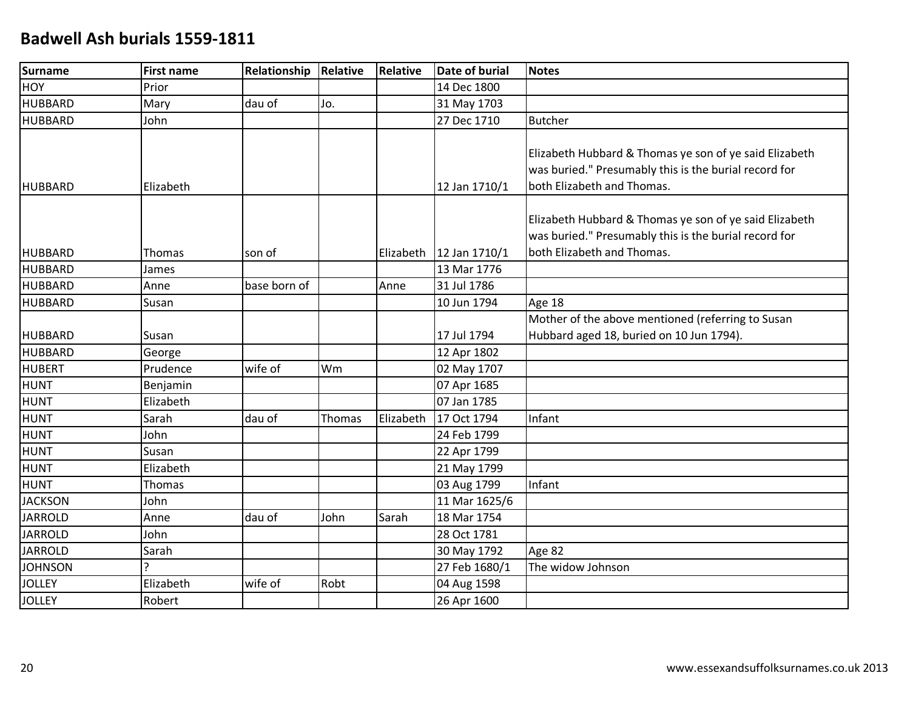| Surname        | <b>First name</b> | Relationship | Relative | <b>Relative</b> | <b>Date of burial</b> | <b>Notes</b>                                                                                                                                  |
|----------------|-------------------|--------------|----------|-----------------|-----------------------|-----------------------------------------------------------------------------------------------------------------------------------------------|
| <b>HOY</b>     | Prior             |              |          |                 | 14 Dec 1800           |                                                                                                                                               |
| <b>HUBBARD</b> | Mary              | dau of       | Jo.      |                 | 31 May 1703           |                                                                                                                                               |
| <b>HUBBARD</b> | John              |              |          |                 | 27 Dec 1710           | <b>Butcher</b>                                                                                                                                |
| <b>HUBBARD</b> | Elizabeth         |              |          |                 | 12 Jan 1710/1         | Elizabeth Hubbard & Thomas ye son of ye said Elizabeth<br>was buried." Presumably this is the burial record for<br>both Elizabeth and Thomas. |
| <b>HUBBARD</b> | Thomas            | son of       |          | Elizabeth       | 12 Jan 1710/1         | Elizabeth Hubbard & Thomas ye son of ye said Elizabeth<br>was buried." Presumably this is the burial record for<br>both Elizabeth and Thomas. |
| <b>HUBBARD</b> | James             |              |          |                 | 13 Mar 1776           |                                                                                                                                               |
| <b>HUBBARD</b> | Anne              | base born of |          | Anne            | 31 Jul 1786           |                                                                                                                                               |
| <b>HUBBARD</b> | Susan             |              |          |                 | 10 Jun 1794           | Age 18                                                                                                                                        |
| <b>HUBBARD</b> | Susan             |              |          |                 | 17 Jul 1794           | Mother of the above mentioned (referring to Susan<br>Hubbard aged 18, buried on 10 Jun 1794).                                                 |
| <b>HUBBARD</b> | George            |              |          |                 | 12 Apr 1802           |                                                                                                                                               |
| <b>HUBERT</b>  | Prudence          | wife of      | Wm       |                 | 02 May 1707           |                                                                                                                                               |
| <b>HUNT</b>    | Benjamin          |              |          |                 | 07 Apr 1685           |                                                                                                                                               |
| <b>HUNT</b>    | Elizabeth         |              |          |                 | 07 Jan 1785           |                                                                                                                                               |
| <b>HUNT</b>    | Sarah             | dau of       | Thomas   | Elizabeth       | 17 Oct 1794           | Infant                                                                                                                                        |
| <b>HUNT</b>    | John              |              |          |                 | 24 Feb 1799           |                                                                                                                                               |
| <b>HUNT</b>    | Susan             |              |          |                 | 22 Apr 1799           |                                                                                                                                               |
| <b>HUNT</b>    | Elizabeth         |              |          |                 | 21 May 1799           |                                                                                                                                               |
| <b>HUNT</b>    | <b>Thomas</b>     |              |          |                 | 03 Aug 1799           | Infant                                                                                                                                        |
| <b>JACKSON</b> | John              |              |          |                 | 11 Mar 1625/6         |                                                                                                                                               |
| <b>JARROLD</b> | Anne              | dau of       | John     | Sarah           | 18 Mar 1754           |                                                                                                                                               |
| <b>JARROLD</b> | John              |              |          |                 | 28 Oct 1781           |                                                                                                                                               |
| <b>JARROLD</b> | Sarah             |              |          |                 | 30 May 1792           | Age 82                                                                                                                                        |
| <b>JOHNSON</b> | ς                 |              |          |                 | 27 Feb 1680/1         | The widow Johnson                                                                                                                             |
| <b>JOLLEY</b>  | Elizabeth         | wife of      | Robt     |                 | 04 Aug 1598           |                                                                                                                                               |
| <b>JOLLEY</b>  | Robert            |              |          |                 | 26 Apr 1600           |                                                                                                                                               |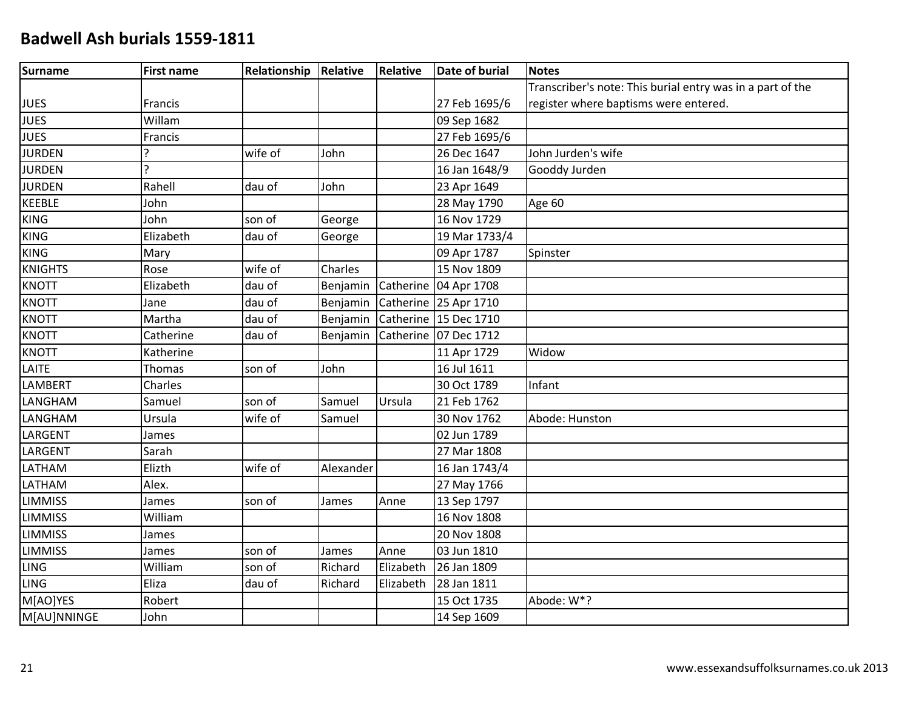| Surname        | <b>First name</b> | Relationship | Relative  | Relative  | Date of burial          | <b>Notes</b>                                               |
|----------------|-------------------|--------------|-----------|-----------|-------------------------|------------------------------------------------------------|
|                |                   |              |           |           |                         | Transcriber's note: This burial entry was in a part of the |
| <b>JUES</b>    | Francis           |              |           |           | 27 Feb 1695/6           | register where baptisms were entered.                      |
| <b>JUES</b>    | Willam            |              |           |           | 09 Sep 1682             |                                                            |
| <b>JUES</b>    | Francis           |              |           |           | 27 Feb 1695/6           |                                                            |
| <b>JURDEN</b>  | 2                 | wife of      | John      |           | 26 Dec 1647             | John Jurden's wife                                         |
| <b>JURDEN</b>  | $\mathbf{C}$      |              |           |           | 16 Jan 1648/9           | Gooddy Jurden                                              |
| <b>JURDEN</b>  | Rahell            | dau of       | John      |           | 23 Apr 1649             |                                                            |
| <b>KEEBLE</b>  | John              |              |           |           | 28 May 1790             | Age 60                                                     |
| <b>KING</b>    | John              | son of       | George    |           | 16 Nov 1729             |                                                            |
| <b>KING</b>    | Elizabeth         | dau of       | George    |           | 19 Mar 1733/4           |                                                            |
| <b>KING</b>    | Mary              |              |           |           | 09 Apr 1787             | Spinster                                                   |
| <b>KNIGHTS</b> | Rose              | wife of      | Charles   |           | 15 Nov 1809             |                                                            |
| <b>KNOTT</b>   | Elizabeth         | dau of       | Benjamin  |           | Catherine 04 Apr 1708   |                                                            |
| <b>KNOTT</b>   | Jane              | dau of       | Benjamin  |           | Catherine 25 Apr 1710   |                                                            |
| <b>KNOTT</b>   | Martha            | dau of       | Benjamin  |           | Catherine 15 Dec 1710   |                                                            |
| <b>KNOTT</b>   | Catherine         | dau of       | Benjamin  |           | Catherine   07 Dec 1712 |                                                            |
| <b>KNOTT</b>   | Katherine         |              |           |           | 11 Apr 1729             | Widow                                                      |
| LAITE          | Thomas            | son of       | John      |           | 16 Jul 1611             |                                                            |
| <b>LAMBERT</b> | Charles           |              |           |           | 30 Oct 1789             | Infant                                                     |
| LANGHAM        | Samuel            | son of       | Samuel    | Ursula    | 21 Feb 1762             |                                                            |
| LANGHAM        | Ursula            | wife of      | Samuel    |           | 30 Nov 1762             | Abode: Hunston                                             |
| LARGENT        | James             |              |           |           | 02 Jun 1789             |                                                            |
| <b>LARGENT</b> | Sarah             |              |           |           | 27 Mar 1808             |                                                            |
| LATHAM         | Elizth            | wife of      | Alexander |           | 16 Jan 1743/4           |                                                            |
| LATHAM         | Alex.             |              |           |           | 27 May 1766             |                                                            |
| <b>LIMMISS</b> | James             | son of       | James     | Anne      | 13 Sep 1797             |                                                            |
| <b>LIMMISS</b> | William           |              |           |           | 16 Nov 1808             |                                                            |
| <b>LIMMISS</b> | James             |              |           |           | 20 Nov 1808             |                                                            |
| <b>LIMMISS</b> | James             | son of       | James     | Anne      | 03 Jun 1810             |                                                            |
| <b>LING</b>    | William           | son of       | Richard   | Elizabeth | 26 Jan 1809             |                                                            |
| <b>LING</b>    | Eliza             | dau of       | Richard   | Elizabeth | 28 Jan 1811             |                                                            |
| M[AO]YES       | Robert            |              |           |           | 15 Oct 1735             | Abode: W*?                                                 |
| M[AU]NNINGE    | John              |              |           |           | 14 Sep 1609             |                                                            |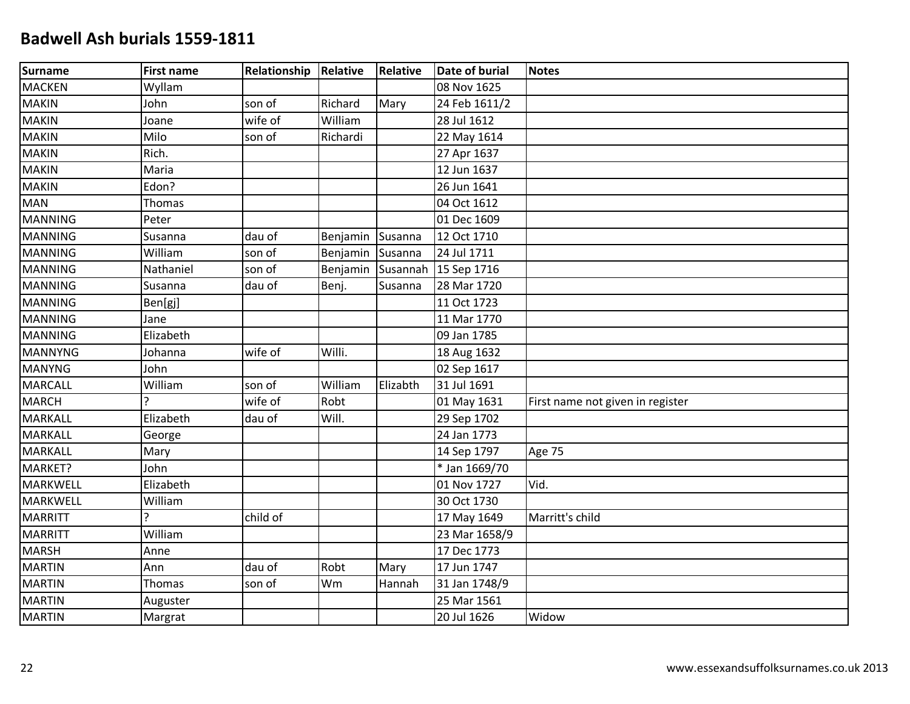| Surname         | <b>First name</b> | Relationship Relative |          | <b>Relative</b> | <b>Date of burial</b> | <b>Notes</b>                     |
|-----------------|-------------------|-----------------------|----------|-----------------|-----------------------|----------------------------------|
| MACKEN          | Wyllam            |                       |          |                 | 08 Nov 1625           |                                  |
| <b>MAKIN</b>    | John              | son of                | Richard  | Mary            | 24 Feb 1611/2         |                                  |
| <b>MAKIN</b>    | Joane             | wife of               | William  |                 | 28 Jul 1612           |                                  |
| <b>MAKIN</b>    | Milo              | son of                | Richardi |                 | 22 May 1614           |                                  |
| <b>MAKIN</b>    | Rich.             |                       |          |                 | 27 Apr 1637           |                                  |
| MAKIN           | Maria             |                       |          |                 | 12 Jun 1637           |                                  |
| <b>MAKIN</b>    | Edon?             |                       |          |                 | 26 Jun 1641           |                                  |
| <b>MAN</b>      | Thomas            |                       |          |                 | 04 Oct 1612           |                                  |
| <b>MANNING</b>  | Peter             |                       |          |                 | 01 Dec 1609           |                                  |
| <b>MANNING</b>  | Susanna           | dau of                | Benjamin | Susanna         | 12 Oct 1710           |                                  |
| MANNING         | William           | son of                | Benjamin | Susanna         | 24 Jul 1711           |                                  |
| MANNING         | Nathaniel         | son of                | Benjamin | Susannah        | 15 Sep 1716           |                                  |
| <b>MANNING</b>  | Susanna           | dau of                | Benj.    | Susanna         | 28 Mar 1720           |                                  |
| <b>MANNING</b>  | Ben[gj]           |                       |          |                 | 11 Oct 1723           |                                  |
| <b>MANNING</b>  | Jane              |                       |          |                 | 11 Mar 1770           |                                  |
| MANNING         | Elizabeth         |                       |          |                 | 09 Jan 1785           |                                  |
| MANNYNG         | Johanna           | wife of               | Willi.   |                 | 18 Aug 1632           |                                  |
| <b>MANYNG</b>   | John              |                       |          |                 | 02 Sep 1617           |                                  |
| <b>MARCALL</b>  | William           | son of                | William  | Elizabth        | 31 Jul 1691           |                                  |
| <b>MARCH</b>    |                   | wife of               | Robt     |                 | 01 May 1631           | First name not given in register |
| <b>MARKALL</b>  | Elizabeth         | dau of                | Will.    |                 | 29 Sep 1702           |                                  |
| MARKALL         | George            |                       |          |                 | 24 Jan 1773           |                                  |
| <b>MARKALL</b>  | Mary              |                       |          |                 | 14 Sep 1797           | Age 75                           |
| MARKET?         | John              |                       |          |                 | * Jan 1669/70         |                                  |
| <b>MARKWELL</b> | Elizabeth         |                       |          |                 | 01 Nov 1727           | Vid.                             |
| <b>MARKWELL</b> | William           |                       |          |                 | 30 Oct 1730           |                                  |
| MARRITT         | Ç                 | child of              |          |                 | 17 May 1649           | Marritt's child                  |
| MARRITT         | William           |                       |          |                 | 23 Mar 1658/9         |                                  |
| <b>MARSH</b>    | Anne              |                       |          |                 | 17 Dec 1773           |                                  |
| <b>MARTIN</b>   | Ann               | dau of                | Robt     | Mary            | 17 Jun 1747           |                                  |
| <b>MARTIN</b>   | Thomas            | son of                | Wm       | Hannah          | 31 Jan 1748/9         |                                  |
| <b>MARTIN</b>   | Auguster          |                       |          |                 | 25 Mar 1561           |                                  |
| <b>MARTIN</b>   | Margrat           |                       |          |                 | 20 Jul 1626           | Widow                            |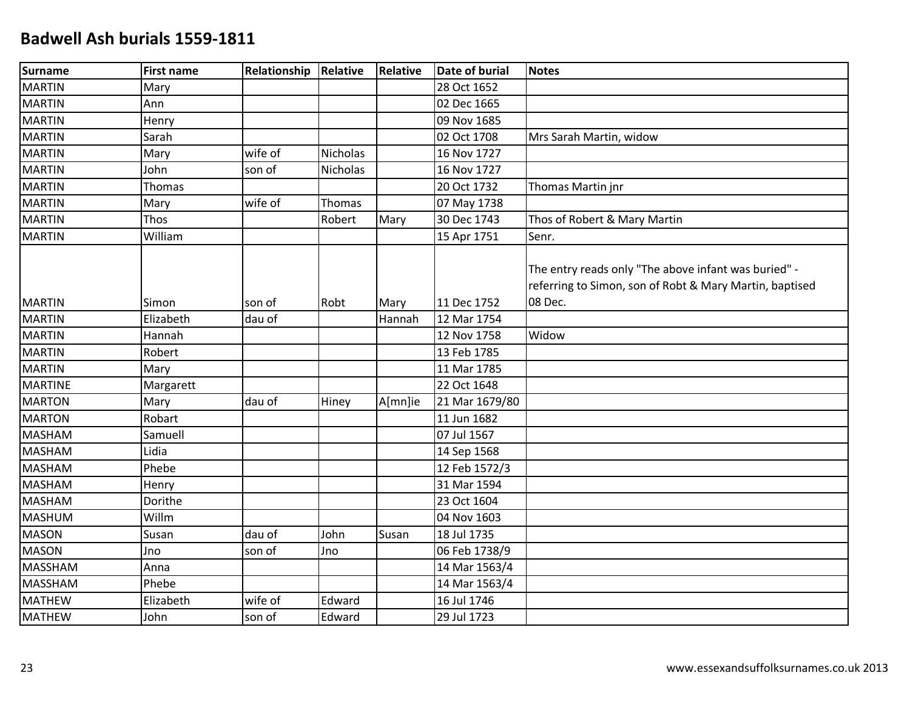| Surname        | <b>First name</b> | Relationship | Relative        | Relative       | <b>Date of burial</b> | <b>Notes</b>                                                                                                               |
|----------------|-------------------|--------------|-----------------|----------------|-----------------------|----------------------------------------------------------------------------------------------------------------------------|
| MARTIN         | Mary              |              |                 |                | 28 Oct 1652           |                                                                                                                            |
| <b>MARTIN</b>  | Ann               |              |                 |                | 02 Dec 1665           |                                                                                                                            |
| <b>MARTIN</b>  | Henry             |              |                 |                | 09 Nov 1685           |                                                                                                                            |
| <b>MARTIN</b>  | Sarah             |              |                 |                | 02 Oct 1708           | Mrs Sarah Martin, widow                                                                                                    |
| MARTIN         | Mary              | wife of      | <b>Nicholas</b> |                | 16 Nov 1727           |                                                                                                                            |
| MARTIN         | John              | son of       | <b>Nicholas</b> |                | 16 Nov 1727           |                                                                                                                            |
| <b>MARTIN</b>  | Thomas            |              |                 |                | 20 Oct 1732           | Thomas Martin jnr                                                                                                          |
| <b>MARTIN</b>  | Mary              | wife of      | Thomas          |                | 07 May 1738           |                                                                                                                            |
| <b>MARTIN</b>  | Thos              |              | Robert          | Mary           | 30 Dec 1743           | Thos of Robert & Mary Martin                                                                                               |
| <b>MARTIN</b>  | William           |              |                 |                | 15 Apr 1751           | Senr.                                                                                                                      |
| MARTIN         | Simon             | son of       | Robt            |                | 11 Dec 1752           | The entry reads only "The above infant was buried" -<br>referring to Simon, son of Robt & Mary Martin, baptised<br>08 Dec. |
| <b>MARTIN</b>  | Elizabeth         | dau of       |                 | Mary<br>Hannah | 12 Mar 1754           |                                                                                                                            |
| MARTIN         | Hannah            |              |                 |                | 12 Nov 1758           | Widow                                                                                                                      |
| MARTIN         | Robert            |              |                 |                | 13 Feb 1785           |                                                                                                                            |
| <b>MARTIN</b>  | Mary              |              |                 |                | 11 Mar 1785           |                                                                                                                            |
| <b>MARTINE</b> | Margarett         |              |                 |                | 22 Oct 1648           |                                                                                                                            |
| <b>MARTON</b>  | Mary              | dau of       |                 | A[mn]ie        | 21 Mar 1679/80        |                                                                                                                            |
| <b>MARTON</b>  | Robart            |              | Hiney           |                | 11 Jun 1682           |                                                                                                                            |
| <b>MASHAM</b>  | Samuell           |              |                 |                | 07 Jul 1567           |                                                                                                                            |
| <b>MASHAM</b>  | Lidia             |              |                 |                | 14 Sep 1568           |                                                                                                                            |
| <b>MASHAM</b>  | Phebe             |              |                 |                | 12 Feb 1572/3         |                                                                                                                            |
| MASHAM         | Henry             |              |                 |                | 31 Mar 1594           |                                                                                                                            |
| <b>MASHAM</b>  | Dorithe           |              |                 |                | 23 Oct 1604           |                                                                                                                            |
| <b>MASHUM</b>  | Willm             |              |                 |                | 04 Nov 1603           |                                                                                                                            |
| MASON          | Susan             | dau of       | John            | Susan          | 18 Jul 1735           |                                                                                                                            |
| <b>MASON</b>   | Jno               | son of       | Jno             |                | 06 Feb 1738/9         |                                                                                                                            |
| <b>MASSHAM</b> | Anna              |              |                 |                | 14 Mar 1563/4         |                                                                                                                            |
| <b>MASSHAM</b> | Phebe             |              |                 |                | 14 Mar 1563/4         |                                                                                                                            |
| <b>MATHEW</b>  | Elizabeth         | wife of      | Edward          |                | 16 Jul 1746           |                                                                                                                            |
| <b>MATHEW</b>  | John              | son of       | Edward          |                | 29 Jul 1723           |                                                                                                                            |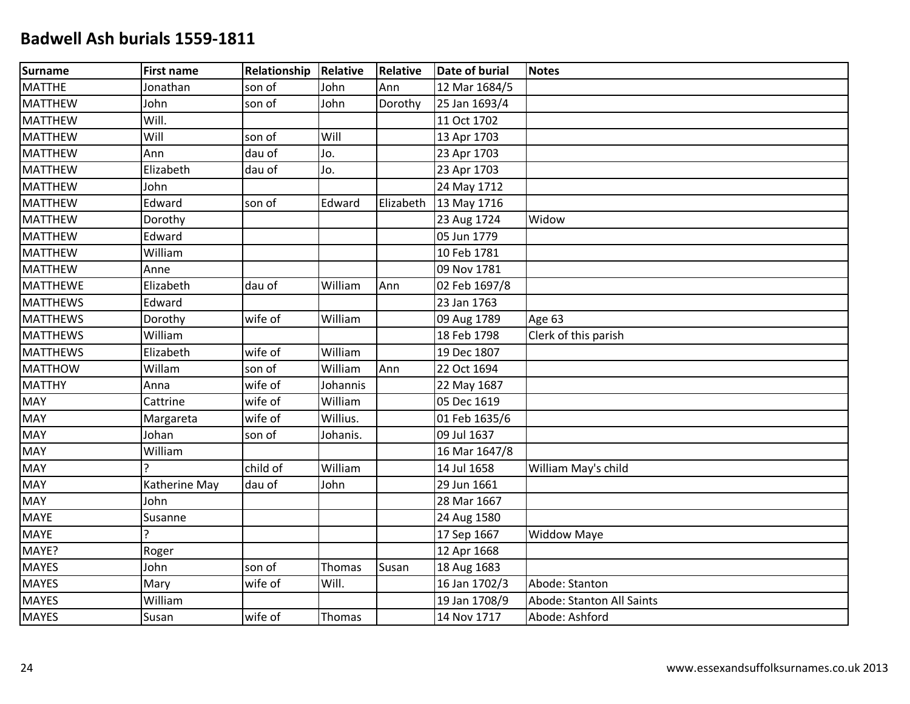| Surname         | <b>First name</b> | Relationship | Relative | <b>Relative</b> | <b>Date of burial</b> | <b>Notes</b>              |
|-----------------|-------------------|--------------|----------|-----------------|-----------------------|---------------------------|
| <b>MATTHE</b>   | Jonathan          | son of       | John     | Ann             | 12 Mar 1684/5         |                           |
| MATTHEW         | John              | son of       | John     | Dorothy         | 25 Jan 1693/4         |                           |
| <b>MATTHEW</b>  | Will.             |              |          |                 | 11 Oct 1702           |                           |
| <b>MATTHEW</b>  | Will              | son of       | Will     |                 | 13 Apr 1703           |                           |
| MATTHEW         | Ann               | dau of       | Jo.      |                 | 23 Apr 1703           |                           |
| MATTHEW         | Elizabeth         | dau of       | Jo.      |                 | 23 Apr 1703           |                           |
| MATTHEW         | John              |              |          |                 | 24 May 1712           |                           |
| <b>MATTHEW</b>  | Edward            | son of       | Edward   | Elizabeth       | 13 May 1716           |                           |
| <b>MATTHEW</b>  | Dorothy           |              |          |                 | 23 Aug 1724           | Widow                     |
| <b>MATTHEW</b>  | Edward            |              |          |                 | 05 Jun 1779           |                           |
| <b>MATTHEW</b>  | William           |              |          |                 | 10 Feb 1781           |                           |
| <b>MATTHEW</b>  | Anne              |              |          |                 | 09 Nov 1781           |                           |
| <b>MATTHEWE</b> | Elizabeth         | dau of       | William  | Ann             | 02 Feb 1697/8         |                           |
| <b>MATTHEWS</b> | Edward            |              |          |                 | 23 Jan 1763           |                           |
| <b>MATTHEWS</b> | Dorothy           | wife of      | William  |                 | 09 Aug 1789           | Age 63                    |
| <b>MATTHEWS</b> | William           |              |          |                 | 18 Feb 1798           | Clerk of this parish      |
| <b>MATTHEWS</b> | Elizabeth         | wife of      | William  |                 | 19 Dec 1807           |                           |
| MATTHOW         | Willam            | son of       | William  | Ann             | 22 Oct 1694           |                           |
| <b>MATTHY</b>   | Anna              | wife of      | Johannis |                 | 22 May 1687           |                           |
| <b>MAY</b>      | Cattrine          | wife of      | William  |                 | 05 Dec 1619           |                           |
| <b>MAY</b>      | Margareta         | wife of      | Willius. |                 | 01 Feb 1635/6         |                           |
| MAY             | Johan             | son of       | Johanis. |                 | 09 Jul 1637           |                           |
| <b>MAY</b>      | William           |              |          |                 | 16 Mar 1647/8         |                           |
| <b>MAY</b>      |                   | child of     | William  |                 | 14 Jul 1658           | William May's child       |
| <b>MAY</b>      | Katherine May     | dau of       | John     |                 | 29 Jun 1661           |                           |
| MAY             | John              |              |          |                 | 28 Mar 1667           |                           |
| MAYE            | Susanne           |              |          |                 | 24 Aug 1580           |                           |
| <b>MAYE</b>     | C                 |              |          |                 | 17 Sep 1667           | <b>Widdow Maye</b>        |
| MAYE?           | Roger             |              |          |                 | 12 Apr 1668           |                           |
| <b>MAYES</b>    | John              | son of       | Thomas   | Susan           | 18 Aug 1683           |                           |
| <b>MAYES</b>    | Mary              | wife of      | Will.    |                 | 16 Jan 1702/3         | Abode: Stanton            |
| <b>MAYES</b>    | William           |              |          |                 | 19 Jan 1708/9         | Abode: Stanton All Saints |
| <b>MAYES</b>    | Susan             | wife of      | Thomas   |                 | 14 Nov 1717           | Abode: Ashford            |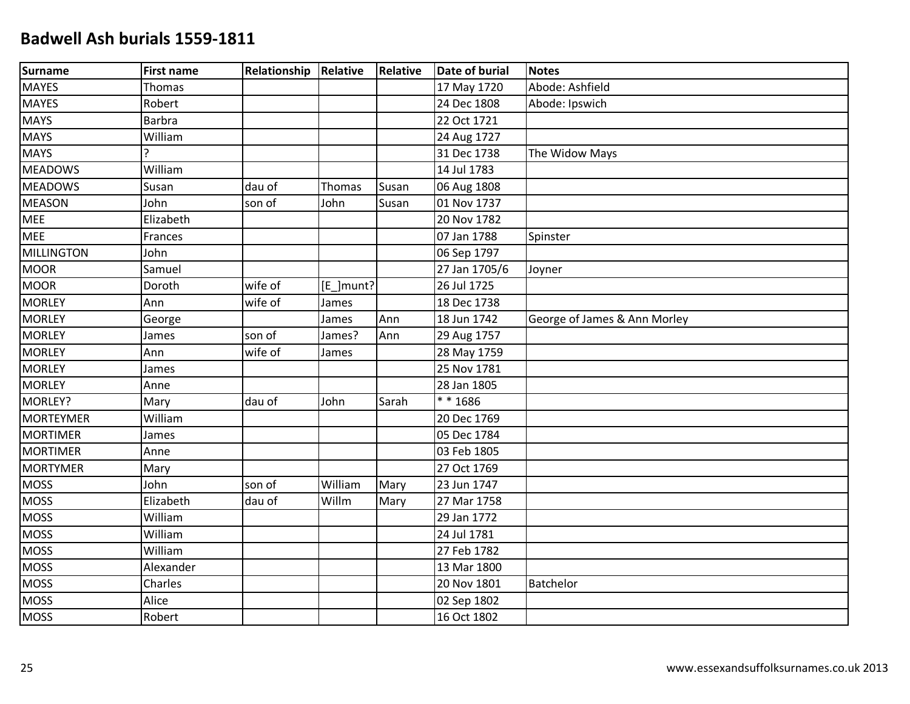| Surname           | <b>First name</b> | <b>Relationship Relative</b> |           | <b>Relative</b> | <b>Date of burial</b> | <b>Notes</b>                 |
|-------------------|-------------------|------------------------------|-----------|-----------------|-----------------------|------------------------------|
| <b>MAYES</b>      | Thomas            |                              |           |                 | 17 May 1720           | Abode: Ashfield              |
| <b>MAYES</b>      | Robert            |                              |           |                 | 24 Dec 1808           | Abode: Ipswich               |
| <b>MAYS</b>       | <b>Barbra</b>     |                              |           |                 | 22 Oct 1721           |                              |
| <b>MAYS</b>       | William           |                              |           |                 | 24 Aug 1727           |                              |
| <b>MAYS</b>       | ς                 |                              |           |                 | 31 Dec 1738           | The Widow Mays               |
| <b>MEADOWS</b>    | William           |                              |           |                 | 14 Jul 1783           |                              |
| <b>MEADOWS</b>    | Susan             | dau of                       | Thomas    | Susan           | 06 Aug 1808           |                              |
| <b>MEASON</b>     | John              | son of                       | John      | Susan           | 01 Nov 1737           |                              |
| <b>MEE</b>        | Elizabeth         |                              |           |                 | 20 Nov 1782           |                              |
| <b>MEE</b>        | Frances           |                              |           |                 | 07 Jan 1788           | Spinster                     |
| <b>MILLINGTON</b> | John              |                              |           |                 | 06 Sep 1797           |                              |
| <b>MOOR</b>       | Samuel            |                              |           |                 | 27 Jan 1705/6         | Joyner                       |
| <b>MOOR</b>       | Doroth            | wife of                      | [E_]munt? |                 | 26 Jul 1725           |                              |
| <b>MORLEY</b>     | Ann               | wife of                      | James     |                 | 18 Dec 1738           |                              |
| <b>MORLEY</b>     | George            |                              | James     | Ann             | 18 Jun 1742           | George of James & Ann Morley |
| <b>MORLEY</b>     | James             | son of                       | James?    | Ann             | 29 Aug 1757           |                              |
| <b>MORLEY</b>     | Ann               | wife of                      | James     |                 | 28 May 1759           |                              |
| <b>MORLEY</b>     | James             |                              |           |                 | 25 Nov 1781           |                              |
| <b>MORLEY</b>     | Anne              |                              |           |                 | 28 Jan 1805           |                              |
| MORLEY?           | Mary              | dau of                       | John      | Sarah           | ** 1686               |                              |
| <b>MORTEYMER</b>  | William           |                              |           |                 | 20 Dec 1769           |                              |
| <b>MORTIMER</b>   | James             |                              |           |                 | 05 Dec 1784           |                              |
| <b>MORTIMER</b>   | Anne              |                              |           |                 | 03 Feb 1805           |                              |
| <b>MORTYMER</b>   | Mary              |                              |           |                 | 27 Oct 1769           |                              |
| <b>MOSS</b>       | John              | son of                       | William   | Mary            | 23 Jun 1747           |                              |
| <b>MOSS</b>       | Elizabeth         | dau of                       | Willm     | Mary            | 27 Mar 1758           |                              |
| <b>MOSS</b>       | William           |                              |           |                 | 29 Jan 1772           |                              |
| <b>MOSS</b>       | William           |                              |           |                 | 24 Jul 1781           |                              |
| <b>MOSS</b>       | William           |                              |           |                 | 27 Feb 1782           |                              |
| <b>MOSS</b>       | Alexander         |                              |           |                 | 13 Mar 1800           |                              |
| <b>MOSS</b>       | Charles           |                              |           |                 | 20 Nov 1801           | Batchelor                    |
| <b>MOSS</b>       | Alice             |                              |           |                 | 02 Sep 1802           |                              |
| <b>MOSS</b>       | Robert            |                              |           |                 | 16 Oct 1802           |                              |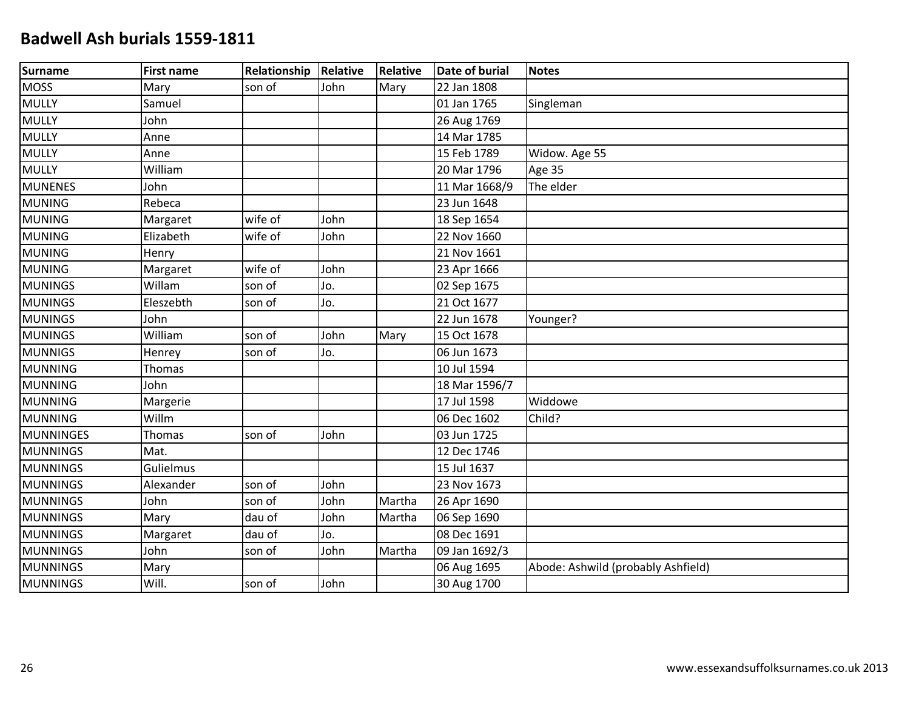| Surname         | <b>First name</b> | Relationship | Relative | <b>Relative</b> | <b>Date of burial</b> | <b>Notes</b>                       |
|-----------------|-------------------|--------------|----------|-----------------|-----------------------|------------------------------------|
| MOSS            | Mary              | son of       | John     | Mary            | 22 Jan 1808           |                                    |
| <b>MULLY</b>    | Samuel            |              |          |                 | 01 Jan 1765           | Singleman                          |
| <b>MULLY</b>    | John              |              |          |                 | 26 Aug 1769           |                                    |
| <b>MULLY</b>    | Anne              |              |          |                 | 14 Mar 1785           |                                    |
| <b>MULLY</b>    | Anne              |              |          |                 | 15 Feb 1789           | Widow. Age 55                      |
| <b>MULLY</b>    | William           |              |          |                 | 20 Mar 1796           | Age 35                             |
| <b>MUNENES</b>  | John              |              |          |                 | 11 Mar 1668/9         | The elder                          |
| <b>MUNING</b>   | Rebeca            |              |          |                 | 23 Jun 1648           |                                    |
| <b>MUNING</b>   | Margaret          | wife of      | John     |                 | 18 Sep 1654           |                                    |
| <b>MUNING</b>   | Elizabeth         | wife of      | John     |                 | 22 Nov 1660           |                                    |
| <b>MUNING</b>   | Henry             |              |          |                 | 21 Nov 1661           |                                    |
| <b>MUNING</b>   | Margaret          | wife of      | John     |                 | 23 Apr 1666           |                                    |
| MUNINGS         | Willam            | son of       | Jo.      |                 | 02 Sep 1675           |                                    |
| <b>MUNINGS</b>  | Eleszebth         | son of       | Jo.      |                 | 21 Oct 1677           |                                    |
| <b>MUNINGS</b>  | John              |              |          |                 | 22 Jun 1678           | Younger?                           |
| MUNINGS         | William           | son of       | John     | Mary            | 15 Oct 1678           |                                    |
| <b>MUNNIGS</b>  | Henrey            | son of       | Jo.      |                 | 06 Jun 1673           |                                    |
| <b>MUNNING</b>  | <b>Thomas</b>     |              |          |                 | 10 Jul 1594           |                                    |
| MUNNING         | John              |              |          |                 | 18 Mar 1596/7         |                                    |
| <b>MUNNING</b>  | Margerie          |              |          |                 | 17 Jul 1598           | Widdowe                            |
| <b>MUNNING</b>  | Willm             |              |          |                 | 06 Dec 1602           | Child?                             |
| MUNNINGES       | Thomas            | son of       | John     |                 | 03 Jun 1725           |                                    |
| <b>MUNNINGS</b> | Mat.              |              |          |                 | 12 Dec 1746           |                                    |
| <b>MUNNINGS</b> | Gulielmus         |              |          |                 | 15 Jul 1637           |                                    |
| MUNNINGS        | Alexander         | son of       | John     |                 | 23 Nov 1673           |                                    |
| <b>MUNNINGS</b> | John              | son of       | John     | Martha          | 26 Apr 1690           |                                    |
| <b>MUNNINGS</b> | Mary              | dau of       | John     | Martha          | 06 Sep 1690           |                                    |
| <b>MUNNINGS</b> | Margaret          | dau of       | Jo.      |                 | 08 Dec 1691           |                                    |
| <b>MUNNINGS</b> | John              | son of       | John     | Martha          | 09 Jan 1692/3         |                                    |
| <b>MUNNINGS</b> | Mary              |              |          |                 | 06 Aug 1695           | Abode: Ashwild (probably Ashfield) |
| MUNNINGS        | Will.             | son of       | John     |                 | 30 Aug 1700           |                                    |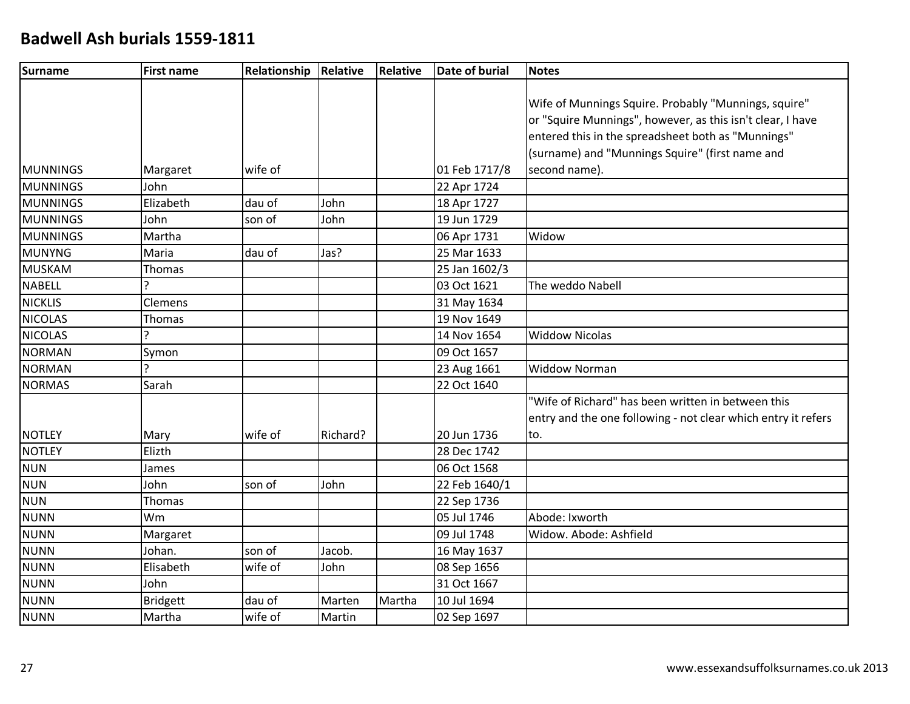| <b>Surname</b>  | <b>First name</b> | Relationship | Relative  | <b>Relative</b> | Date of burial | <b>Notes</b>                                                  |
|-----------------|-------------------|--------------|-----------|-----------------|----------------|---------------------------------------------------------------|
|                 |                   |              |           |                 |                |                                                               |
|                 |                   |              |           |                 |                | Wife of Munnings Squire. Probably "Munnings, squire"          |
|                 |                   |              |           |                 |                | or "Squire Munnings", however, as this isn't clear, I have    |
|                 |                   |              |           |                 |                | entered this in the spreadsheet both as "Munnings"            |
|                 |                   |              |           |                 |                | (surname) and "Munnings Squire" (first name and               |
| <b>MUNNINGS</b> | Margaret          | wife of      |           |                 | 01 Feb 1717/8  | second name).                                                 |
| MUNNINGS        | John              |              |           |                 | 22 Apr 1724    |                                                               |
| MUNNINGS        | Elizabeth         | dau of       | John      |                 | 18 Apr 1727    |                                                               |
| MUNNINGS        | John              | son of       | John      |                 | 19 Jun 1729    |                                                               |
| MUNNINGS        | Martha            |              |           |                 | 06 Apr 1731    | Widow                                                         |
| MUNYNG          | Maria             | dau of       | Jas?      |                 | 25 Mar 1633    |                                                               |
| MUSKAM          | Thomas            |              |           |                 | 25 Jan 1602/3  |                                                               |
| NABELL          | C                 |              |           |                 | 03 Oct 1621    | The weddo Nabell                                              |
| NICKLIS         | Clemens           |              |           |                 | 31 May 1634    |                                                               |
| <b>NICOLAS</b>  | <b>Thomas</b>     |              |           |                 | 19 Nov 1649    |                                                               |
| <b>NICOLAS</b>  | C                 |              |           |                 | 14 Nov 1654    | <b>Widdow Nicolas</b>                                         |
| NORMAN          | Symon             |              |           |                 | 09 Oct 1657    |                                                               |
| NORMAN          | C                 |              |           |                 | 23 Aug 1661    | <b>Widdow Norman</b>                                          |
| NORMAS          | Sarah             |              |           |                 | 22 Oct 1640    |                                                               |
|                 |                   |              |           |                 |                | "Wife of Richard" has been written in between this            |
|                 |                   |              |           |                 |                | entry and the one following - not clear which entry it refers |
| <b>NOTLEY</b>   | Mary              | wife of      | lRichard? |                 | 20 Jun 1736    | to.                                                           |
| NOTLEY          | Elizth            |              |           |                 | 28 Dec 1742    |                                                               |
| <b>NUN</b>      | James             |              |           |                 | 06 Oct 1568    |                                                               |
| <b>NUN</b>      | John              | son of       | John      |                 | 22 Feb 1640/1  |                                                               |
| <b>NUN</b>      | Thomas            |              |           |                 | 22 Sep 1736    |                                                               |
| NUNN            | Wm                |              |           |                 | 05 Jul 1746    | Abode: Ixworth                                                |
| NUNN            | Margaret          |              |           |                 | 09 Jul 1748    | Widow. Abode: Ashfield                                        |
| NUNN            | Johan.            | son of       | Jacob.    |                 | 16 May 1637    |                                                               |
| <b>NUNN</b>     | Elisabeth         | wife of      | John      |                 | 08 Sep 1656    |                                                               |
| <b>NUNN</b>     | John              |              |           |                 | 31 Oct 1667    |                                                               |
| <b>NUNN</b>     | <b>Bridgett</b>   | dau of       | Marten    | Martha          | 10 Jul 1694    |                                                               |
| <b>NUNN</b>     | Martha            | wife of      | Martin    |                 | 02 Sep 1697    |                                                               |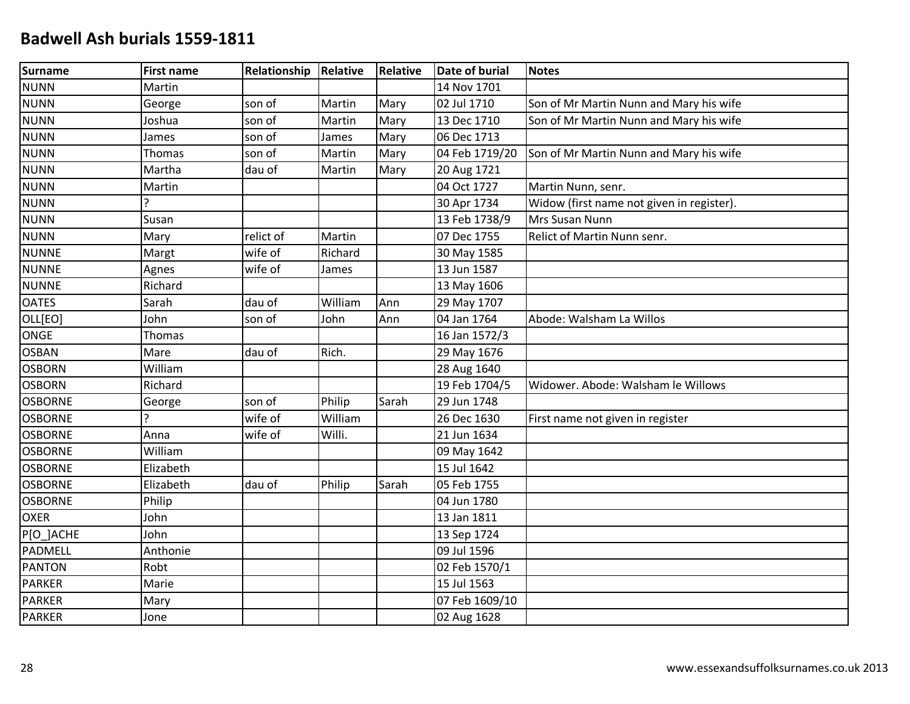| Surname        | <b>First name</b> | Relationship Relative |         | <b>Relative</b> | <b>Date of burial</b> | <b>Notes</b>                              |
|----------------|-------------------|-----------------------|---------|-----------------|-----------------------|-------------------------------------------|
| <b>NUNN</b>    | Martin            |                       |         |                 | 14 Nov 1701           |                                           |
| <b>NUNN</b>    | George            | son of                | Martin  | Mary            | 02 Jul 1710           | Son of Mr Martin Nunn and Mary his wife   |
| <b>NUNN</b>    | Joshua            | son of                | Martin  | Mary            | 13 Dec 1710           | Son of Mr Martin Nunn and Mary his wife   |
| <b>NUNN</b>    | James             | son of                | James   | Mary            | 06 Dec 1713           |                                           |
| <b>NUNN</b>    | Thomas            | son of                | Martin  | Mary            | 04 Feb 1719/20        | Son of Mr Martin Nunn and Mary his wife   |
| <b>NUNN</b>    | Martha            | dau of                | Martin  | Mary            | 20 Aug 1721           |                                           |
| <b>NUNN</b>    | Martin            |                       |         |                 | 04 Oct 1727           | Martin Nunn, senr.                        |
| <b>NUNN</b>    | ς                 |                       |         |                 | 30 Apr 1734           | Widow (first name not given in register). |
| <b>NUNN</b>    | Susan             |                       |         |                 | 13 Feb 1738/9         | Mrs Susan Nunn                            |
| <b>NUNN</b>    | Mary              | relict of             | Martin  |                 | 07 Dec 1755           | Relict of Martin Nunn senr.               |
| <b>NUNNE</b>   | Margt             | wife of               | Richard |                 | 30 May 1585           |                                           |
| <b>NUNNE</b>   | Agnes             | wife of               | James   |                 | 13 Jun 1587           |                                           |
| <b>NUNNE</b>   | Richard           |                       |         |                 | 13 May 1606           |                                           |
| <b>OATES</b>   | Sarah             | dau of                | William | Ann             | 29 May 1707           |                                           |
| OLL[EO]        | John              | son of                | John    | Ann             | 04 Jan 1764           | Abode: Walsham La Willos                  |
| <b>ONGE</b>    | Thomas            |                       |         |                 | 16 Jan 1572/3         |                                           |
| <b>OSBAN</b>   | Mare              | dau of                | Rich.   |                 | 29 May 1676           |                                           |
| <b>OSBORN</b>  | William           |                       |         |                 | 28 Aug 1640           |                                           |
| <b>OSBORN</b>  | Richard           |                       |         |                 | 19 Feb 1704/5         | Widower. Abode: Walsham le Willows        |
| <b>OSBORNE</b> | George            | son of                | Philip  | Sarah           | 29 Jun 1748           |                                           |
| <b>OSBORNE</b> |                   | wife of               | William |                 | 26 Dec 1630           | First name not given in register          |
| <b>OSBORNE</b> | Anna              | wife of               | Willi.  |                 | 21 Jun 1634           |                                           |
| <b>OSBORNE</b> | William           |                       |         |                 | 09 May 1642           |                                           |
| <b>OSBORNE</b> | Elizabeth         |                       |         |                 | 15 Jul 1642           |                                           |
| <b>OSBORNE</b> | Elizabeth         | dau of                | Philip  | Sarah           | 05 Feb 1755           |                                           |
| <b>OSBORNE</b> | Philip            |                       |         |                 | 04 Jun 1780           |                                           |
| <b>OXER</b>    | John              |                       |         |                 | 13 Jan 1811           |                                           |
| P[O_]ACHE      | John              |                       |         |                 | 13 Sep 1724           |                                           |
| PADMELL        | Anthonie          |                       |         |                 | 09 Jul 1596           |                                           |
| <b>PANTON</b>  | Robt              |                       |         |                 | 02 Feb 1570/1         |                                           |
| <b>PARKER</b>  | Marie             |                       |         |                 | 15 Jul 1563           |                                           |
| <b>PARKER</b>  | Mary              |                       |         |                 | 07 Feb 1609/10        |                                           |
| <b>PARKER</b>  | Jone              |                       |         |                 | 02 Aug 1628           |                                           |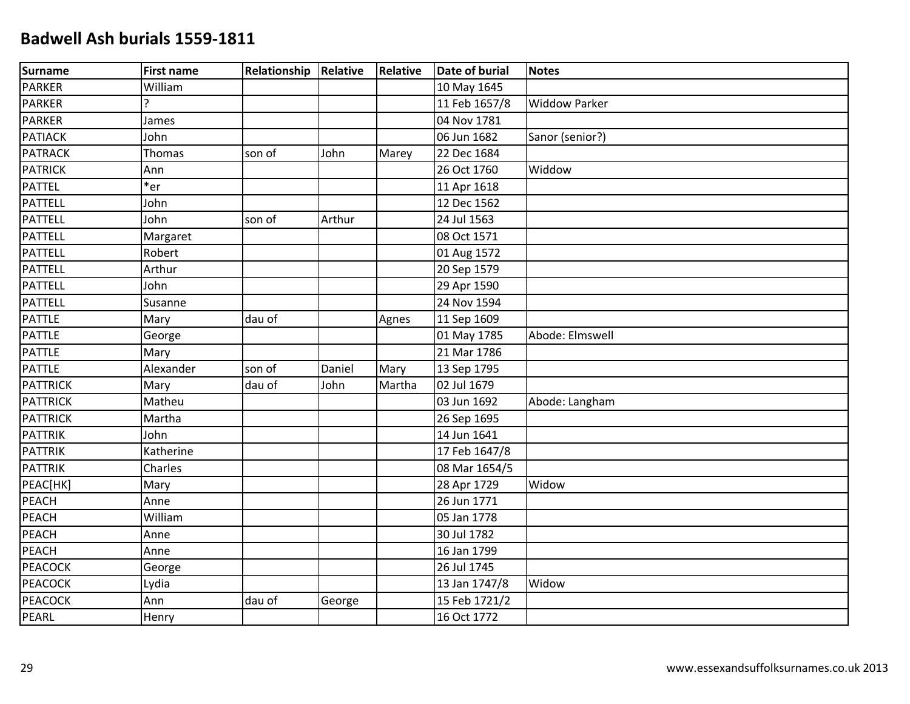| Surname         | <b>First name</b> | <b>Relationship Relative</b> |        | <b>Relative</b> | Date of burial | <b>Notes</b>         |
|-----------------|-------------------|------------------------------|--------|-----------------|----------------|----------------------|
| PARKER          | William           |                              |        |                 | 10 May 1645    |                      |
| <b>PARKER</b>   | C                 |                              |        |                 | 11 Feb 1657/8  | <b>Widdow Parker</b> |
| <b>PARKER</b>   | James             |                              |        |                 | 04 Nov 1781    |                      |
| <b>PATIACK</b>  | John              |                              |        |                 | 06 Jun 1682    | Sanor (senior?)      |
| <b>PATRACK</b>  | Thomas            | son of                       | John   | Marey           | 22 Dec 1684    |                      |
| <b>PATRICK</b>  | Ann               |                              |        |                 | 26 Oct 1760    | Widdow               |
| <b>PATTEL</b>   | $*$ er            |                              |        |                 | 11 Apr 1618    |                      |
| <b>PATTELL</b>  | John              |                              |        |                 | 12 Dec 1562    |                      |
| <b>PATTELL</b>  | John              | son of                       | Arthur |                 | 24 Jul 1563    |                      |
| <b>PATTELL</b>  | Margaret          |                              |        |                 | 08 Oct 1571    |                      |
| PATTELL         | Robert            |                              |        |                 | 01 Aug 1572    |                      |
| <b>PATTELL</b>  | Arthur            |                              |        |                 | 20 Sep 1579    |                      |
| PATTELL         | John              |                              |        |                 | 29 Apr 1590    |                      |
| <b>PATTELL</b>  | Susanne           |                              |        |                 | 24 Nov 1594    |                      |
| <b>PATTLE</b>   | Mary              | dau of                       |        | Agnes           | 11 Sep 1609    |                      |
| PATTLE          | George            |                              |        |                 | 01 May 1785    | Abode: Elmswell      |
| PATTLE          | Mary              |                              |        |                 | 21 Mar 1786    |                      |
| <b>PATTLE</b>   | Alexander         | son of                       | Daniel | Mary            | 13 Sep 1795    |                      |
| <b>PATTRICK</b> | Mary              | dau of                       | John   | Martha          | 02 Jul 1679    |                      |
| <b>PATTRICK</b> | Matheu            |                              |        |                 | 03 Jun 1692    | Abode: Langham       |
| <b>PATTRICK</b> | Martha            |                              |        |                 | 26 Sep 1695    |                      |
| <b>PATTRIK</b>  | John              |                              |        |                 | 14 Jun 1641    |                      |
| PATTRIK         | Katherine         |                              |        |                 | 17 Feb 1647/8  |                      |
| <b>PATTRIK</b>  | Charles           |                              |        |                 | 08 Mar 1654/5  |                      |
| PEAC[HK]        | Mary              |                              |        |                 | 28 Apr 1729    | Widow                |
| <b>PEACH</b>    | Anne              |                              |        |                 | 26 Jun 1771    |                      |
| <b>PEACH</b>    | William           |                              |        |                 | 05 Jan 1778    |                      |
| PEACH           | Anne              |                              |        |                 | 30 Jul 1782    |                      |
| <b>PEACH</b>    | Anne              |                              |        |                 | 16 Jan 1799    |                      |
| <b>PEACOCK</b>  | George            |                              |        |                 | 26 Jul 1745    |                      |
| <b>PEACOCK</b>  | Lydia             |                              |        |                 | 13 Jan 1747/8  | Widow                |
| <b>PEACOCK</b>  | Ann               | dau of                       | George |                 | 15 Feb 1721/2  |                      |
| PEARL           | Henry             |                              |        |                 | 16 Oct 1772    |                      |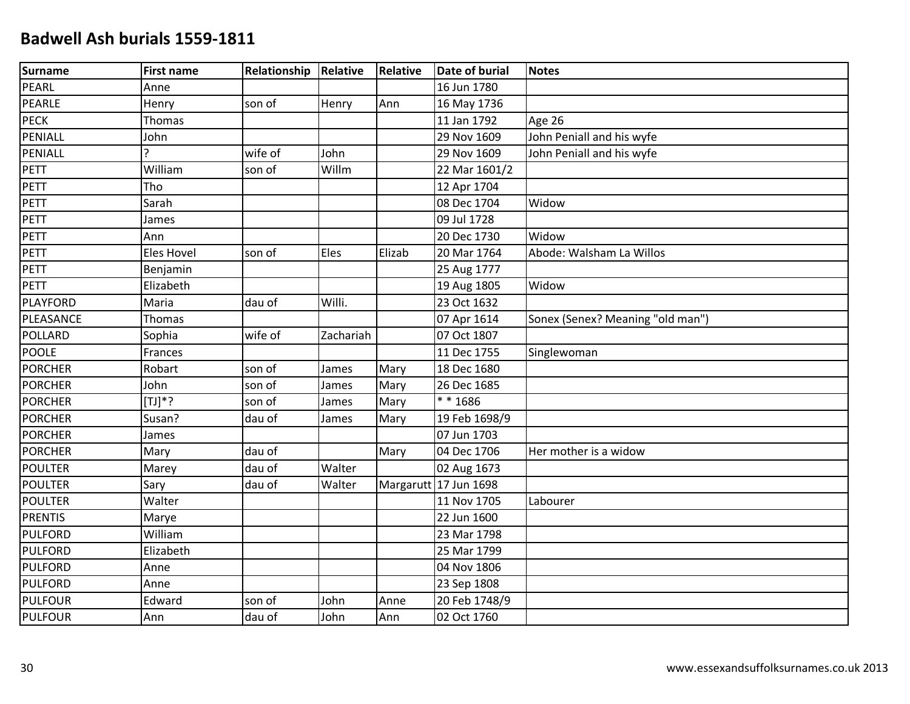| Surname         | <b>First name</b> | Relationship | Relative  | <b>Relative</b> | <b>Date of burial</b> | <b>Notes</b>                     |
|-----------------|-------------------|--------------|-----------|-----------------|-----------------------|----------------------------------|
| PEARL           | Anne              |              |           |                 | 16 Jun 1780           |                                  |
| PEARLE          | Henry             | son of       | Henry     | Ann             | 16 May 1736           |                                  |
| <b>PECK</b>     | Thomas            |              |           |                 | 11 Jan 1792           | Age 26                           |
| PENIALL         | John              |              |           |                 | 29 Nov 1609           | John Peniall and his wyfe        |
| PENIALL         | Ç                 | wife of      | John      |                 | 29 Nov 1609           | John Peniall and his wyfe        |
| PETT            | William           | son of       | Willm     |                 | 22 Mar 1601/2         |                                  |
| PETT            | Tho               |              |           |                 | 12 Apr 1704           |                                  |
| PETT            | Sarah             |              |           |                 | 08 Dec 1704           | Widow                            |
| PETT            | James             |              |           |                 | 09 Jul 1728           |                                  |
| <b>PETT</b>     | Ann               |              |           |                 | 20 Dec 1730           | Widow                            |
| PETT            | Eles Hovel        | son of       | Eles      | Elizab          | 20 Mar 1764           | Abode: Walsham La Willos         |
| PETT            | Benjamin          |              |           |                 | 25 Aug 1777           |                                  |
| PETT            | Elizabeth         |              |           |                 | 19 Aug 1805           | Widow                            |
| <b>PLAYFORD</b> | Maria             | dau of       | Willi.    |                 | 23 Oct 1632           |                                  |
| PLEASANCE       | <b>Thomas</b>     |              |           |                 | 07 Apr 1614           | Sonex (Senex? Meaning "old man") |
| <b>POLLARD</b>  | Sophia            | wife of      | Zachariah |                 | 07 Oct 1807           |                                  |
| <b>POOLE</b>    | Frances           |              |           |                 | 11 Dec 1755           | Singlewoman                      |
| <b>PORCHER</b>  | Robart            | son of       | James     | Mary            | 18 Dec 1680           |                                  |
| <b>PORCHER</b>  | John              | son of       | James     | Mary            | 26 Dec 1685           |                                  |
| <b>PORCHER</b>  | $[T1]*?$          | son of       | James     | Mary            | ** 1686               |                                  |
| <b>PORCHER</b>  | Susan?            | dau of       | James     | Mary            | 19 Feb 1698/9         |                                  |
| <b>PORCHER</b>  | James             |              |           |                 | 07 Jun 1703           |                                  |
| <b>PORCHER</b>  | Mary              | dau of       |           | Mary            | 04 Dec 1706           | Her mother is a widow            |
| <b>POULTER</b>  | Marey             | dau of       | Walter    |                 | 02 Aug 1673           |                                  |
| <b>POULTER</b>  | Sary              | dau of       | Walter    |                 | Margarutt 17 Jun 1698 |                                  |
| <b>POULTER</b>  | Walter            |              |           |                 | 11 Nov 1705           | Labourer                         |
| <b>PRENTIS</b>  | Marye             |              |           |                 | 22 Jun 1600           |                                  |
| <b>PULFORD</b>  | William           |              |           |                 | 23 Mar 1798           |                                  |
| <b>PULFORD</b>  | Elizabeth         |              |           |                 | 25 Mar 1799           |                                  |
| <b>PULFORD</b>  | Anne              |              |           |                 | 04 Nov 1806           |                                  |
| <b>PULFORD</b>  | Anne              |              |           |                 | 23 Sep 1808           |                                  |
| <b>PULFOUR</b>  | Edward            | son of       | John      | Anne            | 20 Feb 1748/9         |                                  |
| <b>PULFOUR</b>  | Ann               | dau of       | John      | Ann             | 02 Oct 1760           |                                  |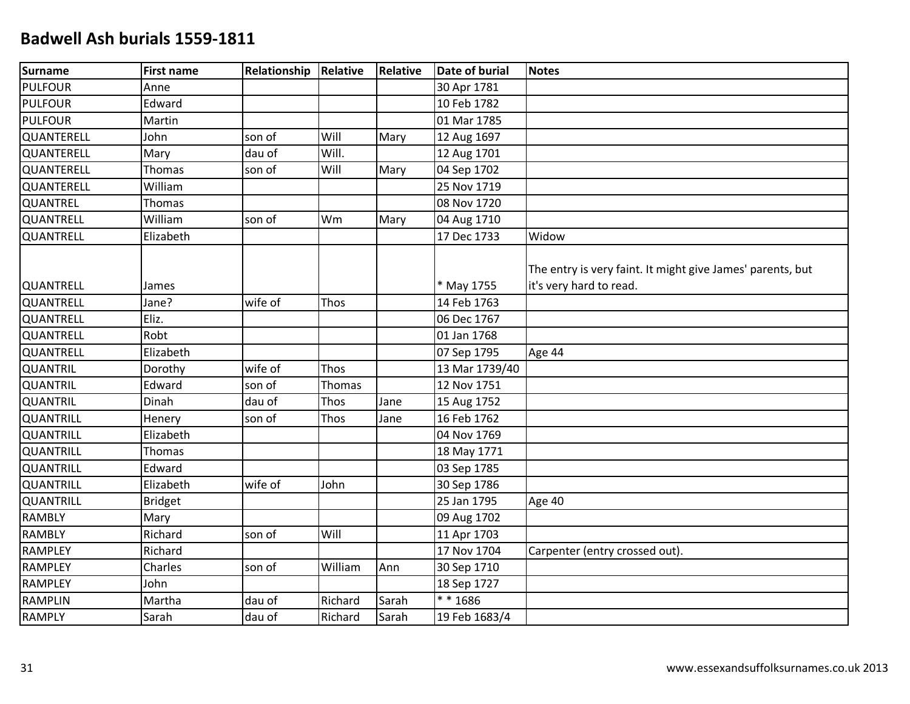| Surname           | <b>First name</b> | Relationship | Relative | Relative | <b>Date of burial</b> | <b>Notes</b>                                                                          |
|-------------------|-------------------|--------------|----------|----------|-----------------------|---------------------------------------------------------------------------------------|
| <b>PULFOUR</b>    | Anne              |              |          |          | 30 Apr 1781           |                                                                                       |
| PULFOUR           | Edward            |              |          |          | 10 Feb 1782           |                                                                                       |
| PULFOUR           | Martin            |              |          |          | 01 Mar 1785           |                                                                                       |
| <b>QUANTERELL</b> | John              | son of       | Will     | Mary     | 12 Aug 1697           |                                                                                       |
| <b>QUANTERELL</b> | Mary              | dau of       | Will.    |          | 12 Aug 1701           |                                                                                       |
| <b>QUANTERELL</b> | Thomas            | son of       | Will     | Mary     | 04 Sep 1702           |                                                                                       |
| <b>QUANTERELL</b> | William           |              |          |          | 25 Nov 1719           |                                                                                       |
| <b>QUANTREL</b>   | Thomas            |              |          |          | 08 Nov 1720           |                                                                                       |
| <b>QUANTRELL</b>  | William           | son of       | Wm       | Mary     | 04 Aug 1710           |                                                                                       |
| QUANTRELL         | Elizabeth         |              |          |          | 17 Dec 1733           | Widow                                                                                 |
| <b>QUANTRELL</b>  | James             |              |          |          | * May 1755            | The entry is very faint. It might give James' parents, but<br>it's very hard to read. |
| <b>QUANTRELL</b>  | Jane?             | wife of      | Thos     |          | 14 Feb 1763           |                                                                                       |
| <b>QUANTRELL</b>  | Eliz.             |              |          |          | 06 Dec 1767           |                                                                                       |
| <b>QUANTRELL</b>  | Robt              |              |          |          | 01 Jan 1768           |                                                                                       |
| <b>QUANTRELL</b>  | Elizabeth         |              |          |          | 07 Sep 1795           | Age 44                                                                                |
| <b>QUANTRIL</b>   | Dorothy           | wife of      | Thos     |          | 13 Mar 1739/40        |                                                                                       |
| <b>QUANTRIL</b>   | Edward            | son of       | Thomas   |          | 12 Nov 1751           |                                                                                       |
| <b>QUANTRIL</b>   | Dinah             | dau of       | Thos     | Jane     | 15 Aug 1752           |                                                                                       |
| <b>QUANTRILL</b>  | Henery            | son of       | Thos     | Jane     | 16 Feb 1762           |                                                                                       |
| <b>QUANTRILL</b>  | Elizabeth         |              |          |          | 04 Nov 1769           |                                                                                       |
| <b>QUANTRILL</b>  | Thomas            |              |          |          | 18 May 1771           |                                                                                       |
| QUANTRILL         | Edward            |              |          |          | 03 Sep 1785           |                                                                                       |
| <b>QUANTRILL</b>  | Elizabeth         | wife of      | John     |          | 30 Sep 1786           |                                                                                       |
| <b>QUANTRILL</b>  | <b>Bridget</b>    |              |          |          | 25 Jan 1795           | Age 40                                                                                |
| <b>RAMBLY</b>     | Mary              |              |          |          | 09 Aug 1702           |                                                                                       |
| RAMBLY            | Richard           | son of       | Will     |          | 11 Apr 1703           |                                                                                       |
| <b>RAMPLEY</b>    | Richard           |              |          |          | 17 Nov 1704           | Carpenter (entry crossed out).                                                        |
| <b>RAMPLEY</b>    | Charles           | son of       | William  | Ann      | 30 Sep 1710           |                                                                                       |
| <b>RAMPLEY</b>    | John              |              |          |          | 18 Sep 1727           |                                                                                       |
| RAMPLIN           | Martha            | dau of       | Richard  | Sarah    | $* * 1686$            |                                                                                       |
| RAMPLY            | Sarah             | dau of       | Richard  | Sarah    | 19 Feb 1683/4         |                                                                                       |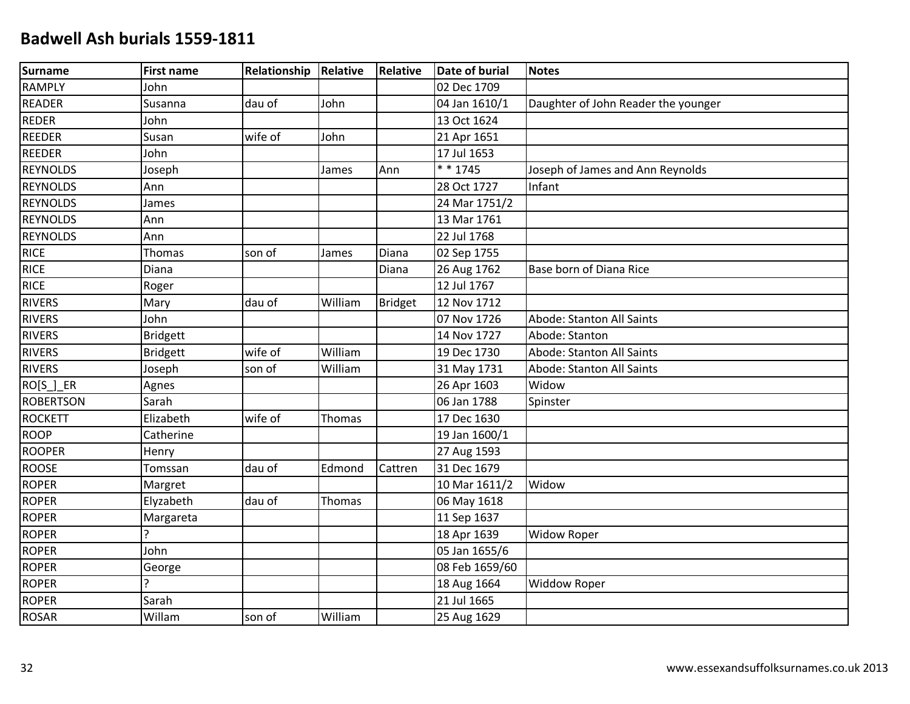| Surname          | <b>First name</b> | Relationship | Relative      | <b>Relative</b> | <b>Date of burial</b> | <b>Notes</b>                        |
|------------------|-------------------|--------------|---------------|-----------------|-----------------------|-------------------------------------|
| <b>RAMPLY</b>    | John              |              |               |                 | 02 Dec 1709           |                                     |
| <b>READER</b>    | Susanna           | dau of       | John          |                 | 04 Jan 1610/1         | Daughter of John Reader the younger |
| <b>REDER</b>     | John              |              |               |                 | 13 Oct 1624           |                                     |
| <b>REEDER</b>    | Susan             | wife of      | John          |                 | 21 Apr 1651           |                                     |
| <b>REEDER</b>    | John              |              |               |                 | 17 Jul 1653           |                                     |
| <b>REYNOLDS</b>  | Joseph            |              | James         | Ann             | * * 1745              | Joseph of James and Ann Reynolds    |
| <b>REYNOLDS</b>  | Ann               |              |               |                 | 28 Oct 1727           | Infant                              |
| <b>REYNOLDS</b>  | James             |              |               |                 | 24 Mar 1751/2         |                                     |
| <b>REYNOLDS</b>  | Ann               |              |               |                 | 13 Mar 1761           |                                     |
| <b>REYNOLDS</b>  | Ann               |              |               |                 | 22 Jul 1768           |                                     |
| <b>RICE</b>      | Thomas            | son of       | James         | Diana           | 02 Sep 1755           |                                     |
| <b>RICE</b>      | Diana             |              |               | Diana           | 26 Aug 1762           | Base born of Diana Rice             |
| <b>RICE</b>      | Roger             |              |               |                 | 12 Jul 1767           |                                     |
| <b>RIVERS</b>    | Mary              | dau of       | William       | Bridget         | 12 Nov 1712           |                                     |
| <b>RIVERS</b>    | John              |              |               |                 | 07 Nov 1726           | Abode: Stanton All Saints           |
| <b>RIVERS</b>    | <b>Bridgett</b>   |              |               |                 | 14 Nov 1727           | Abode: Stanton                      |
| <b>RIVERS</b>    | <b>Bridgett</b>   | wife of      | William       |                 | 19 Dec 1730           | Abode: Stanton All Saints           |
| <b>RIVERS</b>    | Joseph            | son of       | William       |                 | 31 May 1731           | Abode: Stanton All Saints           |
| RO[S_]_ER        | Agnes             |              |               |                 | 26 Apr 1603           | Widow                               |
| <b>ROBERTSON</b> | Sarah             |              |               |                 | 06 Jan 1788           | Spinster                            |
| <b>ROCKETT</b>   | Elizabeth         | wife of      | <b>Thomas</b> |                 | 17 Dec 1630           |                                     |
| <b>ROOP</b>      | Catherine         |              |               |                 | 19 Jan 1600/1         |                                     |
| <b>ROOPER</b>    | Henry             |              |               |                 | 27 Aug 1593           |                                     |
| <b>ROOSE</b>     | Tomssan           | dau of       | Edmond        | Cattren         | 31 Dec 1679           |                                     |
| <b>ROPER</b>     | Margret           |              |               |                 | 10 Mar 1611/2         | Widow                               |
| <b>ROPER</b>     | Elyzabeth         | dau of       | Thomas        |                 | 06 May 1618           |                                     |
| <b>ROPER</b>     | Margareta         |              |               |                 | 11 Sep 1637           |                                     |
| <b>ROPER</b>     | Ç                 |              |               |                 | 18 Apr 1639           | <b>Widow Roper</b>                  |
| <b>ROPER</b>     | John              |              |               |                 | 05 Jan 1655/6         |                                     |
| <b>ROPER</b>     | George            |              |               |                 | 08 Feb 1659/60        |                                     |
| <b>ROPER</b>     |                   |              |               |                 | 18 Aug 1664           | <b>Widdow Roper</b>                 |
| <b>ROPER</b>     | Sarah             |              |               |                 | 21 Jul 1665           |                                     |
| <b>ROSAR</b>     | Willam            | son of       | William       |                 | 25 Aug 1629           |                                     |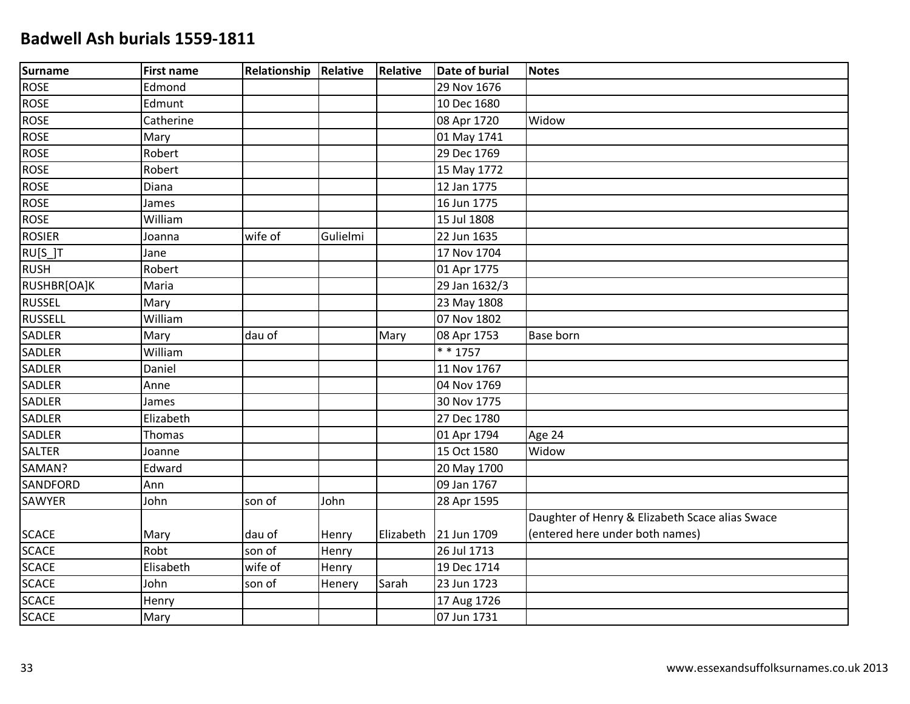| <b>Surname</b> | <b>First name</b> | <b>Relationship Relative</b> |          | <b>Relative</b> | Date of burial | <b>Notes</b>                                    |
|----------------|-------------------|------------------------------|----------|-----------------|----------------|-------------------------------------------------|
| <b>ROSE</b>    | Edmond            |                              |          |                 | 29 Nov 1676    |                                                 |
| <b>ROSE</b>    | Edmunt            |                              |          |                 | 10 Dec 1680    |                                                 |
| <b>ROSE</b>    | Catherine         |                              |          |                 | 08 Apr 1720    | Widow                                           |
| <b>ROSE</b>    | Mary              |                              |          |                 | 01 May 1741    |                                                 |
| <b>ROSE</b>    | Robert            |                              |          |                 | 29 Dec 1769    |                                                 |
| <b>ROSE</b>    | Robert            |                              |          |                 | 15 May 1772    |                                                 |
| <b>ROSE</b>    | Diana             |                              |          |                 | 12 Jan 1775    |                                                 |
| <b>ROSE</b>    | James             |                              |          |                 | 16 Jun 1775    |                                                 |
| <b>ROSE</b>    | William           |                              |          |                 | 15 Jul 1808    |                                                 |
| <b>ROSIER</b>  | Joanna            | wife of                      | Gulielmi |                 | 22 Jun 1635    |                                                 |
| RU[S_]T        | Jane              |                              |          |                 | 17 Nov 1704    |                                                 |
| <b>RUSH</b>    | Robert            |                              |          |                 | 01 Apr 1775    |                                                 |
| RUSHBR[OA]K    | Maria             |                              |          |                 | 29 Jan 1632/3  |                                                 |
| <b>RUSSEL</b>  | Mary              |                              |          |                 | 23 May 1808    |                                                 |
| <b>RUSSELL</b> | William           |                              |          |                 | 07 Nov 1802    |                                                 |
| SADLER         | Mary              | dau of                       |          | Mary            | 08 Apr 1753    | <b>Base born</b>                                |
| SADLER         | William           |                              |          |                 | $* * 1757$     |                                                 |
| <b>SADLER</b>  | Daniel            |                              |          |                 | 11 Nov 1767    |                                                 |
| <b>SADLER</b>  | Anne              |                              |          |                 | 04 Nov 1769    |                                                 |
| <b>SADLER</b>  | James             |                              |          |                 | 30 Nov 1775    |                                                 |
| SADLER         | Elizabeth         |                              |          |                 | 27 Dec 1780    |                                                 |
| SADLER         | Thomas            |                              |          |                 | 01 Apr 1794    | Age 24                                          |
| <b>SALTER</b>  | Joanne            |                              |          |                 | 15 Oct 1580    | Widow                                           |
| SAMAN?         | Edward            |                              |          |                 | 20 May 1700    |                                                 |
| SANDFORD       | Ann               |                              |          |                 | 09 Jan 1767    |                                                 |
| SAWYER         | John              | son of                       | John     |                 | 28 Apr 1595    |                                                 |
|                |                   |                              |          |                 |                | Daughter of Henry & Elizabeth Scace alias Swace |
| <b>SCACE</b>   | Mary              | dau of                       | Henry    | Elizabeth       | 21 Jun 1709    | (entered here under both names)                 |
| <b>SCACE</b>   | Robt              | son of                       | Henry    |                 | 26 Jul 1713    |                                                 |
| <b>SCACE</b>   | Elisabeth         | wife of                      | Henry    |                 | 19 Dec 1714    |                                                 |
| <b>SCACE</b>   | John              | son of                       | Henery   | Sarah           | 23 Jun 1723    |                                                 |
| <b>SCACE</b>   | Henry             |                              |          |                 | 17 Aug 1726    |                                                 |
| <b>SCACE</b>   | Mary              |                              |          |                 | 07 Jun 1731    |                                                 |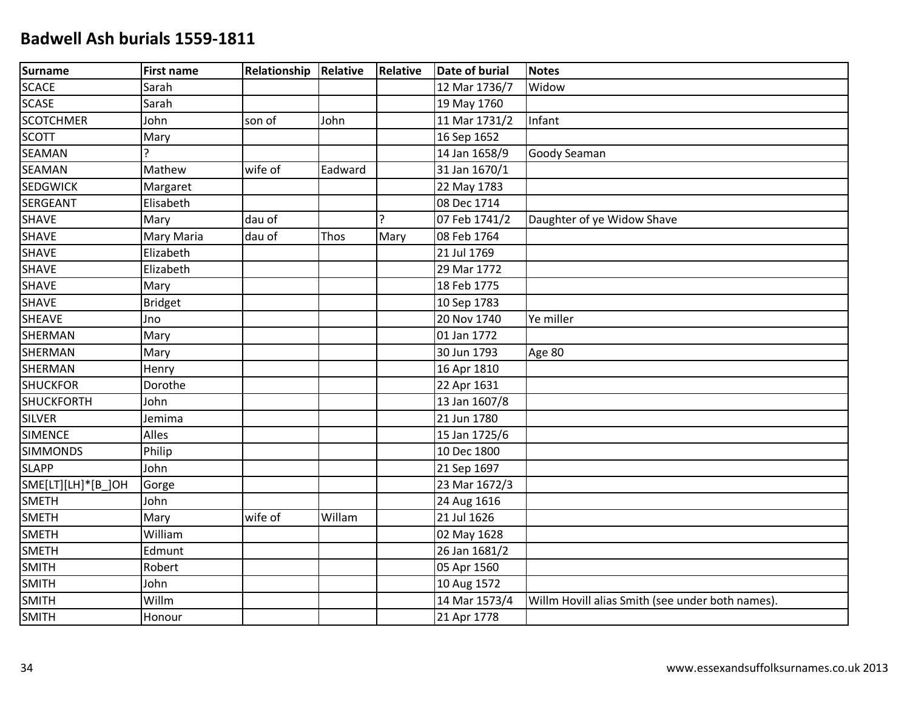| Surname            | <b>First name</b> | Relationship | Relative | Relative | <b>Date of burial</b> | <b>Notes</b>                                     |
|--------------------|-------------------|--------------|----------|----------|-----------------------|--------------------------------------------------|
| SCACE              | Sarah             |              |          |          | 12 Mar 1736/7         | Widow                                            |
| SCASE              | Sarah             |              |          |          | 19 May 1760           |                                                  |
| <b>SCOTCHMER</b>   | John              | son of       | John     |          | 11 Mar 1731/2         | Infant                                           |
| <b>SCOTT</b>       | Mary              |              |          |          | 16 Sep 1652           |                                                  |
| <b>SEAMAN</b>      | Ç                 |              |          |          | 14 Jan 1658/9         | Goody Seaman                                     |
| <b>SEAMAN</b>      | Mathew            | wife of      | Eadward  |          | 31 Jan 1670/1         |                                                  |
| <b>SEDGWICK</b>    | Margaret          |              |          |          | 22 May 1783           |                                                  |
| <b>SERGEANT</b>    | Elisabeth         |              |          |          | 08 Dec 1714           |                                                  |
| SHAVE              | Mary              | dau of       |          | Ρ        | 07 Feb 1741/2         | Daughter of ye Widow Shave                       |
| <b>SHAVE</b>       | Mary Maria        | dau of       | Thos     | Mary     | 08 Feb 1764           |                                                  |
| <b>SHAVE</b>       | Elizabeth         |              |          |          | 21 Jul 1769           |                                                  |
| <b>SHAVE</b>       | Elizabeth         |              |          |          | 29 Mar 1772           |                                                  |
| <b>SHAVE</b>       | Mary              |              |          |          | 18 Feb 1775           |                                                  |
| <b>SHAVE</b>       | <b>Bridget</b>    |              |          |          | 10 Sep 1783           |                                                  |
| <b>SHEAVE</b>      | Jno               |              |          |          | 20 Nov 1740           | Ye miller                                        |
| <b>SHERMAN</b>     | Mary              |              |          |          | 01 Jan 1772           |                                                  |
| <b>SHERMAN</b>     | Mary              |              |          |          | 30 Jun 1793           | Age 80                                           |
| <b>SHERMAN</b>     | Henry             |              |          |          | 16 Apr 1810           |                                                  |
| <b>SHUCKFOR</b>    | Dorothe           |              |          |          | 22 Apr 1631           |                                                  |
| <b>SHUCKFORTH</b>  | John              |              |          |          | 13 Jan 1607/8         |                                                  |
| <b>SILVER</b>      | Jemima            |              |          |          | 21 Jun 1780           |                                                  |
| <b>SIMENCE</b>     | Alles             |              |          |          | 15 Jan 1725/6         |                                                  |
| <b>SIMMONDS</b>    | Philip            |              |          |          | 10 Dec 1800           |                                                  |
| <b>SLAPP</b>       | John              |              |          |          | 21 Sep 1697           |                                                  |
| SME[LT][LH]*[B_]OH | Gorge             |              |          |          | 23 Mar 1672/3         |                                                  |
| <b>SMETH</b>       | John              |              |          |          | 24 Aug 1616           |                                                  |
| <b>SMETH</b>       | Mary              | wife of      | Willam   |          | 21 Jul 1626           |                                                  |
| <b>SMETH</b>       | William           |              |          |          | 02 May 1628           |                                                  |
| <b>SMETH</b>       | Edmunt            |              |          |          | 26 Jan 1681/2         |                                                  |
| <b>SMITH</b>       | Robert            |              |          |          | 05 Apr 1560           |                                                  |
| <b>SMITH</b>       | John              |              |          |          | 10 Aug 1572           |                                                  |
| <b>SMITH</b>       | Willm             |              |          |          | 14 Mar 1573/4         | Willm Hovill alias Smith (see under both names). |
| <b>SMITH</b>       | Honour            |              |          |          | 21 Apr 1778           |                                                  |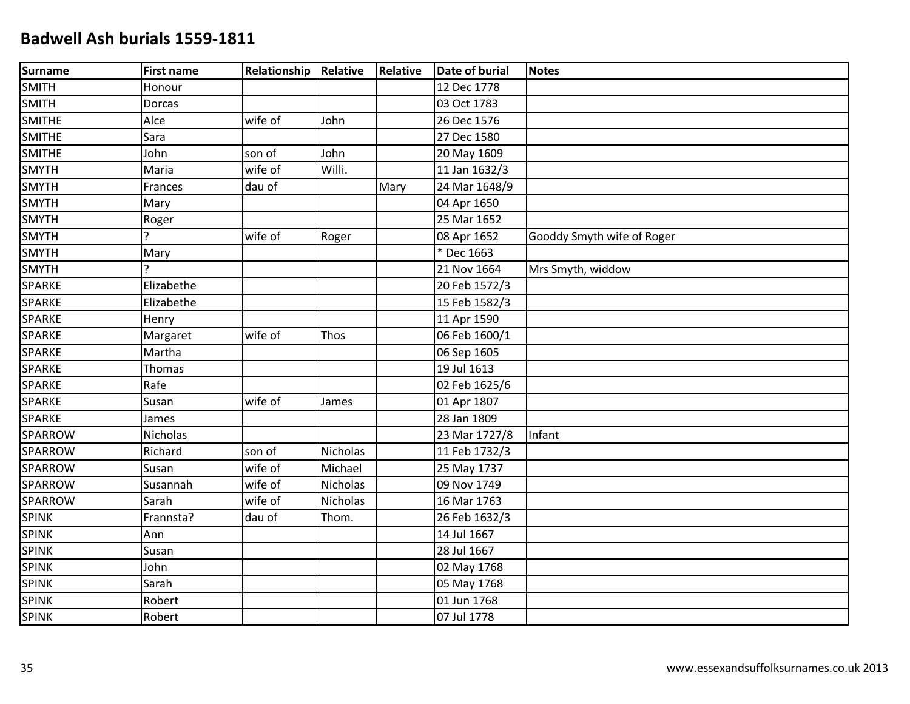| <b>Surname</b> | <b>First name</b> | <b>Relationship</b> | Relative | <b>Relative</b> | Date of burial | <b>Notes</b>               |
|----------------|-------------------|---------------------|----------|-----------------|----------------|----------------------------|
| <b>SMITH</b>   | Honour            |                     |          |                 | 12 Dec 1778    |                            |
| <b>SMITH</b>   | Dorcas            |                     |          |                 | 03 Oct 1783    |                            |
| <b>SMITHE</b>  | Alce              | wife of             | John     |                 | 26 Dec 1576    |                            |
| <b>SMITHE</b>  | Sara              |                     |          |                 | 27 Dec 1580    |                            |
| <b>SMITHE</b>  | John              | son of              | John     |                 | 20 May 1609    |                            |
| <b>SMYTH</b>   | Maria             | wife of             | Willi.   |                 | 11 Jan 1632/3  |                            |
| <b>SMYTH</b>   | Frances           | dau of              |          | Mary            | 24 Mar 1648/9  |                            |
| <b>SMYTH</b>   | Mary              |                     |          |                 | 04 Apr 1650    |                            |
| <b>SMYTH</b>   | Roger             |                     |          |                 | 25 Mar 1652    |                            |
| <b>SMYTH</b>   | C.                | wife of             | Roger    |                 | 08 Apr 1652    | Gooddy Smyth wife of Roger |
| <b>SMYTH</b>   | Mary              |                     |          |                 | * Dec 1663     |                            |
| <b>SMYTH</b>   | C                 |                     |          |                 | 21 Nov 1664    | Mrs Smyth, widdow          |
| SPARKE         | Elizabethe        |                     |          |                 | 20 Feb 1572/3  |                            |
| SPARKE         | Elizabethe        |                     |          |                 | 15 Feb 1582/3  |                            |
| SPARKE         | Henry             |                     |          |                 | 11 Apr 1590    |                            |
| SPARKE         | Margaret          | wife of             | Thos     |                 | 06 Feb 1600/1  |                            |
| SPARKE         | Martha            |                     |          |                 | 06 Sep 1605    |                            |
| SPARKE         | <b>Thomas</b>     |                     |          |                 | 19 Jul 1613    |                            |
| SPARKE         | Rafe              |                     |          |                 | 02 Feb 1625/6  |                            |
| SPARKE         | Susan             | wife of             | James    |                 | 01 Apr 1807    |                            |
| SPARKE         | James             |                     |          |                 | 28 Jan 1809    |                            |
| <b>SPARROW</b> | Nicholas          |                     |          |                 | 23 Mar 1727/8  | Infant                     |
| <b>SPARROW</b> | Richard           | son of              | Nicholas |                 | 11 Feb 1732/3  |                            |
| SPARROW        | Susan             | wife of             | Michael  |                 | 25 May 1737    |                            |
| SPARROW        | Susannah          | wife of             | Nicholas |                 | 09 Nov 1749    |                            |
| SPARROW        | Sarah             | wife of             | Nicholas |                 | 16 Mar 1763    |                            |
| <b>SPINK</b>   | Frannsta?         | dau of              | Thom.    |                 | 26 Feb 1632/3  |                            |
| <b>SPINK</b>   | Ann               |                     |          |                 | 14 Jul 1667    |                            |
| <b>SPINK</b>   | Susan             |                     |          |                 | 28 Jul 1667    |                            |
| <b>SPINK</b>   | John              |                     |          |                 | 02 May 1768    |                            |
| <b>SPINK</b>   | Sarah             |                     |          |                 | 05 May 1768    |                            |
| <b>SPINK</b>   | Robert            |                     |          |                 | 01 Jun 1768    |                            |
| <b>SPINK</b>   | Robert            |                     |          |                 | 07 Jul 1778    |                            |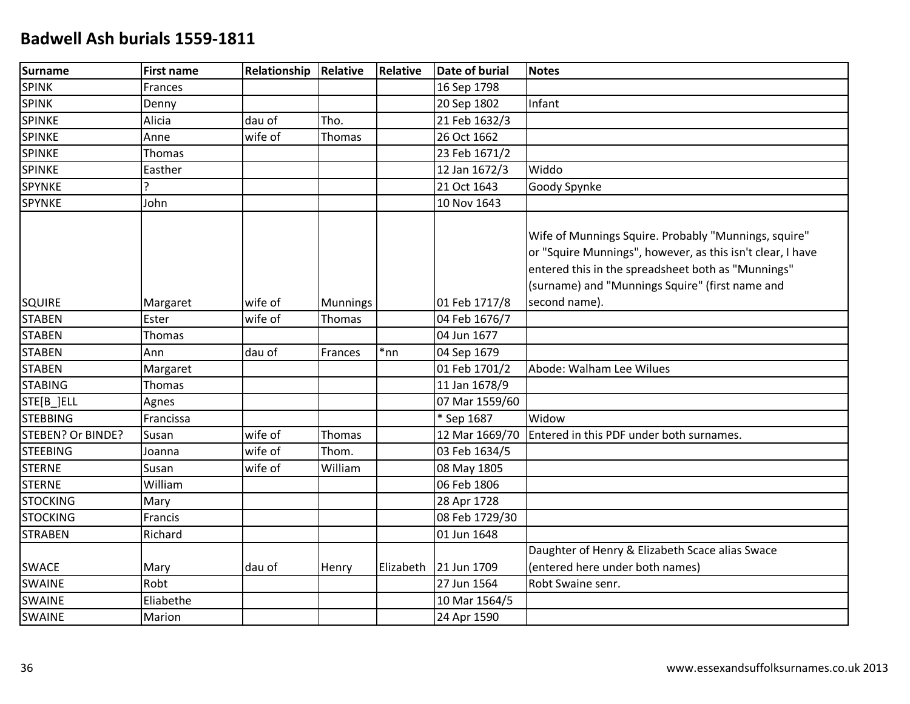| <b>Surname</b>    | <b>First name</b> | Relationship | Relative        | Relative  | <b>Date of burial</b> | <b>Notes</b>                                                                                                                                                                                                                |
|-------------------|-------------------|--------------|-----------------|-----------|-----------------------|-----------------------------------------------------------------------------------------------------------------------------------------------------------------------------------------------------------------------------|
| <b>SPINK</b>      | Frances           |              |                 |           | 16 Sep 1798           |                                                                                                                                                                                                                             |
| <b>SPINK</b>      | Denny             |              |                 |           | 20 Sep 1802           | Infant                                                                                                                                                                                                                      |
| <b>SPINKE</b>     | Alicia            | dau of       | Tho.            |           | 21 Feb 1632/3         |                                                                                                                                                                                                                             |
| <b>SPINKE</b>     | Anne              | wife of      | Thomas          |           | 26 Oct 1662           |                                                                                                                                                                                                                             |
| <b>SPINKE</b>     | Thomas            |              |                 |           | 23 Feb 1671/2         |                                                                                                                                                                                                                             |
| <b>SPINKE</b>     | Easther           |              |                 |           | 12 Jan 1672/3         | Widdo                                                                                                                                                                                                                       |
| <b>SPYNKE</b>     | ς                 |              |                 |           | 21 Oct 1643           | Goody Spynke                                                                                                                                                                                                                |
| <b>SPYNKE</b>     | John              |              |                 |           | 10 Nov 1643           |                                                                                                                                                                                                                             |
|                   |                   |              |                 |           |                       | Wife of Munnings Squire. Probably "Munnings, squire"<br>or "Squire Munnings", however, as this isn't clear, I have<br>entered this in the spreadsheet both as "Munnings"<br>(surname) and "Munnings Squire" (first name and |
| <b>SQUIRE</b>     | Margaret          | wife of      | <b>Munnings</b> |           | 01 Feb 1717/8         | second name).                                                                                                                                                                                                               |
| <b>STABEN</b>     | Ester             | wife of      | Thomas          |           | 04 Feb 1676/7         |                                                                                                                                                                                                                             |
| <b>STABEN</b>     | Thomas            |              |                 |           | 04 Jun 1677           |                                                                                                                                                                                                                             |
| <b>STABEN</b>     | Ann               | dau of       | Frances         | *nn       | 04 Sep 1679           |                                                                                                                                                                                                                             |
| <b>STABEN</b>     | Margaret          |              |                 |           | 01 Feb 1701/2         | Abode: Walham Lee Wilues                                                                                                                                                                                                    |
| <b>STABING</b>    | Thomas            |              |                 |           | 11 Jan 1678/9         |                                                                                                                                                                                                                             |
| STE[B_]ELL        | Agnes             |              |                 |           | 07 Mar 1559/60        |                                                                                                                                                                                                                             |
| <b>STEBBING</b>   | Francissa         |              |                 |           | * Sep 1687            | Widow                                                                                                                                                                                                                       |
| STEBEN? Or BINDE? | Susan             | wife of      | <b>Thomas</b>   |           | 12 Mar 1669/70        | Entered in this PDF under both surnames.                                                                                                                                                                                    |
| <b>STEEBING</b>   | Joanna            | wife of      | Thom.           |           | 03 Feb 1634/5         |                                                                                                                                                                                                                             |
| <b>STERNE</b>     | Susan             | wife of      | William         |           | 08 May 1805           |                                                                                                                                                                                                                             |
| <b>STERNE</b>     | William           |              |                 |           | 06 Feb 1806           |                                                                                                                                                                                                                             |
| <b>STOCKING</b>   | Mary              |              |                 |           | 28 Apr 1728           |                                                                                                                                                                                                                             |
| <b>STOCKING</b>   | Francis           |              |                 |           | 08 Feb 1729/30        |                                                                                                                                                                                                                             |
| <b>STRABEN</b>    | Richard           |              |                 |           | 01 Jun 1648           |                                                                                                                                                                                                                             |
| <b>SWACE</b>      | Mary              | dau of       | Henry           | Elizabeth | 21 Jun 1709           | Daughter of Henry & Elizabeth Scace alias Swace<br>(entered here under both names)                                                                                                                                          |
| <b>SWAINE</b>     | Robt              |              |                 |           | 27 Jun 1564           | Robt Swaine senr.                                                                                                                                                                                                           |
| <b>SWAINE</b>     | Eliabethe         |              |                 |           | 10 Mar 1564/5         |                                                                                                                                                                                                                             |
| <b>SWAINE</b>     | Marion            |              |                 |           | 24 Apr 1590           |                                                                                                                                                                                                                             |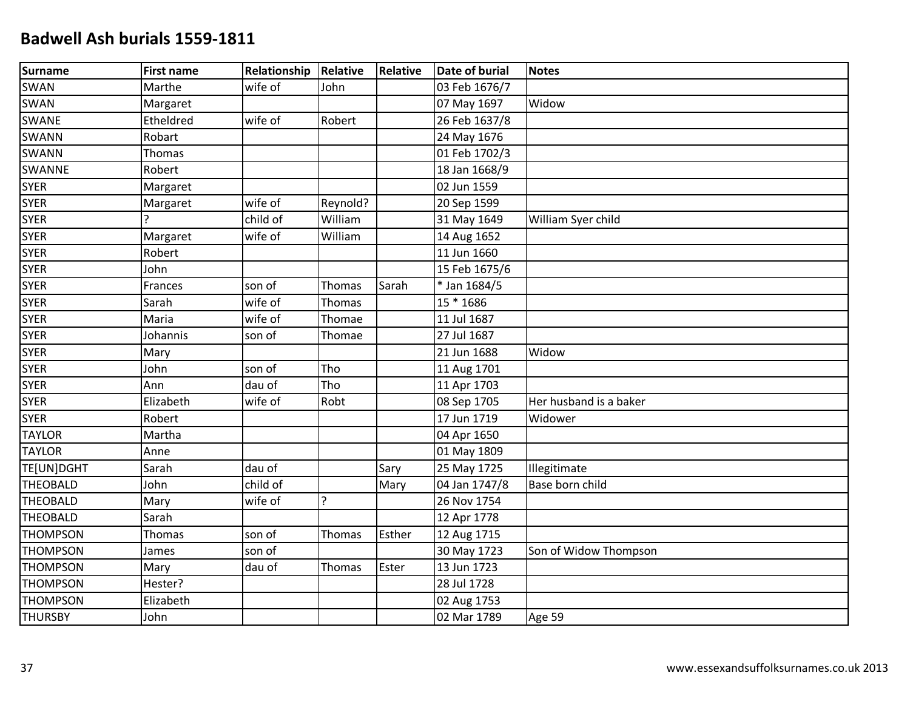| Surname         | <b>First name</b> | Relationship | Relative      | <b>Relative</b> | <b>Date of burial</b>    | <b>Notes</b>           |
|-----------------|-------------------|--------------|---------------|-----------------|--------------------------|------------------------|
| <b>SWAN</b>     | Marthe            | wife of      | John          |                 | 03 Feb 1676/7            |                        |
| SWAN            | Margaret          |              |               |                 | 07 May 1697              | Widow                  |
| <b>SWANE</b>    | Etheldred         | wife of      | Robert        |                 | 26 Feb 1637/8            |                        |
| <b>SWANN</b>    | Robart            |              |               |                 | 24 May 1676              |                        |
| <b>SWANN</b>    | Thomas            |              |               |                 | 01 Feb 1702/3            |                        |
| SWANNE          | Robert            |              |               |                 | 18 Jan 1668/9            |                        |
| <b>SYER</b>     | Margaret          |              |               |                 | 02 Jun 1559              |                        |
| <b>SYER</b>     | Margaret          | wife of      | Reynold?      |                 | 20 Sep 1599              |                        |
| <b>SYER</b>     |                   | child of     | William       |                 | 31 May 1649              | William Syer child     |
| <b>SYER</b>     | Margaret          | wife of      | William       |                 | 14 Aug 1652              |                        |
| <b>SYER</b>     | Robert            |              |               |                 | $\overline{11}$ Jun 1660 |                        |
| <b>SYER</b>     | John              |              |               |                 | 15 Feb 1675/6            |                        |
| <b>SYER</b>     | Frances           | son of       | Thomas        | Sarah           | * Jan 1684/5             |                        |
| <b>SYER</b>     | Sarah             | wife of      | Thomas        |                 | 15 * 1686                |                        |
| <b>SYER</b>     | Maria             | wife of      | Thomae        |                 | 11 Jul 1687              |                        |
| <b>SYER</b>     | Johannis          | son of       | Thomae        |                 | 27 Jul 1687              |                        |
| <b>SYER</b>     | Mary              |              |               |                 | 21 Jun 1688              | Widow                  |
| <b>SYER</b>     | John              | son of       | Tho           |                 | 11 Aug 1701              |                        |
| <b>SYER</b>     | Ann               | dau of       | Tho           |                 | 11 Apr 1703              |                        |
| <b>SYER</b>     | Elizabeth         | wife of      | Robt          |                 | 08 Sep 1705              | Her husband is a baker |
| <b>SYER</b>     | Robert            |              |               |                 | 17 Jun 1719              | Widower                |
| <b>TAYLOR</b>   | Martha            |              |               |                 | 04 Apr 1650              |                        |
| <b>TAYLOR</b>   | Anne              |              |               |                 | 01 May 1809              |                        |
| TE[UN]DGHT      | Sarah             | dau of       |               | Sary            | 25 May 1725              | Illegitimate           |
| <b>THEOBALD</b> | John              | child of     |               | Mary            | 04 Jan 1747/8            | Base born child        |
| <b>THEOBALD</b> | Mary              | wife of      | ?             |                 | 26 Nov 1754              |                        |
| <b>THEOBALD</b> | Sarah             |              |               |                 | 12 Apr 1778              |                        |
| <b>THOMPSON</b> | Thomas            | son of       | Thomas        | Esther          | 12 Aug 1715              |                        |
| <b>THOMPSON</b> | James             | son of       |               |                 | 30 May 1723              | Son of Widow Thompson  |
| <b>THOMPSON</b> | Mary              | dau of       | <b>Thomas</b> | Ester           | 13 Jun 1723              |                        |
| <b>THOMPSON</b> | Hester?           |              |               |                 | 28 Jul 1728              |                        |
| <b>THOMPSON</b> | Elizabeth         |              |               |                 | 02 Aug 1753              |                        |
| <b>THURSBY</b>  | John              |              |               |                 | 02 Mar 1789              | Age 59                 |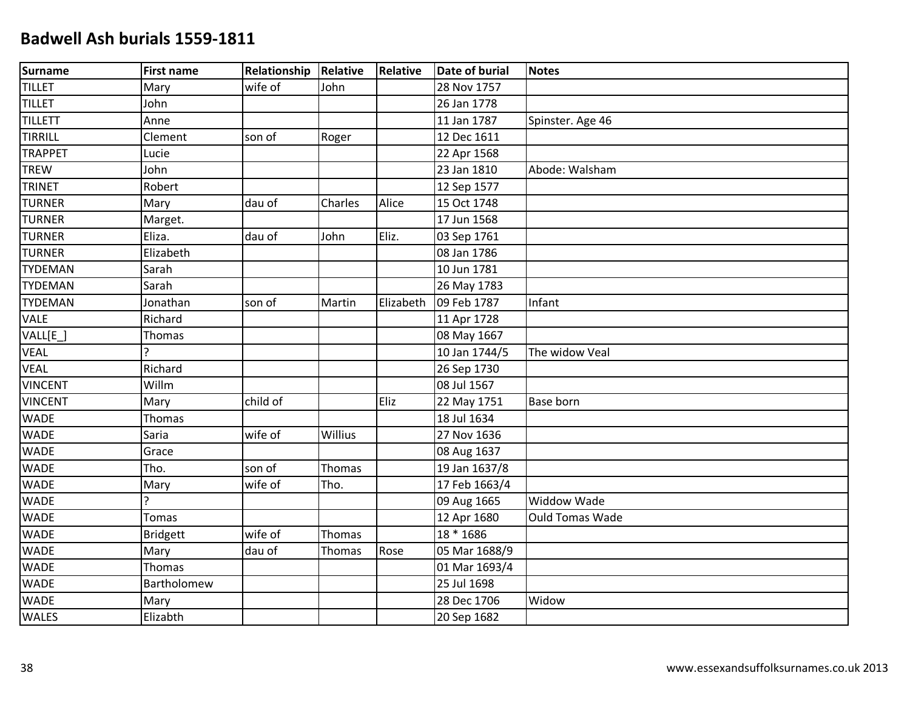| Surname        | <b>First name</b> | Relationship | Relative | <b>Relative</b> | <b>Date of burial</b> | <b>Notes</b>           |
|----------------|-------------------|--------------|----------|-----------------|-----------------------|------------------------|
| <b>TILLET</b>  | Mary              | wife of      | John     |                 | 28 Nov 1757           |                        |
| <b>TILLET</b>  | John              |              |          |                 | 26 Jan 1778           |                        |
| <b>TILLETT</b> | Anne              |              |          |                 | 11 Jan 1787           | Spinster. Age 46       |
| TIRRILL        | Clement           | son of       | Roger    |                 | 12 Dec 1611           |                        |
| <b>TRAPPET</b> | Lucie             |              |          |                 | 22 Apr 1568           |                        |
| <b>TREW</b>    | John              |              |          |                 | 23 Jan 1810           | Abode: Walsham         |
| <b>TRINET</b>  | Robert            |              |          |                 | 12 Sep 1577           |                        |
| <b>TURNER</b>  | Mary              | dau of       | Charles  | Alice           | 15 Oct 1748           |                        |
| <b>TURNER</b>  | Marget.           |              |          |                 | 17 Jun 1568           |                        |
| <b>TURNER</b>  | Eliza.            | dau of       | John     | Eliz.           | 03 Sep 1761           |                        |
| <b>TURNER</b>  | Elizabeth         |              |          |                 | 08 Jan 1786           |                        |
| <b>TYDEMAN</b> | Sarah             |              |          |                 | 10 Jun 1781           |                        |
| <b>TYDEMAN</b> | Sarah             |              |          |                 | 26 May 1783           |                        |
| <b>TYDEMAN</b> | Jonathan          | son of       | Martin   | Elizabeth       | 09 Feb 1787           | Infant                 |
| <b>VALE</b>    | Richard           |              |          |                 | 11 Apr 1728           |                        |
| VALL[E_]       | Thomas            |              |          |                 | 08 May 1667           |                        |
| VEAL           | ን                 |              |          |                 | 10 Jan 1744/5         | The widow Veal         |
| <b>VEAL</b>    | Richard           |              |          |                 | 26 Sep 1730           |                        |
| <b>VINCENT</b> | Willm             |              |          |                 | 08 Jul 1567           |                        |
| <b>VINCENT</b> | Mary              | child of     |          | Eliz            | 22 May 1751           | <b>Base born</b>       |
| <b>WADE</b>    | Thomas            |              |          |                 | 18 Jul 1634           |                        |
| <b>WADE</b>    | Saria             | wife of      | Willius  |                 | 27 Nov 1636           |                        |
| <b>WADE</b>    | Grace             |              |          |                 | 08 Aug 1637           |                        |
| <b>WADE</b>    | Tho.              | son of       | Thomas   |                 | 19 Jan 1637/8         |                        |
| <b>WADE</b>    | Mary              | wife of      | Tho.     |                 | 17 Feb 1663/4         |                        |
| <b>WADE</b>    | Ç                 |              |          |                 | 09 Aug 1665           | <b>Widdow Wade</b>     |
| <b>WADE</b>    | <b>Tomas</b>      |              |          |                 | 12 Apr 1680           | <b>Ould Tomas Wade</b> |
| <b>WADE</b>    | <b>Bridgett</b>   | wife of      | Thomas   |                 | 18 * 1686             |                        |
| <b>WADE</b>    | Mary              | dau of       | Thomas   | Rose            | 05 Mar 1688/9         |                        |
| <b>WADE</b>    | Thomas            |              |          |                 | 01 Mar 1693/4         |                        |
| <b>WADE</b>    | Bartholomew       |              |          |                 | 25 Jul 1698           |                        |
| <b>WADE</b>    | Mary              |              |          |                 | 28 Dec 1706           | Widow                  |
| <b>WALES</b>   | Elizabth          |              |          |                 | 20 Sep 1682           |                        |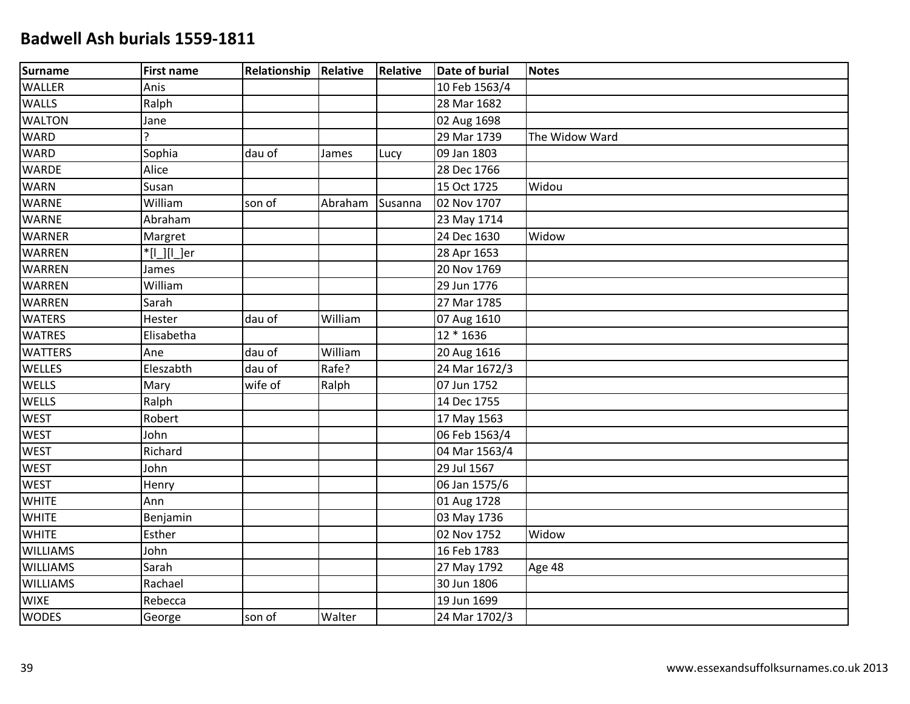| Surname         | <b>First name</b> | <b>Relationship Relative</b> |         | Relative | <b>Date of burial</b> | <b>Notes</b>   |
|-----------------|-------------------|------------------------------|---------|----------|-----------------------|----------------|
| <b>WALLER</b>   | Anis              |                              |         |          | 10 Feb 1563/4         |                |
| <b>WALLS</b>    | Ralph             |                              |         |          | 28 Mar 1682           |                |
| <b>WALTON</b>   | Jane              |                              |         |          | 02 Aug 1698           |                |
| <b>WARD</b>     | ς                 |                              |         |          | 29 Mar 1739           | The Widow Ward |
| <b>WARD</b>     | Sophia            | dau of                       | James   | Lucy     | 09 Jan 1803           |                |
| <b>WARDE</b>    | Alice             |                              |         |          | 28 Dec 1766           |                |
| <b>WARN</b>     | Susan             |                              |         |          | 15 Oct 1725           | Widou          |
| <b>WARNE</b>    | William           | son of                       | Abraham | Susanna  | 02 Nov 1707           |                |
| <b>WARNE</b>    | Abraham           |                              |         |          | 23 May 1714           |                |
| <b>WARNER</b>   | Margret           |                              |         |          | 24 Dec 1630           | Widow          |
| <b>WARREN</b>   | $'[L][L]$ er      |                              |         |          | 28 Apr 1653           |                |
| <b>WARREN</b>   | James             |                              |         |          | 20 Nov 1769           |                |
| <b>WARREN</b>   | William           |                              |         |          | 29 Jun 1776           |                |
| <b>WARREN</b>   | Sarah             |                              |         |          | 27 Mar 1785           |                |
| <b>WATERS</b>   | Hester            | dau of                       | William |          | 07 Aug 1610           |                |
| <b>WATRES</b>   | Elisabetha        |                              |         |          | 12 * 1636             |                |
| <b>WATTERS</b>  | Ane               | dau of                       | William |          | 20 Aug 1616           |                |
| <b>WELLES</b>   | Eleszabth         | dau of                       | Rafe?   |          | 24 Mar 1672/3         |                |
| WELLS           | Mary              | wife of                      | Ralph   |          | 07 Jun 1752           |                |
| <b>WELLS</b>    | Ralph             |                              |         |          | 14 Dec 1755           |                |
| <b>WEST</b>     | Robert            |                              |         |          | 17 May 1563           |                |
| <b>WEST</b>     | John              |                              |         |          | 06 Feb 1563/4         |                |
| <b>WEST</b>     | Richard           |                              |         |          | 04 Mar 1563/4         |                |
| <b>WEST</b>     | John              |                              |         |          | 29 Jul 1567           |                |
| <b>WEST</b>     | Henry             |                              |         |          | 06 Jan 1575/6         |                |
| <b>WHITE</b>    | Ann               |                              |         |          | 01 Aug 1728           |                |
| <b>WHITE</b>    | Benjamin          |                              |         |          | 03 May 1736           |                |
| <b>WHITE</b>    | Esther            |                              |         |          | 02 Nov 1752           | Widow          |
| <b>WILLIAMS</b> | John              |                              |         |          | 16 Feb 1783           |                |
| <b>WILLIAMS</b> | Sarah             |                              |         |          | 27 May 1792           | Age 48         |
| <b>WILLIAMS</b> | Rachael           |                              |         |          | 30 Jun 1806           |                |
| <b>WIXE</b>     | Rebecca           |                              |         |          | 19 Jun 1699           |                |
| <b>WODES</b>    | George            | son of                       | Walter  |          | 24 Mar 1702/3         |                |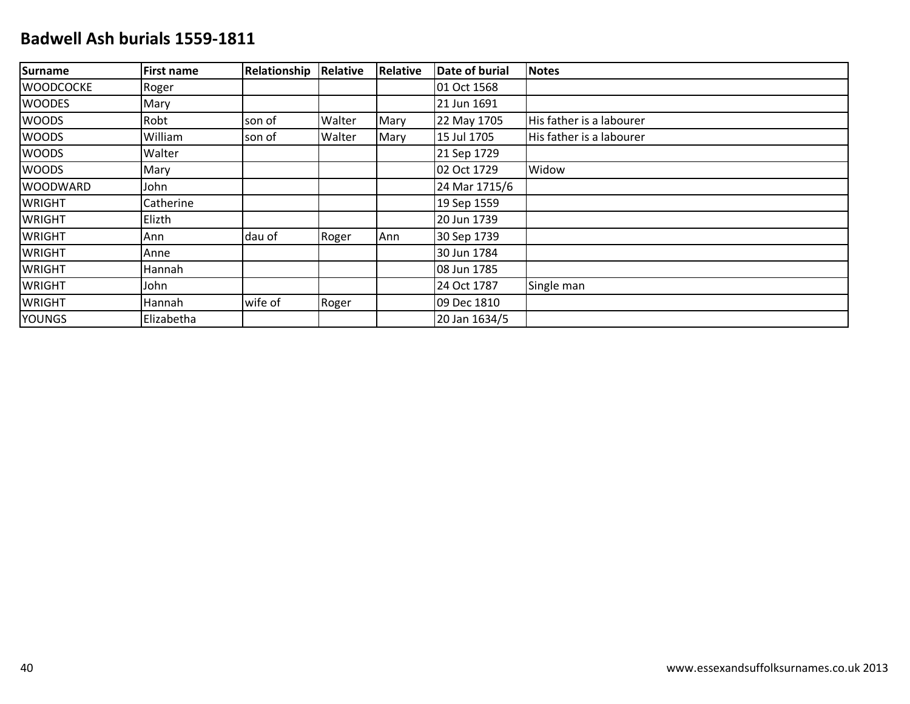| Surname           | <b>First name</b> | Relationship | Relative | <b>Relative</b> | Date of burial | <b>Notes</b>             |
|-------------------|-------------------|--------------|----------|-----------------|----------------|--------------------------|
| <b>IWOODCOCKE</b> | Roger             |              |          |                 | 01 Oct 1568    |                          |
| <b>WOODES</b>     | Mary              |              |          |                 | 21 Jun 1691    |                          |
| <b>WOODS</b>      | Robt              | son of       | Walter   | Mary            | 22 May 1705    | His father is a labourer |
| <b>WOODS</b>      | William           | son of       | Walter   | Mary            | 15 Jul 1705    | His father is a labourer |
| <b>WOODS</b>      | Walter            |              |          |                 | 21 Sep 1729    |                          |
| <b>WOODS</b>      | Mary              |              |          |                 | 02 Oct 1729    | Widow                    |
| <b>WOODWARD</b>   | John              |              |          |                 | 24 Mar 1715/6  |                          |
| <b>WRIGHT</b>     | Catherine         |              |          |                 | 19 Sep 1559    |                          |
| <b>WRIGHT</b>     | Elizth            |              |          |                 | 20 Jun 1739    |                          |
| <b>WRIGHT</b>     | Ann               | dau of       | Roger    | Ann             | 30 Sep 1739    |                          |
| <b>WRIGHT</b>     | Anne              |              |          |                 | 30 Jun 1784    |                          |
| <b>WRIGHT</b>     | <b>Hannah</b>     |              |          |                 | 08 Jun 1785    |                          |
| <b>WRIGHT</b>     | John              |              |          |                 | 24 Oct 1787    | Single man               |
| <b>WRIGHT</b>     | Hannah            | wife of      | Roger    |                 | 09 Dec 1810    |                          |
| <b>YOUNGS</b>     | Elizabetha        |              |          |                 | 20 Jan 1634/5  |                          |